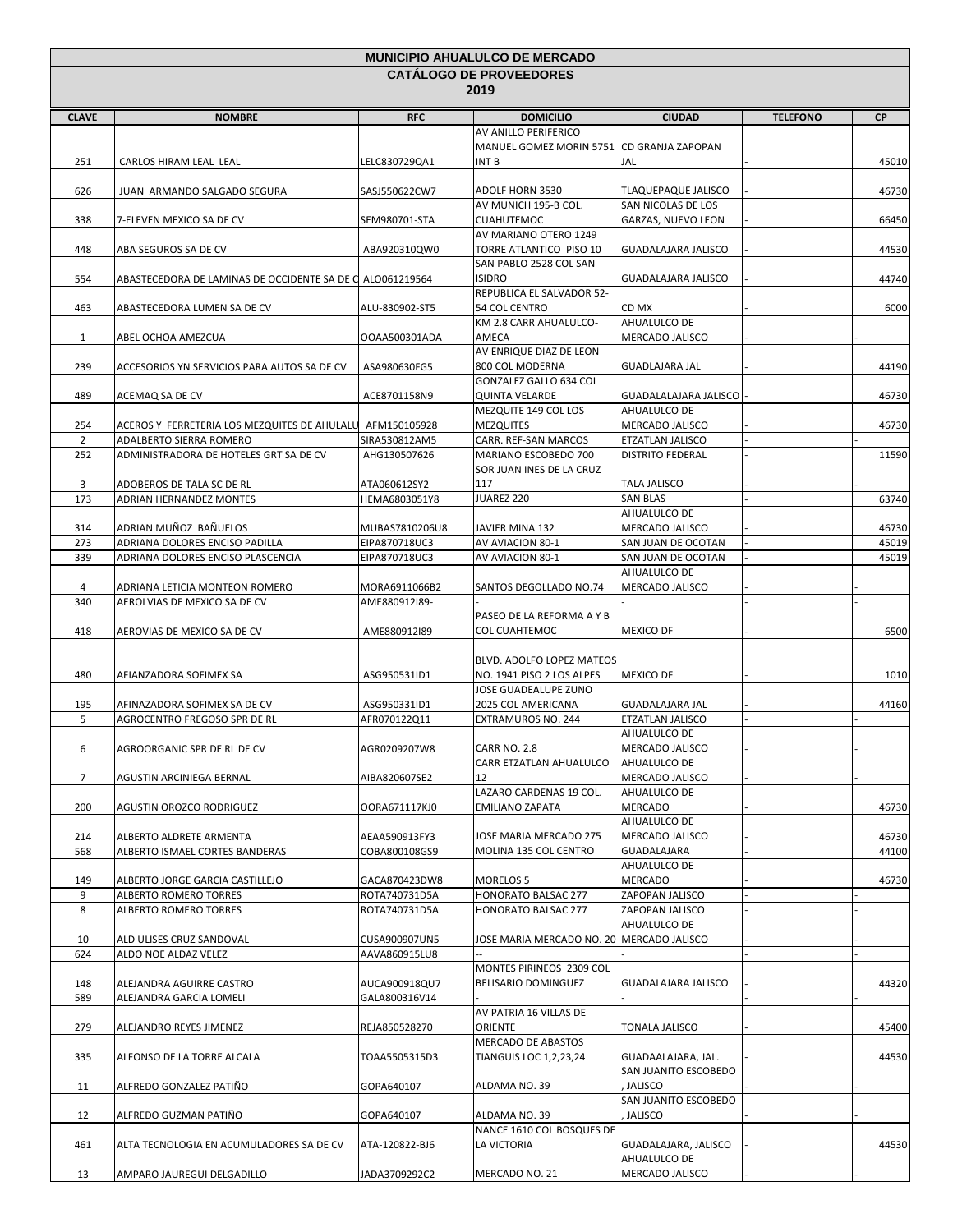| <b>MUNICIPIO AHUALULCO DE MERCADO</b> |                                                           |                |                                           |                                 |                 |           |
|---------------------------------------|-----------------------------------------------------------|----------------|-------------------------------------------|---------------------------------|-----------------|-----------|
|                                       |                                                           |                | <b>CATÁLOGO DE PROVEEDORES</b><br>2019    |                                 |                 |           |
|                                       |                                                           |                |                                           |                                 |                 |           |
| <b>CLAVE</b>                          | <b>NOMBRE</b>                                             | <b>RFC</b>     | <b>DOMICILIO</b>                          | <b>CIUDAD</b>                   | <b>TELEFONO</b> | <b>CP</b> |
|                                       |                                                           |                | AV ANILLO PERIFERICO                      |                                 |                 |           |
|                                       |                                                           |                | MANUEL GOMEZ MORIN 5751 CD GRANJA ZAPOPAN |                                 |                 |           |
| 251                                   | CARLOS HIRAM LEAL LEAL                                    | LELC830729QA1  | INT B                                     | JAL                             |                 | 45010     |
|                                       |                                                           |                |                                           |                                 |                 |           |
| 626                                   | JUAN ARMANDO SALGADO SEGURA                               | SASJ550622CW7  | <b>ADOLF HORN 3530</b>                    | <b>TLAQUEPAQUE JALISCO</b>      |                 | 46730     |
|                                       |                                                           |                | AV MUNICH 195-B COL.                      | SAN NICOLAS DE LOS              |                 |           |
| 338                                   | 7-ELEVEN MEXICO SA DE CV                                  | SEM980701-STA  | <b>CUAHUTEMOC</b>                         | GARZAS, NUEVO LEON              |                 | 66450     |
|                                       |                                                           |                | AV MARIANO OTERO 1249                     |                                 |                 |           |
| 448                                   | ABA SEGUROS SA DE CV                                      | ABA920310QW0   | TORRE ATLANTICO PISO 10                   | GUADALAJARA JALISCO             |                 | 44530     |
|                                       |                                                           |                | SAN PABLO 2528 COL SAN                    |                                 |                 |           |
| 554                                   | ABASTECEDORA DE LAMINAS DE OCCIDENTE SA DE C ALO061219564 |                | <b>ISIDRO</b>                             | GUADALAJARA JALISCO             |                 | 44740     |
|                                       |                                                           |                | REPUBLICA EL SALVADOR 52-                 |                                 |                 |           |
| 463                                   | ABASTECEDORA LUMEN SA DE CV                               | ALU-830902-ST5 | 54 COL CENTRO<br>KM 2.8 CARR AHUALULCO-   | CD MX<br>AHUALULCO DE           |                 | 6000      |
|                                       |                                                           | OOAA500301ADA  | AMECA                                     | MERCADO JALISCO                 |                 |           |
| 1                                     | ABEL OCHOA AMEZCUA                                        |                | AV ENRIQUE DIAZ DE LEON                   |                                 |                 |           |
| 239                                   | ACCESORIOS YN SERVICIOS PARA AUTOS SA DE CV               | ASA980630FG5   | 800 COL MODERNA                           | <b>GUADLAJARA JAL</b>           |                 | 44190     |
|                                       |                                                           |                | GONZALEZ GALLO 634 COL                    |                                 |                 |           |
| 489                                   | ACEMAQ SA DE CV                                           | ACE8701158N9   | <b>QUINTA VELARDE</b>                     | GUADALALAJARA JALISCO           |                 | 46730     |
|                                       |                                                           |                | MEZQUITE 149 COL LOS                      | AHUALULCO DE                    |                 |           |
| 254                                   | ACEROS Y FERRETERIA LOS MEZQUITES DE AHULALU              | AFM150105928   | <b>MEZQUITES</b>                          | MERCADO JALISCO                 |                 | 46730     |
| $\overline{2}$                        | ADALBERTO SIERRA ROMERO                                   | SIRA530812AM5  | CARR. REF-SAN MARCOS                      | ETZATLAN JALISCO                |                 |           |
| 252                                   | ADMINISTRADORA DE HOTELES GRT SA DE CV                    | AHG130507626   | MARIANO ESCOBEDO 700                      | <b>DISTRITO FEDERAL</b>         |                 | 11590     |
|                                       |                                                           |                | SOR JUAN INES DE LA CRUZ                  |                                 |                 |           |
| 3                                     | ADOBEROS DE TALA SC DE RL                                 | ATA060612SY2   | 117                                       | <b>TALA JALISCO</b>             |                 |           |
| 173                                   | ADRIAN HERNANDEZ MONTES                                   | HEMA6803051Y8  | JUAREZ 220                                | <b>SAN BLAS</b>                 |                 | 63740     |
|                                       |                                                           |                |                                           | AHUALULCO DE                    |                 |           |
| 314                                   | ADRIAN MUÑOZ BAÑUELOS                                     | MUBAS7810206U8 | JAVIER MINA 132                           | MERCADO JALISCO                 |                 | 46730     |
| 273                                   | ADRIANA DOLORES ENCISO PADILLA                            | EIPA870718UC3  | AV AVIACION 80-1                          | SAN JUAN DE OCOTAN              |                 | 45019     |
| 339                                   | ADRIANA DOLORES ENCISO PLASCENCIA                         | EIPA870718UC3  | AV AVIACION 80-1                          | SAN JUAN DE OCOTAN              |                 | 45019     |
|                                       |                                                           |                |                                           | AHUALULCO DE                    |                 |           |
| 4                                     | ADRIANA LETICIA MONTEON ROMERO                            | MORA6911066B2  | SANTOS DEGOLLADO NO.74                    | MERCADO JALISCO                 |                 |           |
| 340                                   | AEROLVIAS DE MEXICO SA DE CV                              | AME880912I89-  |                                           |                                 |                 |           |
|                                       |                                                           |                | PASEO DE LA REFORMA A Y B                 |                                 |                 |           |
| 418                                   | AEROVIAS DE MEXICO SA DE CV                               | AME880912I89   | <b>COL CUAHTEMOC</b>                      | <b>MEXICO DF</b>                |                 | 6500      |
|                                       |                                                           |                |                                           |                                 |                 |           |
|                                       |                                                           |                | BLVD. ADOLFO LOPEZ MATEOS                 |                                 |                 |           |
| 480                                   | AFIANZADORA SOFIMEX SA                                    | ASG950531ID1   | NO. 1941 PISO 2 LOS ALPES                 | <b>MEXICO DF</b>                |                 | 1010      |
|                                       |                                                           |                | JOSE GUADEALUPE ZUNO                      |                                 |                 |           |
| 195                                   | AFINAZADORA SOFIMEX SA DE CV                              | ASG950331ID1   | 2025 COL AMERICANA                        | <b>GUADALAJARA JAL</b>          |                 | 44160     |
| 5                                     | AGROCENTRO FREGOSO SPR DE RL                              | AFR070122Q11   | EXTRAMUROS NO. 244                        | <b>ETZATLAN JALISCO</b>         |                 |           |
|                                       |                                                           |                |                                           | AHUALULCO DE                    |                 |           |
| 6                                     | AGROORGANIC SPR DE RL DE CV                               | AGR0209207W8   | <b>CARR NO. 2.8</b>                       | MERCADO JALISCO                 |                 |           |
|                                       |                                                           |                | CARR ETZATLAN AHUALULCO                   | AHUALULCO DE                    |                 |           |
| 7                                     | AGUSTIN ARCINIEGA BERNAL                                  | AIBA820607SE2  | 12                                        | MERCADO JALISCO                 |                 |           |
|                                       |                                                           |                | LAZARO CARDENAS 19 COL.                   | AHUALULCO DE                    |                 |           |
| 200                                   | AGUSTIN OROZCO RODRIGUEZ                                  | OORA671117KJ0  | <b>EMILIANO ZAPATA</b>                    | <b>MERCADO</b>                  |                 | 46730     |
|                                       |                                                           |                |                                           | AHUALULCO DE                    |                 |           |
| 214                                   | ALBERTO ALDRETE ARMENTA                                   | AEAA590913FY3  | JOSE MARIA MERCADO 275                    | MERCADO JALISCO                 |                 | 46730     |
| 568                                   | ALBERTO ISMAEL CORTES BANDERAS                            | COBA800108GS9  | MOLINA 135 COL CENTRO                     | GUADALAJARA                     |                 | 44100     |
|                                       |                                                           |                |                                           | AHUALULCO DE                    |                 |           |
| 149                                   | ALBERTO JORGE GARCIA CASTILLEJO                           | GACA870423DW8  | <b>MORELOS 5</b>                          | MERCADO                         |                 | 46730     |
| 9                                     | <b>ALBERTO ROMERO TORRES</b>                              | ROTA740731D5A  | HONORATO BALSAC 277                       | ZAPOPAN JALISCO                 |                 |           |
| 8                                     | ALBERTO ROMERO TORRES                                     | ROTA740731D5A  | <b>HONORATO BALSAC 277</b>                | ZAPOPAN JALISCO<br>AHUALULCO DE |                 |           |
|                                       | ALD ULISES CRUZ SANDOVAL                                  | CUSA900907UN5  | JOSE MARIA MERCADO NO. 20 MERCADO JALISCO |                                 |                 |           |
| 10                                    |                                                           |                |                                           |                                 |                 |           |
| 624                                   | ALDO NOE ALDAZ VELEZ                                      | AAVA860915LU8  | MONTES PIRINEOS 2309 COL                  |                                 |                 |           |
| 148                                   | ALEJANDRA AGUIRRE CASTRO                                  | AUCA900918QU7  | BELISARIO DOMINGUEZ                       | GUADALAJARA JALISCO             |                 | 44320     |
| 589                                   | ALEJANDRA GARCIA LOMELI                                   | GALA800316V14  |                                           |                                 |                 |           |
|                                       |                                                           |                | AV PATRIA 16 VILLAS DE                    |                                 |                 |           |
| 279                                   | ALEJANDRO REYES JIMENEZ                                   | REJA850528270  | ORIENTE                                   | TONALA JALISCO                  |                 | 45400     |
|                                       |                                                           |                | MERCADO DE ABASTOS                        |                                 |                 |           |
| 335                                   | ALFONSO DE LA TORRE ALCALA                                | TOAA5505315D3  | <b>TIANGUIS LOC 1,2,23,24</b>             | GUADAALAJARA, JAL.              |                 | 44530     |
|                                       |                                                           |                |                                           | SAN JUANITO ESCOBEDO            |                 |           |
| 11                                    | ALFREDO GONZALEZ PATIÑO                                   | GOPA640107     | ALDAMA NO. 39                             | JALISCO                         |                 |           |
|                                       |                                                           |                |                                           | SAN JUANITO ESCOBEDO            |                 |           |
| 12                                    | ALFREDO GUZMAN PATIÑO                                     | GOPA640107     | ALDAMA NO. 39                             | JALISCO                         |                 |           |
|                                       |                                                           |                | NANCE 1610 COL BOSQUES DE                 |                                 |                 |           |
| 461                                   | ALTA TECNOLOGIA EN ACUMULADORES SA DE CV                  | ATA-120822-BJ6 | LA VICTORIA                               | GUADALAJARA, JALISCO            |                 | 44530     |
|                                       |                                                           |                |                                           | AHUALULCO DE                    |                 |           |
| 13                                    | AMPARO JAUREGUI DELGADILLO                                | JADA3709292C2  | MERCADO NO. 21                            | MERCADO JALISCO                 |                 |           |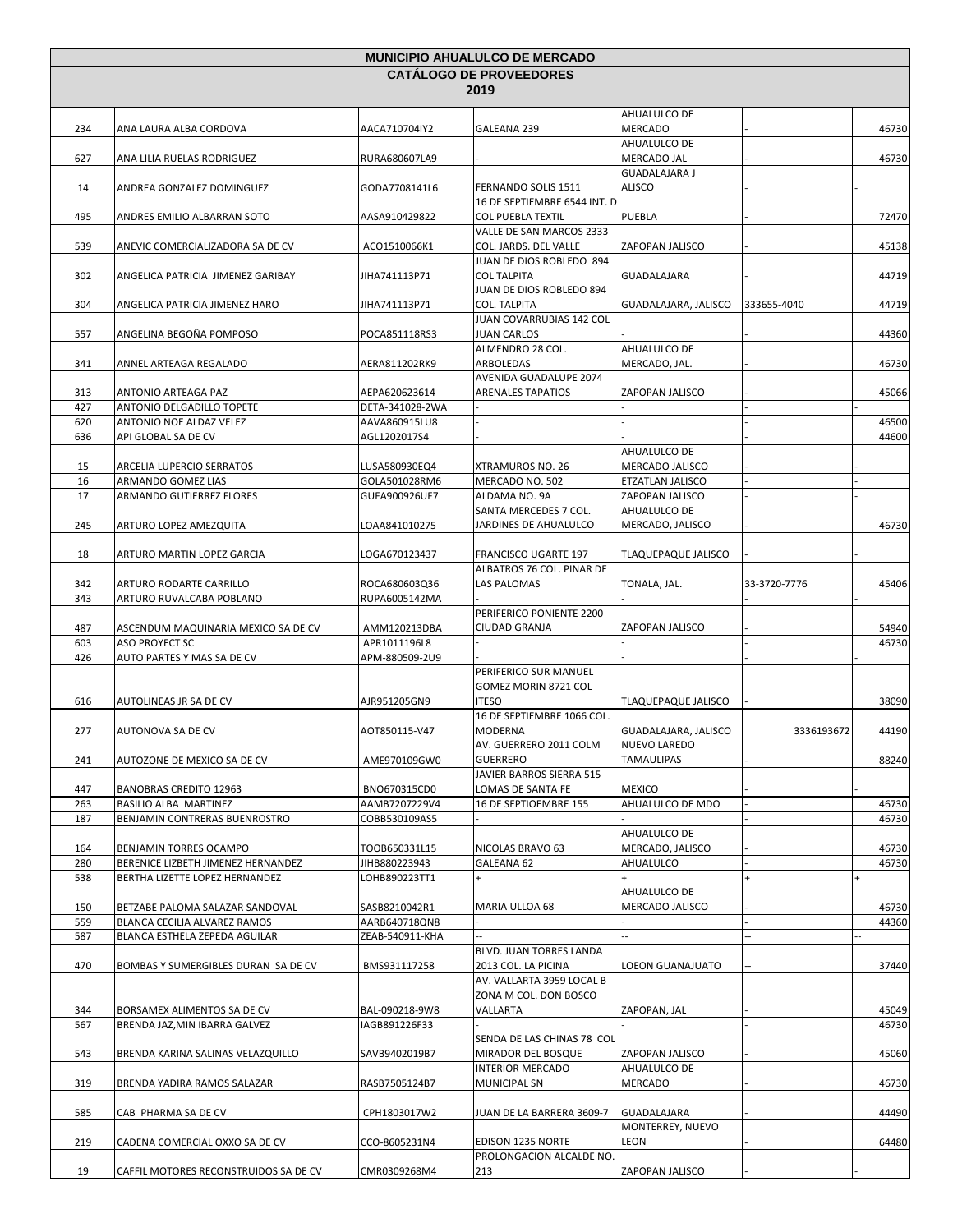|            |                                                               |                                  | <b>MUNICIPIO AHUALULCO DE MERCADO</b>                         |                                          |              |       |
|------------|---------------------------------------------------------------|----------------------------------|---------------------------------------------------------------|------------------------------------------|--------------|-------|
|            |                                                               |                                  | <b>CATÁLOGO DE PROVEEDORES</b>                                |                                          |              |       |
|            |                                                               |                                  | 2019                                                          |                                          |              |       |
| 234        | ANA LAURA ALBA CORDOVA                                        | AACA710704IY2                    | GALEANA 239                                                   | AHUALULCO DE<br><b>MERCADO</b>           |              | 46730 |
| 627        | ANA LILIA RUELAS RODRIGUEZ                                    | RURA680607LA9                    |                                                               | AHUALULCO DE<br>MERCADO JAL              |              | 46730 |
| 14         | ANDREA GONZALEZ DOMINGUEZ                                     | GODA7708141L6                    | FERNANDO SOLIS 1511                                           | <b>GUADALAJARA J</b><br>ALISCO           |              |       |
| 495        | ANDRES EMILIO ALBARRAN SOTO                                   | AASA910429822                    | 16 DE SEPTIEMBRE 6544 INT. D<br><b>COL PUEBLA TEXTIL</b>      | PUEBLA                                   |              | 72470 |
| 539        | ANEVIC COMERCIALIZADORA SA DE CV                              | ACO1510066K1                     | VALLE DE SAN MARCOS 2333<br>COL. JARDS. DEL VALLE             | ZAPOPAN JALISCO                          |              | 45138 |
|            |                                                               |                                  | JUAN DE DIOS ROBLEDO 894                                      |                                          |              |       |
| 302        | ANGELICA PATRICIA JIMENEZ GARIBAY                             | JIHA741113P71                    | <b>COL TALPITA</b><br>JUAN DE DIOS ROBLEDO 894                | GUADALAJARA                              |              | 44719 |
| 304        | ANGELICA PATRICIA JIMENEZ HARO                                | JIHA741113P71                    | <b>COL. TALPITA</b><br>JUAN COVARRUBIAS 142 COL               | GUADALAJARA, JALISCO                     | 333655-4040  | 44719 |
| 557        | ANGELINA BEGOÑA POMPOSO                                       | POCA851118RS3                    | JUAN CARLOS<br>ALMENDRO 28 COL.                               | AHUALULCO DE                             |              | 44360 |
| 341        | ANNEL ARTEAGA REGALADO                                        | AERA811202RK9                    | ARBOLEDAS<br>AVENIDA GUADALUPE 2074                           | MERCADO, JAL.                            |              | 46730 |
| 313<br>427 | ANTONIO ARTEAGA PAZ<br>ANTONIO DELGADILLO TOPETE              | AEPA620623614<br>DETA-341028-2WA | ARENALES TAPATIOS                                             | ZAPOPAN JALISCO                          |              | 45066 |
| 620        | ANTONIO NOE ALDAZ VELEZ                                       | AAVA860915LU8                    |                                                               |                                          |              | 46500 |
| 636        | API GLOBAL SA DE CV                                           | AGL1202017S4                     |                                                               |                                          |              | 44600 |
|            |                                                               |                                  |                                                               | AHUALULCO DE                             |              |       |
| 15         | ARCELIA LUPERCIO SERRATOS                                     | LUSA580930EQ4                    | XTRAMUROS NO. 26                                              | MERCADO JALISCO                          |              |       |
| 16         | ARMANDO GOMEZ LIAS                                            | GOLA501028RM6                    | MERCADO NO. 502                                               | ETZATLAN JALISCO                         |              |       |
| 17         | ARMANDO GUTIERREZ FLORES                                      | GUFA900926UF7                    | ALDAMA NO. 9A                                                 | ZAPOPAN JALISCO                          |              |       |
|            |                                                               |                                  | SANTA MERCEDES 7 COL.                                         | AHUALULCO DE                             |              |       |
| 245        | ARTURO LOPEZ AMEZQUITA                                        | LOAA841010275                    | JARDINES DE AHUALULCO                                         | MERCADO, JALISCO                         |              | 46730 |
| 18         | ARTURO MARTIN LOPEZ GARCIA                                    | LOGA670123437                    | <b>FRANCISCO UGARTE 197</b><br>ALBATROS 76 COL. PINAR DE      | TLAQUEPAQUE JALISCO                      |              |       |
| 342        | ARTURO RODARTE CARRILLO                                       | ROCA680603Q36                    | LAS PALOMAS                                                   | TONALA, JAL.                             | 33-3720-7776 | 45406 |
| 343        | ARTURO RUVALCABA POBLANO                                      | RUPA6005142MA                    |                                                               |                                          |              |       |
|            |                                                               |                                  | PERIFERICO PONIENTE 2200                                      |                                          |              |       |
| 487        | ASCENDUM MAQUINARIA MEXICO SA DE CV                           | AMM120213DBA                     | CIUDAD GRANJA                                                 | ZAPOPAN JALISCO                          |              | 54940 |
| 603        | ASO PROYECT SC                                                | APR1011196L8                     |                                                               |                                          |              | 46730 |
| 426        | AUTO PARTES Y MAS SA DE CV                                    | APM-880509-2U9                   |                                                               |                                          |              |       |
| 616        | AUTOLINEAS JR SA DE CV                                        | AJR951205GN9                     | PERIFERICO SUR MANUEL<br>GOMEZ MORIN 8721 COL<br><b>ITESO</b> | <b>TLAQUEPAQUE JALISCO</b>               |              | 38090 |
| 277        | AUTONOVA SA DE CV                                             | AOT850115-V47                    | 16 DE SEPTIEMBRE 1066 COL.<br>MODERNA                         | GUADALAJARA, JALISCO                     | 3336193672   | 44190 |
|            |                                                               |                                  | AV. GUERRERO 2011 COLM                                        | <b>NUEVO LAREDO</b><br><b>TAMAULIPAS</b> |              |       |
| 241        | AUTOZONE DE MEXICO SA DE CV                                   | AME970109GW0                     | <b>GUERRERO</b><br>JAVIER BARROS SIERRA 515                   |                                          |              | 88240 |
| 447        | <b>BANOBRAS CREDITO 12963</b>                                 | BNO670315CD0                     | LOMAS DE SANTA FE                                             | <b>MEXICO</b>                            |              |       |
| 263        | BASILIO ALBA MARTINEZ                                         | AAMB7207229V4                    | 16 DE SEPTIOEMBRE 155                                         | AHUALULCO DE MDO                         |              | 46730 |
| 187        | BENJAMIN CONTRERAS BUENROSTRO                                 | COBB530109AS5                    |                                                               | AHUALULCO DE                             |              | 46730 |
| 164        | BENJAMIN TORRES OCAMPO                                        | TOOB650331L15                    | NICOLAS BRAVO 63                                              | MERCADO, JALISCO                         |              | 46730 |
| 280        | BERENICE LIZBETH JIMENEZ HERNANDEZ                            | JIHB880223943                    | GALEANA 62                                                    | AHUALULCO                                |              | 46730 |
| 538        | BERTHA LIZETTE LOPEZ HERNANDEZ                                | LOHB890223TT1                    |                                                               | $+$                                      |              |       |
|            |                                                               |                                  |                                                               | AHUALULCO DE                             |              |       |
| 150        | BETZABE PALOMA SALAZAR SANDOVAL                               | SASB8210042R1                    | MARIA ULLOA 68                                                | MERCADO JALISCO                          |              | 46730 |
| 559<br>587 | BLANCA CECILIA ALVAREZ RAMOS<br>BLANCA ESTHELA ZEPEDA AGUILAR | AARB640718QN8<br>ZEAB-540911-KHA |                                                               |                                          |              | 44360 |
|            |                                                               |                                  | BLVD. JUAN TORRES LANDA                                       |                                          |              |       |
| 470        | BOMBAS Y SUMERGIBLES DURAN SA DE CV                           | BMS931117258                     | 2013 COL. LA PICINA<br>AV. VALLARTA 3959 LOCAL B              | LOEON GUANAJUATO                         |              | 37440 |
| 344        | BORSAMEX ALIMENTOS SA DE CV                                   | BAL-090218-9W8                   | ZONA M COL. DON BOSCO<br>VALLARTA                             | ZAPOPAN, JAL                             |              | 45049 |
| 567        | BRENDA JAZ, MIN IBARRA GALVEZ                                 | IAGB891226F33                    |                                                               |                                          |              | 46730 |
| 543        | BRENDA KARINA SALINAS VELAZQUILLO                             | SAVB9402019B7                    | SENDA DE LAS CHINAS 78 COL<br>MIRADOR DEL BOSQUE              | ZAPOPAN JALISCO                          |              | 45060 |
| 319        | BRENDA YADIRA RAMOS SALAZAR                                   | RASB7505124B7                    | <b>INTERIOR MERCADO</b><br><b>MUNICIPAL SN</b>                | AHUALULCO DE<br>MERCADO                  |              | 46730 |
|            |                                                               |                                  |                                                               |                                          |              |       |
| 585        | CAB PHARMA SA DE CV                                           | CPH1803017W2                     | JUAN DE LA BARRERA 3609-7                                     | <b>GUADALAJARA</b><br>MONTERREY, NUEVO   |              | 44490 |
| 219        | CADENA COMERCIAL OXXO SA DE CV                                | CCO-8605231N4                    | EDISON 1235 NORTE<br>PROLONGACION ALCALDE NO.                 | LEON                                     |              | 64480 |
| 19         | CAFFIL MOTORES RECONSTRUIDOS SA DE CV                         | CMR0309268M4                     | 213                                                           | ZAPOPAN JALISCO                          |              |       |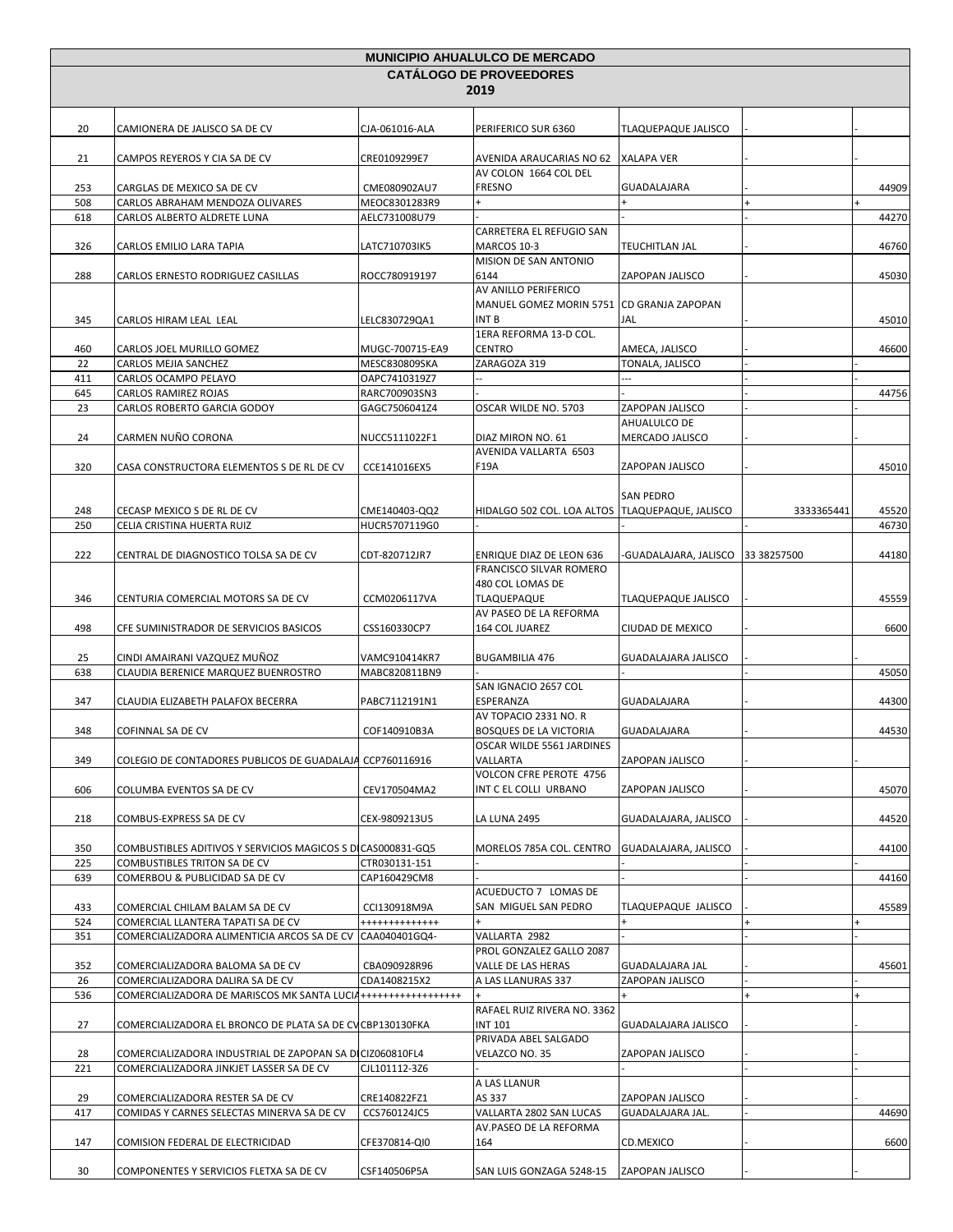| <b>MUNICIPIO AHUALULCO DE MERCADO</b> |                                                                 |                                  |                                                              |                                   |            |       |
|---------------------------------------|-----------------------------------------------------------------|----------------------------------|--------------------------------------------------------------|-----------------------------------|------------|-------|
|                                       |                                                                 |                                  | <b>CATALOGO DE PROVEEDORES</b>                               |                                   |            |       |
|                                       |                                                                 |                                  | 2019                                                         |                                   |            |       |
|                                       |                                                                 |                                  |                                                              |                                   |            |       |
| 20                                    | CAMIONERA DE JALISCO SA DE CV                                   | CJA-061016-ALA                   | PERIFERICO SUR 6360                                          | TLAQUEPAQUE JALISCO               |            |       |
| 21                                    | CAMPOS REYEROS Y CIA SA DE CV                                   | CRE0109299E7                     | AVENIDA ARAUCARIAS NO 62 XALAPA VER<br>AV COLON 1664 COL DEL |                                   |            |       |
| 253                                   | CARGLAS DE MEXICO SA DE CV                                      | CME080902AU7                     | <b>FRESNO</b>                                                | GUADALAJARA                       |            | 44909 |
| 508                                   | CARLOS ABRAHAM MENDOZA OLIVARES                                 | MEOC8301283R9                    |                                                              |                                   |            |       |
| 618                                   | CARLOS ALBERTO ALDRETE LUNA                                     | AELC731008U79                    |                                                              |                                   |            | 44270 |
| 326                                   | CARLOS EMILIO LARA TAPIA                                        | LATC710703IK5                    | CARRETERA EL REFUGIO SAN<br>MARCOS 10-3                      | TEUCHITLAN JAL                    |            | 46760 |
| 288                                   | CARLOS ERNESTO RODRIGUEZ CASILLAS                               | ROCC780919197                    | MISION DE SAN ANTONIO<br>6144                                | ZAPOPAN JALISCO                   |            | 45030 |
|                                       |                                                                 |                                  | AV ANILLO PERIFERICO                                         |                                   |            |       |
| 345                                   | CARLOS HIRAM LEAL LEAL                                          | LELC830729QA1                    | MANUEL GOMEZ MORIN 5751<br>INT B                             | <b>CD GRANJA ZAPOPAN</b><br>JAL   |            | 45010 |
|                                       |                                                                 |                                  | 1ERA REFORMA 13-D COL.                                       |                                   |            |       |
| 460<br>22                             | CARLOS JOEL MURILLO GOMEZ<br>CARLOS MEJIA SANCHEZ               | MUGC-700715-EA9<br>MESC830809SKA | <b>CENTRO</b><br>ZARAGOZA 319                                | AMECA, JALISCO<br>TONALA, JALISCO |            | 46600 |
| 411                                   | CARLOS OCAMPO PELAYO                                            | OAPC7410319Z7                    |                                                              | $\overline{a}$                    |            |       |
| 645                                   | <b>CARLOS RAMIREZ ROJAS</b>                                     | RARC700903SN3                    |                                                              |                                   |            | 44756 |
| 23                                    | CARLOS ROBERTO GARCIA GODOY                                     | GAGC7506041Z4                    | OSCAR WILDE NO. 5703                                         | ZAPOPAN JALISCO                   |            |       |
|                                       |                                                                 |                                  |                                                              | AHUALULCO DE                      |            |       |
| 24                                    | CARMEN NUÑO CORONA                                              | NUCC5111022F1                    | DIAZ MIRON NO. 61                                            | MERCADO JALISCO                   |            |       |
| 320                                   | CASA CONSTRUCTORA ELEMENTOS S DE RL DE CV                       | CCE141016EX5                     | AVENIDA VALLARTA 6503<br>F19A                                | ZAPOPAN JALISCO                   |            | 45010 |
|                                       |                                                                 |                                  |                                                              | <b>SAN PEDRO</b>                  |            |       |
| 248                                   | CECASP MEXICO S DE RL DE CV                                     | CME140403-QQ2                    | HIDALGO 502 COL. LOA ALTOS   TLAQUEPAQUE, JALISCO            |                                   | 3333365441 | 45520 |
| 250                                   | CELIA CRISTINA HUERTA RUIZ                                      | HUCR5707119G0                    |                                                              |                                   |            | 46730 |
|                                       |                                                                 |                                  |                                                              |                                   |            |       |
| 222                                   | CENTRAL DE DIAGNOSTICO TOLSA SA DE CV                           | CDT-820712JR7                    | ENRIQUE DIAZ DE LEON 636                                     | -GUADALAJARA, JALISCO 33 38257500 |            | 44180 |
|                                       |                                                                 |                                  | FRANCISCO SILVAR ROMERO                                      |                                   |            |       |
|                                       |                                                                 |                                  | 480 COL LOMAS DE                                             |                                   |            |       |
| 346                                   | CENTURIA COMERCIAL MOTORS SA DE CV                              | CCM0206117VA                     | TLAQUEPAQUE                                                  | TLAQUEPAQUE JALISCO               |            | 45559 |
| 498                                   | CFE SUMINISTRADOR DE SERVICIOS BASICOS                          | CSS160330CP7                     | AV PASEO DE LA REFORMA<br>164 COL JUAREZ                     | CIUDAD DE MEXICO                  |            | 6600  |
|                                       |                                                                 |                                  |                                                              |                                   |            |       |
| 25                                    | CINDI AMAIRANI VAZQUEZ MUÑOZ                                    | VAMC910414KR7                    | <b>BUGAMBILIA 476</b>                                        | GUADALAJARA JALISCO               |            |       |
| 638                                   | CLAUDIA BERENICE MARQUEZ BUENROSTRO                             | MABC820811BN9                    |                                                              |                                   |            | 45050 |
| 347                                   | CLAUDIA ELIZABETH PALAFOX BECERRA                               | PABC7112191N1                    | SAN IGNACIO 2657 COL<br>ESPERANZA                            | GUADALAJARA                       |            | 44300 |
| 348                                   | COFINNAL SA DE CV                                               | COF140910B3A                     | AV TOPACIO 2331 NO. R<br>BOSQUES DE LA VICTORIA              | GUADALAJARA                       |            | 44530 |
|                                       |                                                                 |                                  | OSCAR WILDE 5561 JARDINES                                    |                                   |            |       |
| 349                                   | COLEGIO DE CONTADORES PUBLICOS DE GUADALAJA CCP760116916        |                                  | VALLARTA                                                     | ZAPOPAN JALISCO                   |            |       |
| 606                                   | COLUMBA EVENTOS SA DE CV                                        | CEV170504MA2                     | VOLCON CFRE PEROTE 4756<br>INT C EL COLLI URBANO             | ZAPOPAN JALISCO                   |            | 45070 |
| 218                                   | COMBUS-EXPRESS SA DE CV                                         | CEX-9809213U5                    | <b>LA LUNA 2495</b>                                          | GUADALAJARA, JALISCO              |            | 44520 |
| 350                                   | COMBUSTIBLES ADITIVOS Y SERVICIOS MAGICOS S DI CAS000831-GQ5    |                                  | MORELOS 785A COL. CENTRO                                     | GUADALAJARA, JALISCO              |            | 44100 |
| 225                                   | COMBUSTIBLES TRITON SA DE CV                                    | CTR030131-151                    |                                                              |                                   |            |       |
| 639                                   | COMERBOU & PUBLICIDAD SA DE CV                                  | CAP160429CM8                     | ACUEDUCTO 7 LOMAS DE                                         |                                   |            | 44160 |
| 433                                   | COMERCIAL CHILAM BALAM SA DE CV                                 | CCI130918M9A                     | SAN MIGUEL SAN PEDRO                                         | TLAQUEPAQUE JALISCO               |            | 45589 |
| 524                                   | COMERCIAL LLANTERA TAPATI SA DE CV                              | +++++++++++++                    |                                                              |                                   |            |       |
| 351                                   | COMERCIALIZADORA ALIMENTICIA ARCOS SA DE CV                     | CAA040401GQ4-                    | VALLARTA 2982                                                |                                   |            |       |
|                                       |                                                                 |                                  | PROL GONZALEZ GALLO 2087                                     |                                   |            |       |
| 352                                   | COMERCIALIZADORA BALOMA SA DE CV                                | CBA090928R96                     | VALLE DE LAS HERAS                                           | GUADALAJARA JAL                   |            | 45601 |
| 26                                    | COMERCIALIZADORA DALIRA SA DE CV                                | CDA1408215X2                     | A LAS LLANURAS 337                                           | ZAPOPAN JALISCO                   |            |       |
| 536                                   | COMERCIALIZADORA DE MARISCOS MK SANTA LUCIA +++++++++++++++++++ |                                  | RAFAEL RUIZ RIVERA NO. 3362                                  |                                   |            |       |
| 27                                    | COMERCIALIZADORA EL BRONCO DE PLATA SA DE CV CBP130130FKA       |                                  | <b>INT 101</b><br>PRIVADA ABEL SALGADO                       | GUADALAJARA JALISCO               |            |       |
| 28                                    | COMERCIALIZADORA INDUSTRIAL DE ZAPOPAN SA DICIZ060810FL4        |                                  | VELAZCO NO. 35                                               | ZAPOPAN JALISCO                   |            |       |
| 221                                   | COMERCIALIZADORA JINKJET LASSER SA DE CV                        | CJL101112-3Z6                    |                                                              |                                   |            |       |
|                                       |                                                                 |                                  | A LAS LLANUR                                                 |                                   |            |       |
| 29                                    | COMERCIALIZADORA RESTER SA DE CV                                | CRE140822FZ1                     | AS 337                                                       | ZAPOPAN JALISCO                   |            |       |
| 417                                   | COMIDAS Y CARNES SELECTAS MINERVA SA DE CV                      | CCS760124JC5                     | VALLARTA 2802 SAN LUCAS                                      | GUADALAJARA JAL.                  |            | 44690 |
|                                       |                                                                 |                                  | AV.PASEO DE LA REFORMA                                       |                                   |            |       |
| 147                                   | COMISION FEDERAL DE ELECTRICIDAD                                | CFE370814-QI0                    | 164                                                          | CD.MEXICO                         |            | 6600  |
| 30                                    | COMPONENTES Y SERVICIOS FLETXA SA DE CV                         | CSF140506P5A                     | SAN LUIS GONZAGA 5248-15                                     | ZAPOPAN JALISCO                   |            |       |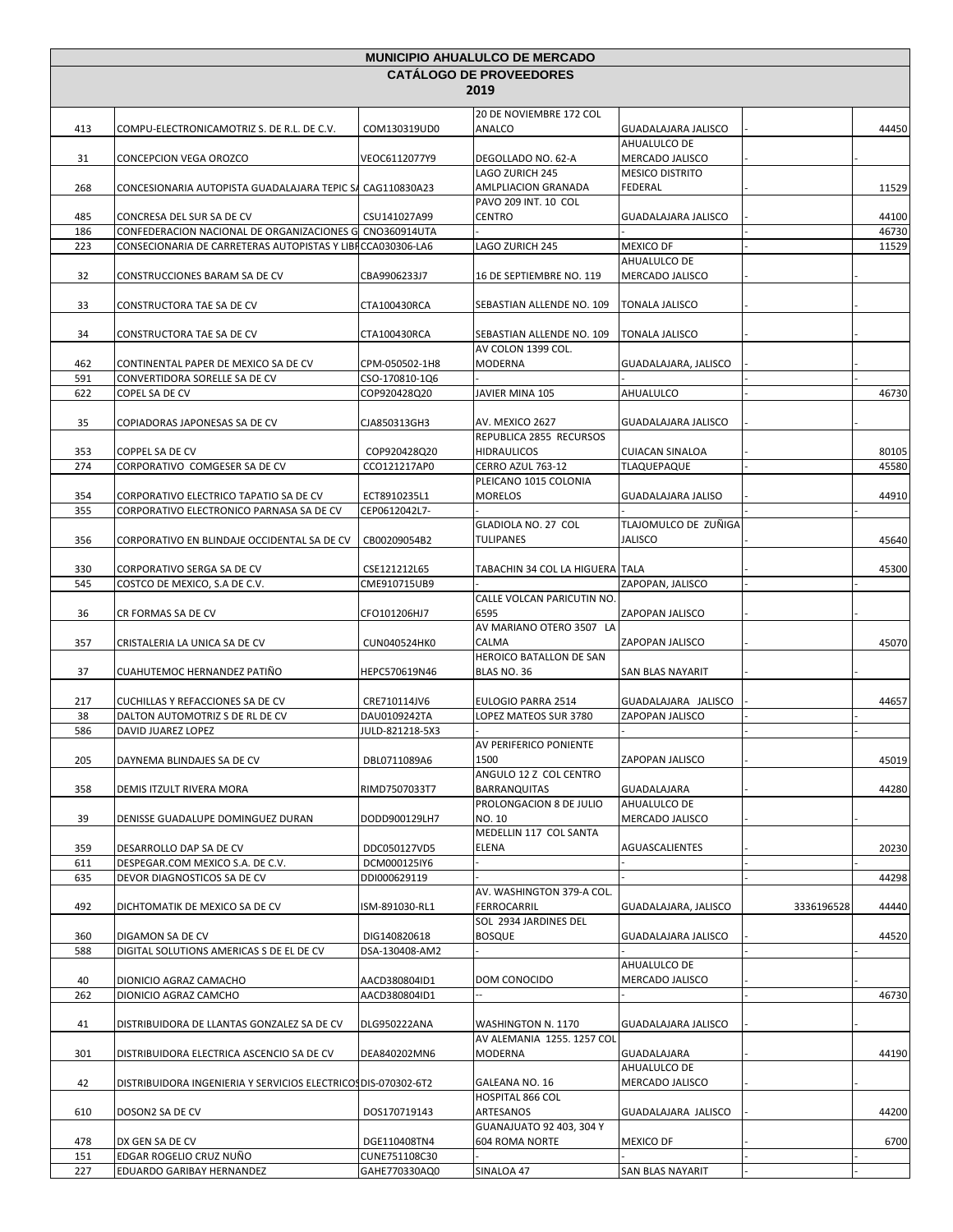| <b>MUNICIPIO AHUALULCO DE MERCADO</b> |                                                                                                                        |                              |                                                 |                                        |            |                |
|---------------------------------------|------------------------------------------------------------------------------------------------------------------------|------------------------------|-------------------------------------------------|----------------------------------------|------------|----------------|
|                                       |                                                                                                                        |                              | <b>CATALOGO DE PROVEEDORES</b>                  |                                        |            |                |
|                                       |                                                                                                                        |                              | 2019                                            |                                        |            |                |
| 413                                   | COMPU-ELECTRONICAMOTRIZ S. DE R.L. DE C.V.                                                                             | COM130319UD0                 | 20 DE NOVIEMBRE 172 COL<br>ANALCO               | <b>GUADALAJARA JALISCO</b>             |            | 44450          |
| 31                                    | CONCEPCION VEGA OROZCO                                                                                                 | VEOC6112077Y9                | DEGOLLADO NO. 62-A                              | AHUALULCO DE<br>MERCADO JALISCO        |            |                |
| 268                                   | CONCESIONARIA AUTOPISTA GUADALAJARA TEPIC S/ CAG110830A23                                                              |                              | LAGO ZURICH 245<br>AMLPLIACION GRANADA          | <b>MESICO DISTRITO</b><br>FEDERAL      |            | 11529          |
|                                       |                                                                                                                        |                              | PAVO 209 INT. 10 COL                            |                                        |            |                |
| 485                                   | CONCRESA DEL SUR SA DE CV                                                                                              | CSU141027A99                 | <b>CENTRO</b>                                   | <b>GUADALAJARA JALISCO</b>             |            | 44100          |
| 186<br>223                            | CONFEDERACION NACIONAL DE ORGANIZACIONES G CNO360914UTA<br>CONSECIONARIA DE CARRETERAS AUTOPISTAS Y LIBI CCA030306-LA6 |                              | LAGO ZURICH 245                                 | <b>MEXICO DF</b>                       |            | 46730<br>11529 |
|                                       |                                                                                                                        |                              |                                                 | AHUALULCO DE                           |            |                |
| 32                                    | CONSTRUCCIONES BARAM SA DE CV                                                                                          | CBA9906233J7                 | 16 DE SEPTIEMBRE NO. 119                        | MERCADO JALISCO                        |            |                |
| 33                                    | CONSTRUCTORA TAE SA DE CV                                                                                              | CTA100430RCA                 | SEBASTIAN ALLENDE NO. 109                       | <b>TONALA JALISCO</b>                  |            |                |
| 34                                    | CONSTRUCTORA TAE SA DE CV                                                                                              | CTA100430RCA                 | SEBASTIAN ALLENDE NO. 109<br>AV COLON 1399 COL. | <b>TONALA JALISCO</b>                  |            |                |
| 462                                   | CONTINENTAL PAPER DE MEXICO SA DE CV                                                                                   | CPM-050502-1H8               | MODERNA                                         | GUADALAJARA, JALISCO                   |            |                |
| 591                                   | CONVERTIDORA SORELLE SA DE CV                                                                                          | CSO-170810-1Q6               |                                                 |                                        |            |                |
| 622                                   | COPEL SA DE CV                                                                                                         | COP920428Q20                 | JAVIER MINA 105                                 | AHUALULCO                              |            | 46730          |
| 35                                    | COPIADORAS JAPONESAS SA DE CV                                                                                          | CJA850313GH3                 | AV. MEXICO 2627                                 | <b>GUADALAJARA JALISCO</b>             |            |                |
|                                       |                                                                                                                        |                              | REPUBLICA 2855 RECURSOS                         |                                        |            |                |
| 353                                   | COPPEL SA DE CV                                                                                                        | COP920428Q20                 | <b>HIDRAULICOS</b>                              | <b>CUIACAN SINALOA</b>                 |            | 80105          |
| 274                                   | CORPORATIVO COMGESER SA DE CV                                                                                          | CCO121217AP0                 | CERRO AZUL 763-12                               | <b>TLAQUEPAQUE</b>                     |            | 45580          |
| 354                                   | CORPORATIVO ELECTRICO TAPATIO SA DE CV                                                                                 | ECT8910235L1                 | PLEICANO 1015 COLONIA<br><b>MORELOS</b>         | <b>GUADALAJARA JALISO</b>              |            | 44910          |
| 355                                   | CORPORATIVO ELECTRONICO PARNASA SA DE CV                                                                               | CEP0612042L7-                |                                                 |                                        |            |                |
| 356                                   | CORPORATIVO EN BLINDAJE OCCIDENTAL SA DE CV                                                                            | CB00209054B2                 | GLADIOLA NO. 27 COL<br><b>TULIPANES</b>         | TLAJOMULCO DE ZUÑIGA<br><b>JALISCO</b> |            | 45640          |
|                                       |                                                                                                                        |                              |                                                 |                                        |            |                |
| 330                                   | CORPORATIVO SERGA SA DE CV                                                                                             | CSE121212L65                 | TABACHIN 34 COL LA HIGUERA TALA                 |                                        |            | 45300          |
| 545                                   | COSTCO DE MEXICO, S.A DE C.V.                                                                                          | CME910715UB9                 |                                                 | ZAPOPAN, JALISCO                       |            |                |
| 36                                    | CR FORMAS SA DE CV                                                                                                     | CFO101206HJ7                 | CALLE VOLCAN PARICUTIN NO.<br>6595              | ZAPOPAN JALISCO                        |            |                |
| 357                                   | CRISTALERIA LA UNICA SA DE CV                                                                                          | CUN040524HK0                 | AV MARIANO OTERO 3507 LA<br>CALMA               | ZAPOPAN JALISCO                        |            | 45070          |
| 37                                    | CUAHUTEMOC HERNANDEZ PATIÑO                                                                                            | HEPC570619N46                | HEROICO BATALLON DE SAN<br>BLAS NO. 36          | SAN BLAS NAYARIT                       |            |                |
| 217                                   | CUCHILLAS Y REFACCIONES SA DE CV                                                                                       | CRE710114JV6                 | EULOGIO PARRA 2514                              | GUADALAJARA JALISCO                    |            | 44657          |
| 38                                    | DALTON AUTOMOTRIZ S DE RL DE CV                                                                                        | DAU0109242TA                 | LOPEZ MATEOS SUR 3780                           | ZAPOPAN JALISCO                        |            |                |
| 586                                   | DAVID JUAREZ LOPEZ                                                                                                     | JULD-821218-5X3              |                                                 |                                        |            |                |
| 205                                   | DAYNEMA BLINDAJES SA DE CV                                                                                             | DBL0711089A6                 | AV PERIFERICO PONIENTE<br>1500                  | ZAPOPAN JALISCO                        |            | 45019          |
| 358                                   | DEMIS ITZULT RIVERA MORA                                                                                               | RIMD7507033T7                | ANGULO 12 Z COL CENTRO<br><b>BARRANQUITAS</b>   | GUADALAJARA                            |            | 44280          |
|                                       |                                                                                                                        |                              | PROLONGACION 8 DE JULIO                         | AHUALULCO DE                           |            |                |
| 39                                    | DENISSE GUADALUPE DOMINGUEZ DURAN                                                                                      | DODD900129LH7                | NO. 10<br>MEDELLIN 117 COL SANTA                | MERCADO JALISCO                        |            |                |
| 359                                   | DESARROLLO DAP SA DE CV                                                                                                | DDC050127VD5                 | <b>ELENA</b>                                    | AGUASCALIENTES                         |            | 20230          |
| 611<br>635                            | DESPEGAR.COM MEXICO S.A. DE C.V.<br>DEVOR DIAGNOSTICOS SA DE CV                                                        | DCM000125IY6<br>DDI000629119 |                                                 |                                        |            | 44298          |
|                                       |                                                                                                                        |                              | AV. WASHINGTON 379-A COL.                       |                                        |            |                |
| 492                                   | DICHTOMATIK DE MEXICO SA DE CV                                                                                         | ISM-891030-RL1               | FERROCARRIL                                     | GUADALAJARA, JALISCO                   | 3336196528 | 44440          |
| 360                                   | DIGAMON SA DE CV                                                                                                       | DIG140820618                 | SOL 2934 JARDINES DEL<br><b>BOSQUE</b>          | <b>GUADALAJARA JALISCO</b>             |            | 44520          |
| 588                                   | DIGITAL SOLUTIONS AMERICAS S DE EL DE CV                                                                               | DSA-130408-AM2               |                                                 |                                        |            |                |
|                                       |                                                                                                                        |                              |                                                 | AHUALULCO DE                           |            |                |
| 40                                    | DIONICIO AGRAZ CAMACHO                                                                                                 | AACD380804ID1                | DOM CONOCIDO                                    | MERCADO JALISCO                        |            |                |
| 262                                   | DIONICIO AGRAZ CAMCHO                                                                                                  | AACD380804ID1                |                                                 |                                        |            | 46730          |
| 41                                    | DISTRIBUIDORA DE LLANTAS GONZALEZ SA DE CV                                                                             | DLG950222ANA                 | WASHINGTON N. 1170                              | GUADALAJARA JALISCO                    |            |                |
| 301                                   | DISTRIBUIDORA ELECTRICA ASCENCIO SA DE CV                                                                              | DEA840202MN6                 | AV ALEMANIA 1255. 1257 COL<br><b>MODERNA</b>    | GUADALAJARA                            |            | 44190          |
| 42                                    | DISTRIBUIDORA INGENIERIA Y SERVICIOS ELECTRICOS DIS-070302-6T2                                                         |                              | GALEANA NO. 16                                  | AHUALULCO DE<br>MERCADO JALISCO        |            |                |
|                                       |                                                                                                                        |                              | HOSPITAL 866 COL                                |                                        |            |                |
| 610                                   | DOSON2 SA DE CV                                                                                                        | DOS170719143                 | ARTESANOS<br>GUANAJUATO 92 403, 304 Y           | GUADALAJARA JALISCO                    |            | 44200          |
| 478                                   | DX GEN SA DE CV                                                                                                        | DGE110408TN4                 | 604 ROMA NORTE                                  | <b>MEXICO DF</b>                       |            | 6700           |
| 151                                   | EDGAR ROGELIO CRUZ NUÑO                                                                                                | CUNE751108C30                |                                                 |                                        |            |                |
| 227                                   | EDUARDO GARIBAY HERNANDEZ                                                                                              | GAHE770330AQ0                | SINALOA 47                                      | SAN BLAS NAYARIT                       |            |                |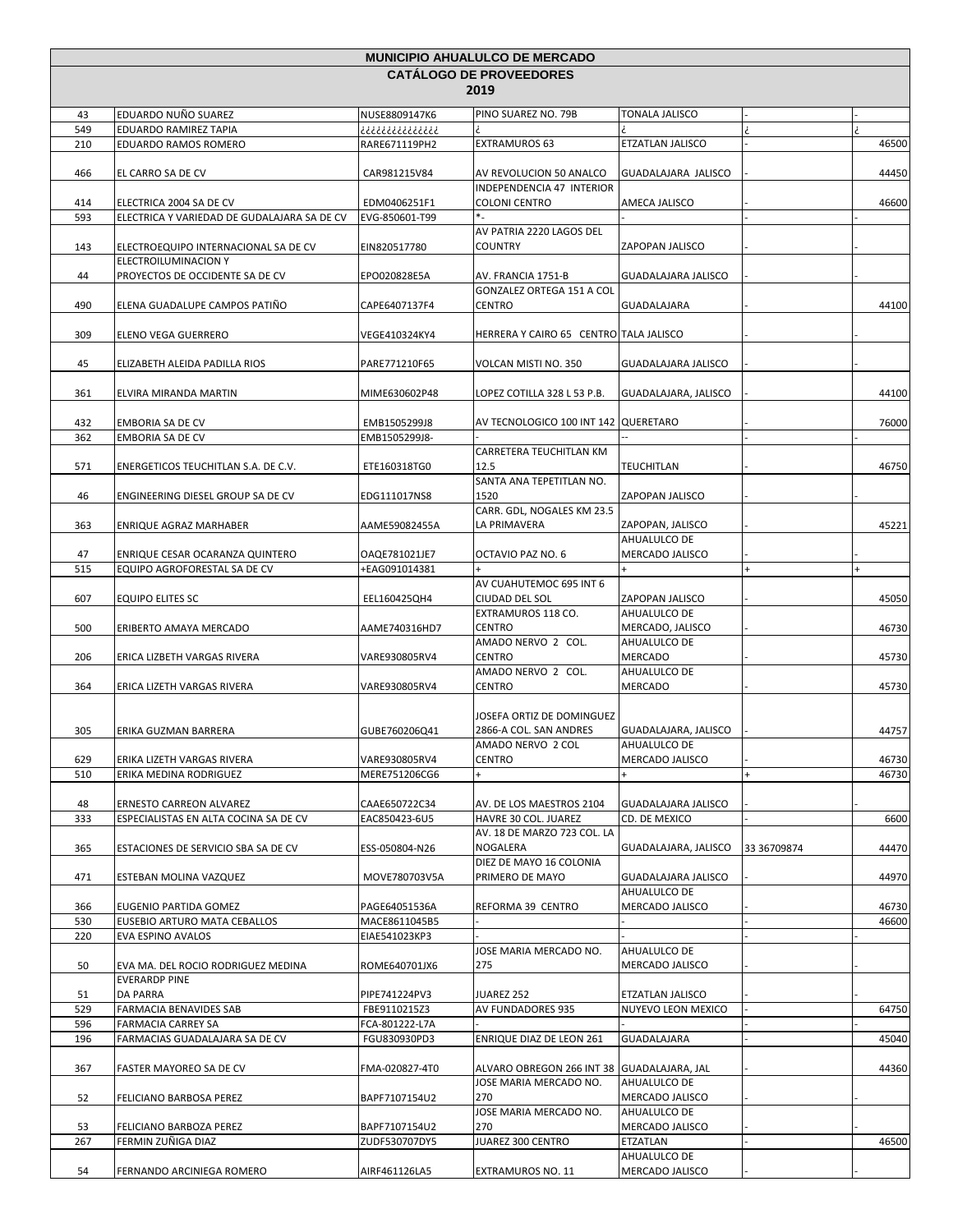| <b>MUNICIPIO AHUALULCO DE MERCADO</b> |                                                              |                                |                                                     |                                        |             |                |
|---------------------------------------|--------------------------------------------------------------|--------------------------------|-----------------------------------------------------|----------------------------------------|-------------|----------------|
|                                       |                                                              |                                | <b>CATALOGO DE PROVEEDORES</b>                      |                                        |             |                |
|                                       |                                                              |                                | 2019                                                |                                        |             |                |
| 43                                    | EDUARDO NUÑO SUAREZ                                          | NUSE8809147K6                  | PINO SUAREZ NO. 79B                                 | TONALA JALISCO                         |             |                |
| 549                                   | EDUARDO RAMIREZ TAPIA                                        | ذذذذذذذذذذذذذذ                 |                                                     |                                        |             |                |
| 210                                   | EDUARDO RAMOS ROMERO                                         | RARE671119PH2                  | EXTRAMUROS 63                                       | ETZATLAN JALISCO                       |             | 46500          |
| 466                                   | EL CARRO SA DE CV                                            | CAR981215V84                   | AV REVOLUCION 50 ANALCO                             | GUADALAJARA JALISCO                    |             | 44450          |
|                                       |                                                              |                                | INDEPENDENCIA 47 INTERIOR                           |                                        |             |                |
| 414                                   | ELECTRICA 2004 SA DE CV                                      | EDM0406251F1                   | <b>COLONI CENTRO</b>                                | AMECA JALISCO                          |             | 46600          |
| 593                                   | ELECTRICA Y VARIEDAD DE GUDALAJARA SA DE CV                  | EVG-850601-T99                 | $*$                                                 |                                        |             |                |
|                                       |                                                              |                                | AV PATRIA 2220 LAGOS DEL                            |                                        |             |                |
| 143                                   | ELECTROEQUIPO INTERNACIONAL SA DE CV<br>ELECTROILUMINACION Y | EIN820517780                   | <b>COUNTRY</b>                                      | ZAPOPAN JALISCO                        |             |                |
| 44                                    | PROYECTOS DE OCCIDENTE SA DE CV                              | EPO020828E5A                   | AV. FRANCIA 1751-B                                  | GUADALAJARA JALISCO                    |             |                |
|                                       |                                                              |                                | GONZALEZ ORTEGA 151 A COL                           |                                        |             |                |
| 490                                   | ELENA GUADALUPE CAMPOS PATIÑO                                | CAPE6407137F4                  | <b>CENTRO</b>                                       | GUADALAJARA                            |             | 44100          |
|                                       |                                                              |                                |                                                     |                                        |             |                |
| 309                                   | ELENO VEGA GUERRERO                                          | VEGE410324KY4                  | HERRERA Y CAIRO 65 CENTRO TALA JALISCO              |                                        |             |                |
| 45                                    | ELIZABETH ALEIDA PADILLA RIOS                                | PARE771210F65                  | VOLCAN MISTI NO. 350                                | GUADALAJARA JALISCO                    |             |                |
|                                       |                                                              |                                |                                                     |                                        |             |                |
| 361                                   | ELVIRA MIRANDA MARTIN                                        | MIME630602P48                  | LOPEZ COTILLA 328 L 53 P.B.                         | GUADALAJARA, JALISCO                   |             | 44100          |
|                                       |                                                              |                                |                                                     |                                        |             |                |
| 432                                   | EMBORIA SA DE CV                                             | EMB1505299J8                   | AV TECNOLOGICO 100 INT 142   QUERETARO              |                                        |             | 76000          |
| 362                                   | EMBORIA SA DE CV                                             | EMB1505299J8-                  | <b>CARRETERA TEUCHITLAN KM</b>                      |                                        |             |                |
| 571                                   | ENERGETICOS TEUCHITLAN S.A. DE C.V.                          | ETE160318TG0                   | 12.5                                                | TEUCHITLAN                             |             | 46750          |
|                                       |                                                              |                                | SANTA ANA TEPETITLAN NO.                            |                                        |             |                |
| 46                                    | ENGINEERING DIESEL GROUP SA DE CV                            | EDG111017NS8                   | 1520                                                | ZAPOPAN JALISCO                        |             |                |
|                                       |                                                              |                                | CARR. GDL, NOGALES KM 23.5                          |                                        |             |                |
| 363                                   | ENRIQUE AGRAZ MARHABER                                       | AAME59082455A                  | LA PRIMAVERA                                        | ZAPOPAN, JALISCO                       |             | 45221          |
| 47                                    | ENRIQUE CESAR OCARANZA QUINTERO                              | OAQE781021JE7                  | OCTAVIO PAZ NO. 6                                   | AHUALULCO DE<br>MERCADO JALISCO        |             |                |
| 515                                   | EQUIPO AGROFORESTAL SA DE CV                                 | +EAG091014381                  | $\ddot{}$                                           | $+$                                    | $+$         | $\ddot{}$      |
|                                       |                                                              |                                | AV CUAHUTEMOC 695 INT 6                             |                                        |             |                |
| 607                                   | EQUIPO ELITES SC                                             | EEL160425QH4                   | CIUDAD DEL SOL                                      | ZAPOPAN JALISCO                        |             | 45050          |
|                                       |                                                              |                                | EXTRAMUROS 118 CO.                                  | AHUALULCO DE                           |             |                |
| 500                                   | ERIBERTO AMAYA MERCADO                                       | AAME740316HD7                  | <b>CENTRO</b><br>AMADO NERVO 2 COL.                 | MERCADO, JALISCO<br>AHUALULCO DE       |             | 46730          |
| 206                                   | ERICA LIZBETH VARGAS RIVERA                                  | VARE930805RV4                  | <b>CENTRO</b>                                       | MERCADO                                |             | 45730          |
|                                       |                                                              |                                | AMADO NERVO 2 COL.                                  | AHUALULCO DE                           |             |                |
| 364                                   | ERICA LIZETH VARGAS RIVERA                                   | VARE930805RV4                  | <b>CENTRO</b>                                       | <b>MERCADO</b>                         |             | 45730          |
|                                       |                                                              |                                |                                                     |                                        |             |                |
| 305                                   | ERIKA GUZMAN BARRERA                                         | GUBE760206Q41                  | JOSEFA ORTIZ DE DOMINGUEZ<br>2866-A COL. SAN ANDRES | GUADALAJARA, JALISCO                   |             | 44757          |
|                                       |                                                              |                                | AMADO NERVO 2 COL                                   | AHUALULCO DE                           |             |                |
| 629                                   | ERIKA LIZETH VARGAS RIVERA                                   | VARE930805RV4                  | <b>CENTRO</b>                                       | MERCADO JALISCO                        |             | 46730          |
| 510                                   | ERIKA MEDINA RODRIGUEZ                                       | MERE751206CG6                  | +                                                   | $\ddot{}$                              | $\ddot{}$   | 46730          |
|                                       |                                                              |                                |                                                     |                                        |             |                |
| 48                                    | <b>ERNESTO CARREON ALVAREZ</b>                               | CAAE650722C34                  | AV. DE LOS MAESTROS 2104                            | GUADALAJARA JALISCO<br>CD. DE MEXICO   |             |                |
| 333                                   | ESPECIALISTAS EN ALTA COCINA SA DE CV                        | EAC850423-6U5                  | HAVRE 30 COL. JUAREZ<br>AV. 18 DE MARZO 723 COL. LA |                                        |             | 6600           |
| 365                                   | ESTACIONES DE SERVICIO SBA SA DE CV                          | ESS-050804-N26                 | NOGALERA                                            | GUADALAJARA, JALISCO                   | 33 36709874 | 44470          |
|                                       |                                                              |                                | DIEZ DE MAYO 16 COLONIA                             |                                        |             |                |
| 471                                   | ESTEBAN MOLINA VAZQUEZ                                       | MOVE780703V5A                  | PRIMERO DE MAYO                                     | <b>GUADALAJARA JALISCO</b>             |             | 44970          |
|                                       |                                                              |                                |                                                     | AHUALULCO DE                           |             |                |
| 366<br>530                            | EUGENIO PARTIDA GOMEZ<br>EUSEBIO ARTURO MATA CEBALLOS        | PAGE64051536A<br>MACE8611045B5 | REFORMA 39 CENTRO                                   | MERCADO JALISCO                        |             | 46730<br>46600 |
| 220                                   | EVA ESPINO AVALOS                                            | EIAE541023KP3                  |                                                     |                                        |             |                |
|                                       |                                                              |                                | JOSE MARIA MERCADO NO.                              | AHUALULCO DE                           |             |                |
| 50                                    | EVA MA. DEL ROCIO RODRIGUEZ MEDINA                           | ROME640701JX6                  | 275                                                 | MERCADO JALISCO                        |             |                |
|                                       | <b>EVERARDP PINE</b>                                         |                                |                                                     |                                        |             |                |
| 51<br>529                             | DA PARRA<br>FARMACIA BENAVIDES SAB                           | PIPE741224PV3<br>FBE9110215Z3  | JUAREZ 252<br>AV FUNDADORES 935                     | ETZATLAN JALISCO<br>NUYEVO LEON MEXICO |             | 64750          |
| 596                                   | FARMACIA CARREY SA                                           | FCA-801222-L7A                 |                                                     |                                        |             |                |
| 196                                   | FARMACIAS GUADALAJARA SA DE CV                               | FGU830930PD3                   | ENRIQUE DIAZ DE LEON 261                            | GUADALAJARA                            |             | 45040          |
|                                       |                                                              |                                |                                                     |                                        |             |                |
| 367                                   | FASTER MAYOREO SA DE CV                                      | FMA-020827-4T0                 | ALVARO OBREGON 266 INT 38 GUADALAJARA, JAL          |                                        |             | 44360          |
| 52                                    | FELICIANO BARBOSA PEREZ                                      | BAPF7107154U2                  | JOSE MARIA MERCADO NO.<br>270                       | AHUALULCO DE<br>MERCADO JALISCO        |             |                |
|                                       |                                                              |                                | JOSE MARIA MERCADO NO.                              | AHUALULCO DE                           |             |                |
| 53                                    | FELICIANO BARBOZA PEREZ                                      | BAPF7107154U2                  | 270                                                 | MERCADO JALISCO                        |             |                |
| 267                                   | FERMIN ZUÑIGA DIAZ                                           | ZUDF530707DY5                  | JUAREZ 300 CENTRO                                   | ETZATLAN                               |             | 46500          |
|                                       |                                                              |                                |                                                     | AHUALULCO DE                           |             |                |
| 54                                    | FERNANDO ARCINIEGA ROMERO                                    | AIRF461126LA5                  | EXTRAMUROS NO. 11                                   | MERCADO JALISCO                        |             |                |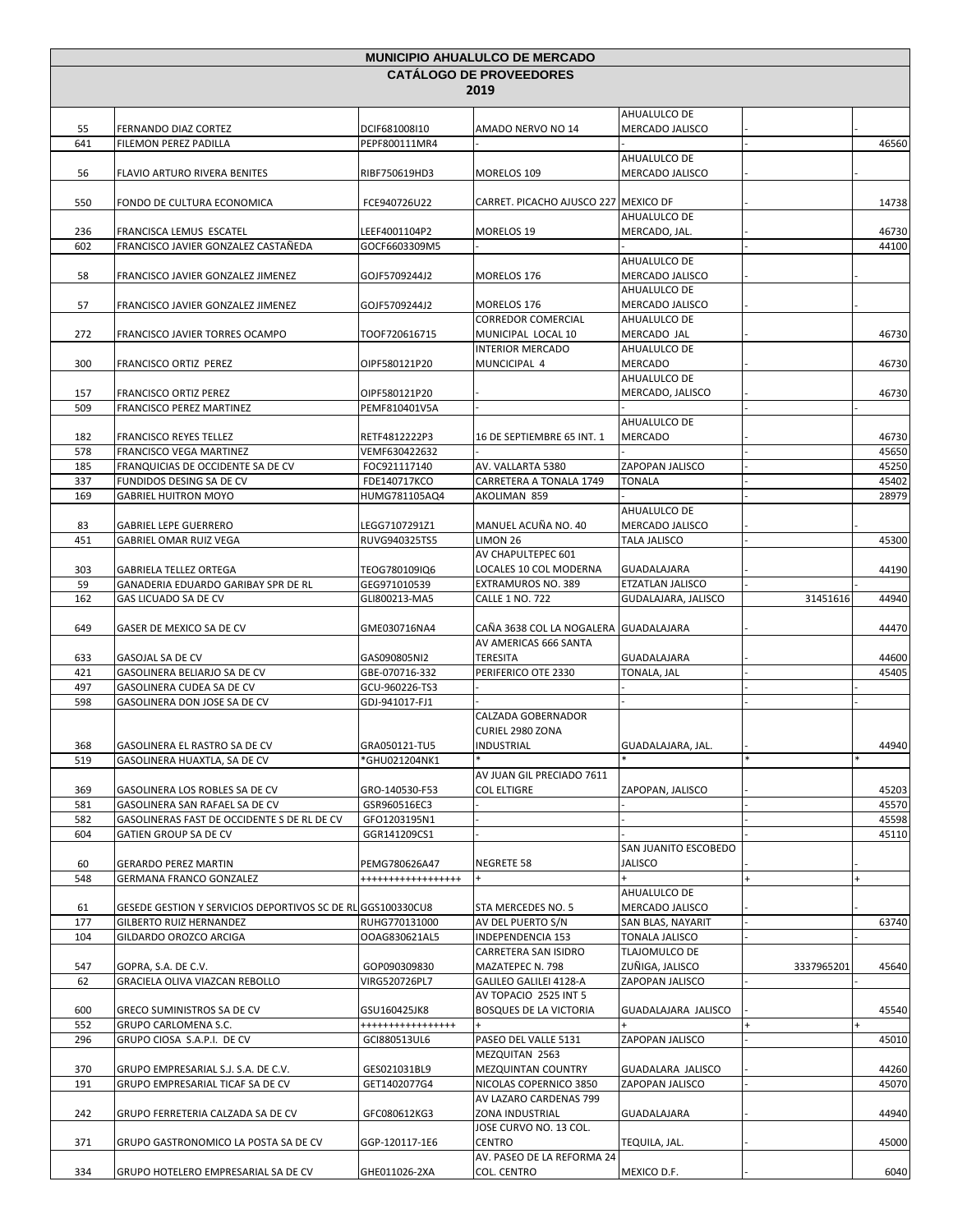| <b>MUNICIPIO AHUALULCO DE MERCADO</b> |                                                                         |                                |                                              |                                      |            |                |
|---------------------------------------|-------------------------------------------------------------------------|--------------------------------|----------------------------------------------|--------------------------------------|------------|----------------|
|                                       |                                                                         |                                | <b>CATALOGO DE PROVEEDORES</b>               |                                      |            |                |
|                                       |                                                                         |                                | 2019                                         |                                      |            |                |
| 55                                    | FERNANDO DIAZ CORTEZ                                                    | DCIF681008I10                  | AMADO NERVO NO 14                            | AHUALULCO DE<br>MERCADO JALISCO      |            |                |
| 641                                   | FILEMON PEREZ PADILLA                                                   | PEPF800111MR4                  |                                              |                                      |            | 46560          |
|                                       |                                                                         |                                |                                              | AHUALULCO DE                         |            |                |
| 56                                    | <b>FLAVIO ARTURO RIVERA BENITES</b>                                     | RIBF750619HD3                  | MORELOS 109                                  | MERCADO JALISCO                      |            |                |
|                                       |                                                                         |                                |                                              |                                      |            |                |
| 550                                   | FONDO DE CULTURA ECONOMICA                                              | FCE940726U22                   | CARRET. PICACHO AJUSCO 227 MEXICO DF         | AHUALULCO DE                         |            | 14738          |
| 236                                   | FRANCISCA LEMUS ESCATEL                                                 | LEEF4001104P2                  | MORELOS 19                                   | MERCADO, JAL.                        |            | 46730          |
| 602                                   | FRANCISCO JAVIER GONZALEZ CASTAÑEDA                                     | GOCF6603309M5                  |                                              |                                      |            | 44100          |
|                                       |                                                                         |                                |                                              | AHUALULCO DE                         |            |                |
| 58                                    | FRANCISCO JAVIER GONZALEZ JIMENEZ                                       | GOJF5709244J2                  | MORELOS 176                                  | MERCADO JALISCO                      |            |                |
|                                       |                                                                         |                                |                                              | AHUALULCO DE                         |            |                |
| 57                                    | FRANCISCO JAVIER GONZALEZ JIMENEZ                                       | GOJF5709244J2                  | MORELOS 176<br><b>CORREDOR COMERCIAL</b>     | MERCADO JALISCO<br>AHUALULCO DE      |            |                |
| 272                                   | FRANCISCO JAVIER TORRES OCAMPO                                          | TOOF720616715                  | MUNICIPAL LOCAL 10                           | MERCADO JAL                          |            | 46730          |
|                                       |                                                                         |                                | <b>INTERIOR MERCADO</b>                      | AHUALULCO DE                         |            |                |
| 300                                   | <b>FRANCISCO ORTIZ PEREZ</b>                                            | OIPF580121P20                  | MUNCICIPAL 4                                 | MERCADO                              |            | 46730          |
|                                       |                                                                         |                                |                                              | AHUALULCO DE                         |            |                |
| 157                                   | <b>FRANCISCO ORTIZ PEREZ</b>                                            | OIPF580121P20                  |                                              | MERCADO, JALISCO                     |            | 46730          |
| 509                                   | FRANCISCO PEREZ MARTINEZ                                                | PEMF810401V5A                  |                                              | AHUALULCO DE                         |            |                |
| 182                                   | <b>FRANCISCO REYES TELLEZ</b>                                           | RETF4812222P3                  | 16 DE SEPTIEMBRE 65 INT. 1                   | MERCADO                              |            | 46730          |
| 578                                   | FRANCISCO VEGA MARTINEZ                                                 | VEMF630422632                  |                                              |                                      |            | 45650          |
| 185                                   | FRANQUICIAS DE OCCIDENTE SA DE CV                                       | FOC921117140                   | AV. VALLARTA 5380                            | ZAPOPAN JALISCO                      |            | 45250          |
| 337                                   | FUNDIDOS DESING SA DE CV                                                | FDE140717KCO                   | CARRETERA A TONALA 1749                      | <b>TONALA</b>                        |            | 45402          |
| 169                                   | <b>GABRIEL HUITRON MOYO</b>                                             | HUMG781105AQ4                  | AKOLIMAN 859                                 |                                      |            | 28979          |
| 83                                    | <b>GABRIEL LEPE GUERRERO</b>                                            | LEGG7107291Z1                  | MANUEL ACUÑA NO. 40                          | AHUALULCO DE<br>MERCADO JALISCO      |            |                |
| 451                                   | <b>GABRIEL OMAR RUIZ VEGA</b>                                           | RUVG940325TS5                  | LIMON 26                                     | <b>TALA JALISCO</b>                  |            | 45300          |
|                                       |                                                                         |                                | AV CHAPULTEPEC 601                           |                                      |            |                |
| 303                                   | <b>GABRIELA TELLEZ ORTEGA</b>                                           | TEOG780109IQ6                  | LOCALES 10 COL MODERNA                       | GUADALAJARA                          |            | 44190          |
| 59                                    | GANADERIA EDUARDO GARIBAY SPR DE RL                                     | GEG971010539                   | EXTRAMUROS NO. 389                           | ETZATLAN JALISCO                     |            |                |
| 162                                   | GAS LICUADO SA DE CV                                                    | GLI800213-MA5                  | <b>CALLE 1 NO. 722</b>                       | GUDALAJARA, JALISCO                  | 31451616   | 44940          |
| 649                                   | GASER DE MEXICO SA DE CV                                                | GME030716NA4                   | CAÑA 3638 COL LA NOGALERA GUADALAJARA        |                                      |            | 44470          |
|                                       |                                                                         |                                | AV AMERICAS 666 SANTA                        |                                      |            |                |
| 633                                   | <b>GASOJAL SA DE CV</b>                                                 | GAS090805NI2                   | <b>TERESITA</b>                              | <b>GUADALAJARA</b>                   |            | 44600          |
| 421                                   | GASOLINERA BELIARJO SA DE CV                                            | GBE-070716-332                 | PERIFERICO OTE 2330                          | TONALA, JAL                          |            | 45405          |
| 497                                   | GASOLINERA CUDEA SA DE CV                                               | GCU-960226-TS3                 |                                              |                                      |            |                |
| 598                                   | GASOLINERA DON JOSE SA DE CV                                            | GDJ-941017-FJ1                 | CALZADA GOBERNADOR                           |                                      |            |                |
|                                       |                                                                         |                                | CURIEL 2980 ZONA                             |                                      |            |                |
| 368                                   | GASOLINERA EL RASTRO SA DE CV                                           | GRA050121-TU5                  | <b>INDUSTRIAL</b>                            | GUADALAJARA, JAL.                    |            | 44940          |
| 519                                   | GASOLINERA HUAXTLA, SA DE CV                                            | *GHU021204NK1                  |                                              |                                      |            |                |
|                                       |                                                                         |                                | AV JUAN GIL PRECIADO 7611                    |                                      |            |                |
| 369<br>581                            | GASOLINERA LOS ROBLES SA DE CV<br>GASOLINERA SAN RAFAEL SA DE CV        | GRO-140530-F53<br>GSR960516EC3 | <b>COL ELTIGRE</b>                           | ZAPOPAN, JALISCO                     |            | 45203<br>45570 |
| 582                                   | GASOLINERAS FAST DE OCCIDENTE S DE RL DE CV                             | GFO1203195N1                   |                                              |                                      |            | 45598          |
| 604                                   | GATIEN GROUP SA DE CV                                                   | GGR141209CS1                   |                                              |                                      |            | 45110          |
|                                       |                                                                         |                                |                                              | SAN JUANITO ESCOBEDO                 |            |                |
| 60                                    | <b>GERARDO PEREZ MARTIN</b>                                             | PEMG780626A47                  | NEGRETE 58                                   | <b>JALISCO</b>                       |            |                |
| 548                                   | <b>GERMANA FRANCO GONZALEZ</b>                                          | ******************             | $+$                                          | AHUALULCO DE                         |            |                |
| 61                                    | GESEDE GESTION Y SERVICIOS DEPORTIVOS SC DE RL GGS100330CU8             |                                | STA MERCEDES NO. 5                           | MERCADO JALISCO                      |            |                |
| 177                                   | <b>GILBERTO RUIZ HERNANDEZ</b>                                          | RUHG770131000                  | AV DEL PUERTO S/N                            | SAN BLAS, NAYARIT                    |            | 63740          |
| 104                                   | GILDARDO OROZCO ARCIGA                                                  | OOAG830621AL5                  | INDEPENDENCIA 153                            | TONALA JALISCO                       |            |                |
|                                       |                                                                         |                                | CARRETERA SAN ISIDRO                         | TLAJOMULCO DE                        |            |                |
| 547<br>62                             | GOPRA, S.A. DE C.V.<br>GRACIELA OLIVA VIAZCAN REBOLLO                   | GOP090309830                   | MAZATEPEC N. 798<br>GALILEO GALILEI 4128-A   | ZUÑIGA, JALISCO<br>ZAPOPAN JALISCO   | 3337965201 | 45640          |
|                                       |                                                                         | VIRG520726PL7                  | AV TOPACIO 2525 INT 5                        |                                      |            |                |
| 600                                   | <b>GRECO SUMINISTROS SA DE CV</b>                                       | GSU160425JK8                   | <b>BOSQUES DE LA VICTORIA</b>                | GUADALAJARA JALISCO                  |            | 45540          |
| 552                                   | GRUPO CARLOMENA S.C.                                                    | *****************              |                                              |                                      |            |                |
| 296                                   | GRUPO CIOSA S.A.P.I. DE CV                                              | GCI880513UL6                   | PASEO DEL VALLE 5131                         | ZAPOPAN JALISCO                      |            | 45010          |
|                                       |                                                                         |                                | MEZQUITAN 2563                               |                                      |            |                |
| 370<br>191                            | GRUPO EMPRESARIAL S.J. S.A. DE C.V.<br>GRUPO EMPRESARIAL TICAF SA DE CV | GES021031BL9<br>GET1402077G4   | MEZQUINTAN COUNTRY<br>NICOLAS COPERNICO 3850 | GUADALARA JALISCO<br>ZAPOPAN JALISCO |            | 44260<br>45070 |
|                                       |                                                                         |                                | AV LAZARO CARDENAS 799                       |                                      |            |                |
| 242                                   | GRUPO FERRETERIA CALZADA SA DE CV                                       | GFC080612KG3                   | ZONA INDUSTRIAL                              | GUADALAJARA                          |            | 44940          |
|                                       |                                                                         |                                | JOSE CURVO NO. 13 COL.                       |                                      |            |                |
| 371                                   | GRUPO GASTRONOMICO LA POSTA SA DE CV                                    | GGP-120117-1E6                 | CENTRO<br>AV. PASEO DE LA REFORMA 24         | TEQUILA, JAL.                        |            | 45000          |
| 334                                   | GRUPO HOTELERO EMPRESARIAL SA DE CV                                     | GHE011026-2XA                  | COL. CENTRO                                  | MEXICO D.F.                          |            | 6040           |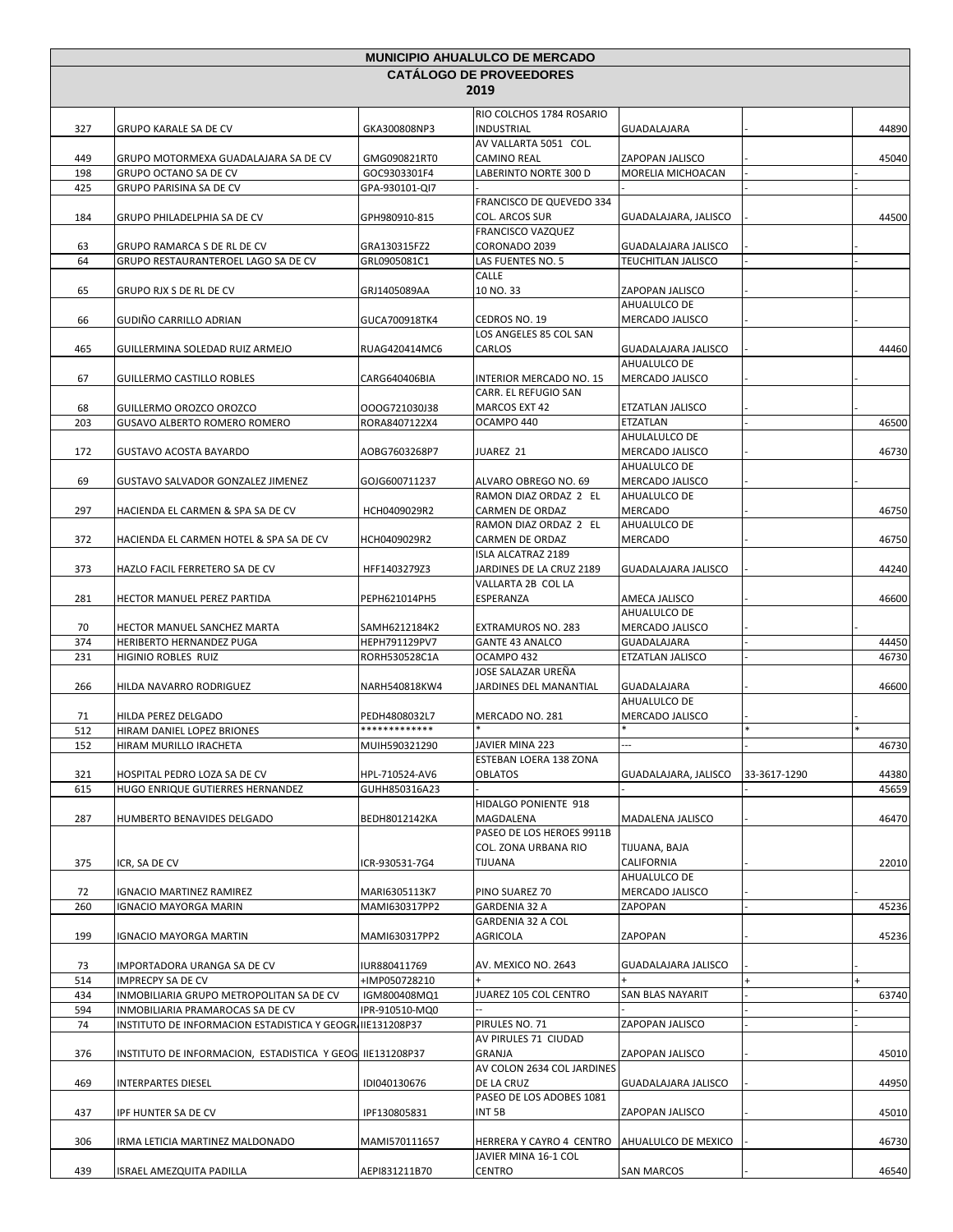| <b>MUNICIPIO AHUALULCO DE MERCADO</b> |                                                                      |                                |                                                        |                                      |              |           |
|---------------------------------------|----------------------------------------------------------------------|--------------------------------|--------------------------------------------------------|--------------------------------------|--------------|-----------|
|                                       |                                                                      |                                | <b>CATALOGO DE PROVEEDORES</b>                         |                                      |              |           |
|                                       |                                                                      |                                | 2019                                                   |                                      |              |           |
|                                       |                                                                      |                                | RIO COLCHOS 1784 ROSARIO                               |                                      |              |           |
| 327                                   | GRUPO KARALE SA DE CV                                                | GKA300808NP3                   | <b>INDUSTRIAL</b>                                      | GUADALAJARA                          |              | 44890     |
|                                       |                                                                      |                                | AV VALLARTA 5051 COL.                                  |                                      |              |           |
| 449<br>198                            | GRUPO MOTORMEXA GUADALAJARA SA DE CV<br><b>GRUPO OCTANO SA DE CV</b> | GMG090821RT0<br>GOC9303301F4   | <b>CAMINO REAL</b><br>LABERINTO NORTE 300 D            | ZAPOPAN JALISCO<br>MORELIA MICHOACAN |              | 45040     |
| 425                                   | GRUPO PARISINA SA DE CV                                              | GPA-930101-QI7                 |                                                        |                                      |              |           |
|                                       |                                                                      |                                | FRANCISCO DE QUEVEDO 334                               |                                      |              |           |
| 184                                   | GRUPO PHILADELPHIA SA DE CV                                          | GPH980910-815                  | <b>COL. ARCOS SUR</b>                                  | GUADALAJARA, JALISCO                 |              | 44500     |
|                                       |                                                                      |                                | <b>FRANCISCO VAZQUEZ</b>                               |                                      |              |           |
| 63                                    | GRUPO RAMARCA S DE RL DE CV                                          | GRA130315FZ2                   | CORONADO 2039                                          | GUADALAJARA JALISCO                  |              |           |
| 64                                    | <b>GRUPO RESTAURANTEROEL LAGO SA DE CV</b>                           | GRL0905081C1                   | LAS FUENTES NO. 5                                      | TEUCHITLAN JALISCO                   |              |           |
| 65                                    | GRUPO RJX S DE RL DE CV                                              | GRJ1405089AA                   | CALLE<br>10 NO. 33                                     | ZAPOPAN JALISCO                      |              |           |
|                                       |                                                                      |                                |                                                        | AHUALULCO DE                         |              |           |
| 66                                    | GUDIÑO CARRILLO ADRIAN                                               | GUCA700918TK4                  | CEDROS NO. 19                                          | MERCADO JALISCO                      |              |           |
|                                       |                                                                      |                                | LOS ANGELES 85 COL SAN                                 |                                      |              |           |
| 465                                   | GUILLERMINA SOLEDAD RUIZ ARMEJO                                      | RUAG420414MC6                  | CARLOS                                                 | GUADALAJARA JALISCO                  |              | 44460     |
|                                       |                                                                      |                                |                                                        | AHUALULCO DE                         |              |           |
| 67                                    | <b>GUILLERMO CASTILLO ROBLES</b>                                     | CARG640406BIA                  | <b>INTERIOR MERCADO NO. 15</b><br>CARR. EL REFUGIO SAN | MERCADO JALISCO                      |              |           |
| 68                                    | GUILLERMO OROZCO OROZCO                                              | OOOG721030J38                  | MARCOS EXT 42                                          | ETZATLAN JALISCO                     |              |           |
| 203                                   | GUSAVO ALBERTO ROMERO ROMERO                                         | RORA8407122X4                  | OCAMPO 440                                             | ETZATLAN                             |              | 46500     |
|                                       |                                                                      |                                |                                                        | AHULALULCO DE                        |              |           |
| 172                                   | <b>GUSTAVO ACOSTA BAYARDO</b>                                        | AOBG7603268P7                  | JUAREZ 21                                              | MERCADO JALISCO                      |              | 46730     |
|                                       |                                                                      |                                |                                                        | AHUALULCO DE                         |              |           |
| 69                                    | GUSTAVO SALVADOR GONZALEZ JIMENEZ                                    | GOJG600711237                  | ALVARO OBREGO NO. 69                                   | MERCADO JALISCO                      |              |           |
| 297                                   | HACIENDA EL CARMEN & SPA SA DE CV                                    | HCH0409029R2                   | RAMON DIAZ ORDAZ 2 EL<br>CARMEN DE ORDAZ               | AHUALULCO DE<br><b>MERCADO</b>       |              | 46750     |
|                                       |                                                                      |                                | RAMON DIAZ ORDAZ 2 EL                                  | AHUALULCO DE                         |              |           |
| 372                                   | HACIENDA EL CARMEN HOTEL & SPA SA DE CV                              | HCH0409029R2                   | CARMEN DE ORDAZ                                        | MERCADO                              |              | 46750     |
|                                       |                                                                      |                                | <b>ISLA ALCATRAZ 2189</b>                              |                                      |              |           |
| 373                                   | HAZLO FACIL FERRETERO SA DE CV                                       | HFF1403279Z3                   | JARDINES DE LA CRUZ 2189                               | <b>GUADALAJARA JALISCO</b>           |              | 44240     |
|                                       |                                                                      |                                | VALLARTA 2B COL LA                                     |                                      |              |           |
| 281                                   | HECTOR MANUEL PEREZ PARTIDA                                          | PEPH621014PH5                  | ESPERANZA                                              | AMECA JALISCO                        |              | 46600     |
| 70                                    | HECTOR MANUEL SANCHEZ MARTA                                          | SAMH6212184K2                  | EXTRAMUROS NO. 283                                     | AHUALULCO DE<br>MERCADO JALISCO      |              |           |
| 374                                   | HERIBERTO HERNANDEZ PUGA                                             | HEPH791129PV7                  | <b>GANTE 43 ANALCO</b>                                 | GUADALAJARA                          |              | 44450     |
| 231                                   | HIGINIO ROBLES RUIZ                                                  | RORH530528C1A                  | OCAMPO 432                                             | ETZATLAN JALISCO                     |              | 46730     |
|                                       |                                                                      |                                | JOSE SALAZAR UREÑA                                     |                                      |              |           |
| 266                                   | HILDA NAVARRO RODRIGUEZ                                              | NARH540818KW4                  | JARDINES DEL MANANTIAL                                 | GUADALAJARA                          |              | 46600     |
|                                       |                                                                      |                                |                                                        | AHUALULCO DE                         |              |           |
| 71<br>512                             | HILDA PEREZ DELGADO<br>HIRAM DANIEL LOPEZ BRIONES                    | PEDH4808032L7<br>************* | MERCADO NO. 281                                        | MERCADO JALISCO                      |              |           |
| 152                                   | HIRAM MURILLO IRACHETA                                               | MUIH590321290                  | JAVIER MINA 223                                        |                                      |              | 46730     |
|                                       |                                                                      |                                | ESTEBAN LOERA 138 ZONA                                 |                                      |              |           |
| 321                                   | HOSPITAL PEDRO LOZA SA DE CV                                         | HPL-710524-AV6                 | <b>OBLATOS</b>                                         | GUADALAJARA, JALISCO                 | 33-3617-1290 | 44380     |
| 615                                   | HUGO ENRIQUE GUTIERRES HERNANDEZ                                     | GUHH850316A23                  |                                                        |                                      |              | 45659     |
|                                       |                                                                      |                                | HIDALGO PONIENTE 918                                   |                                      |              |           |
| 287                                   | HUMBERTO BENAVIDES DELGADO                                           | BEDH8012142KA                  | MAGDALENA                                              | MADALENA JALISCO                     |              | 46470     |
|                                       |                                                                      |                                | PASEO DE LOS HEROES 9911B<br>COL. ZONA URBANA RIO      | TIJUANA, BAJA                        |              |           |
| 375                                   | ICR, SA DE CV                                                        | ICR-930531-7G4                 | TIJUANA                                                | CALIFORNIA                           |              | 22010     |
|                                       |                                                                      |                                |                                                        | AHUALULCO DE                         |              |           |
| 72                                    | <b>IGNACIO MARTINEZ RAMIREZ</b>                                      | MARI6305113K7                  | PINO SUAREZ 70                                         | MERCADO JALISCO                      |              |           |
| 260                                   | <b>IGNACIO MAYORGA MARIN</b>                                         | MAMI630317PP2                  | GARDENIA 32 A                                          | ZAPOPAN                              |              | 45236     |
|                                       |                                                                      |                                | GARDENIA 32 A COL                                      |                                      |              |           |
| 199                                   | IGNACIO MAYORGA MARTIN                                               | MAMI630317PP2                  | AGRICOLA                                               | ZAPOPAN                              |              | 45236     |
|                                       |                                                                      |                                |                                                        |                                      |              |           |
| 73<br>514                             | IMPORTADORA URANGA SA DE CV<br><b>IMPRECPY SA DE CV</b>              | IUR880411769<br>+IMP050728210  | AV. MEXICO NO. 2643                                    | GUADALAJARA JALISCO                  | $\ddot{}$    | $\ddot{}$ |
| 434                                   | INMOBILIARIA GRUPO METROPOLITAN SA DE CV                             | IGM800408MQ1                   | JUAREZ 105 COL CENTRO                                  | SAN BLAS NAYARIT                     |              | 63740     |
| 594                                   | INMOBILIARIA PRAMAROCAS SA DE CV                                     | IPR-910510-MQ0                 |                                                        |                                      |              |           |
| 74                                    | INSTITUTO DE INFORMACION ESTADISTICA Y GEOGRI IIE131208P37           |                                | PIRULES NO. 71                                         | ZAPOPAN JALISCO                      |              |           |
|                                       |                                                                      |                                | AV PIRULES 71 CIUDAD                                   |                                      |              |           |
| 376                                   | INSTITUTO DE INFORMACION, ESTADISTICA Y GEOG IIE131208P37            |                                | GRANJA                                                 | ZAPOPAN JALISCO                      |              | 45010     |
|                                       |                                                                      |                                | AV COLON 2634 COL JARDINES                             |                                      |              |           |
| 469                                   | INTERPARTES DIESEL                                                   | IDI040130676                   | DE LA CRUZ<br>PASEO DE LOS ADOBES 1081                 | GUADALAJARA JALISCO                  |              | 44950     |
| 437                                   | IPF HUNTER SA DE CV                                                  | IPF130805831                   | INT <sub>5B</sub>                                      | ZAPOPAN JALISCO                      |              | 45010     |
|                                       |                                                                      |                                |                                                        |                                      |              |           |
| 306                                   | IRMA LETICIA MARTINEZ MALDONADO                                      | MAMI570111657                  | HERRERA Y CAYRO 4 CENTRO                               | AHUALULCO DE MEXICO                  |              | 46730     |
|                                       |                                                                      |                                | JAVIER MINA 16-1 COL                                   |                                      |              |           |
| 439                                   | ISRAEL AMEZQUITA PADILLA                                             | AEPI831211B70                  | <b>CENTRO</b>                                          | <b>SAN MARCOS</b>                    |              | 46540     |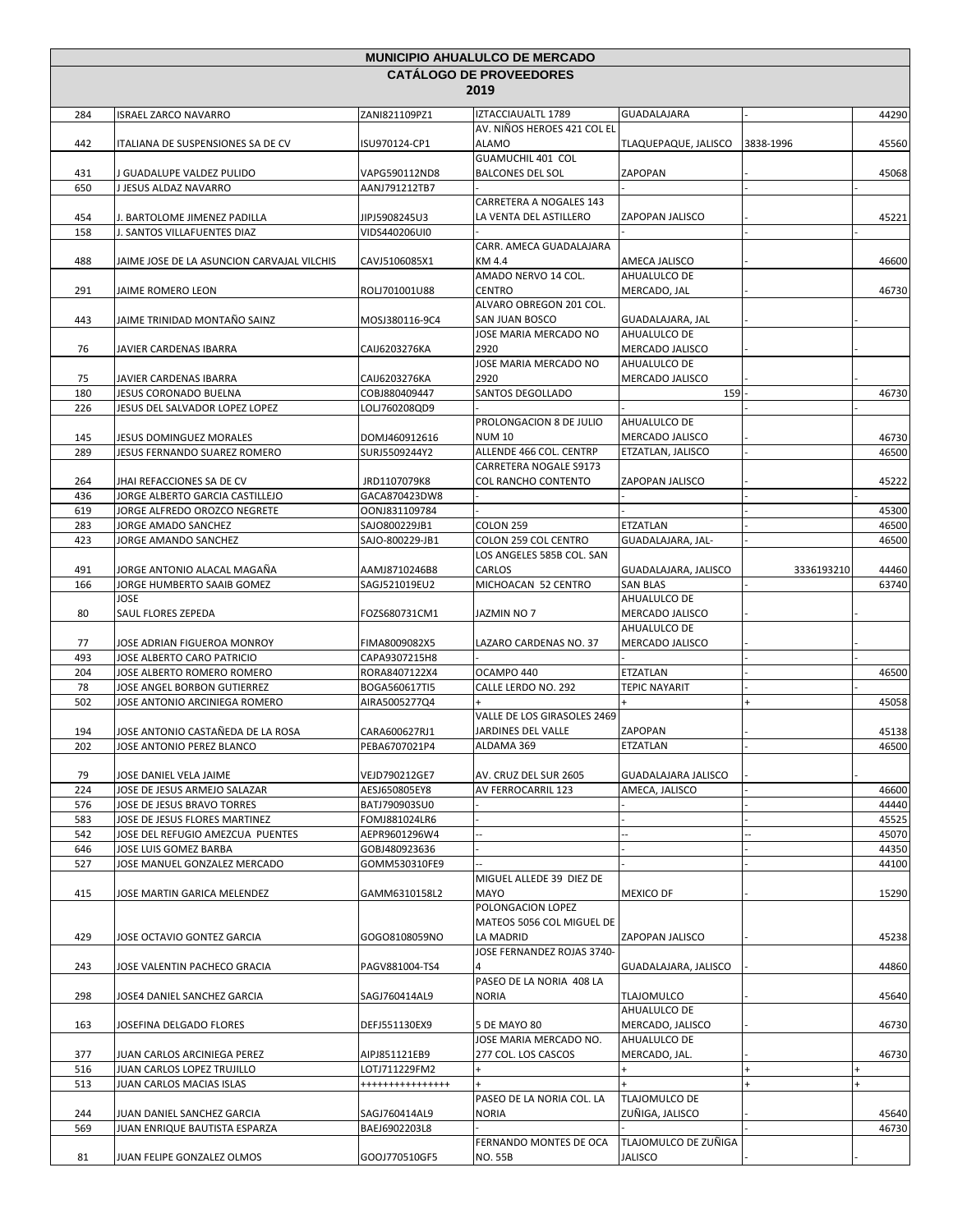| <b>MUNICIPIO AHUALULCO DE MERCADO</b> |                                                        |                                   |                                                   |                                        |                        |           |
|---------------------------------------|--------------------------------------------------------|-----------------------------------|---------------------------------------------------|----------------------------------------|------------------------|-----------|
|                                       |                                                        |                                   | <b>CATÁLOGO DE PROVEEDORES</b>                    |                                        |                        |           |
|                                       |                                                        |                                   | 2019                                              |                                        |                        |           |
| 284                                   | <b>ISRAEL ZARCO NAVARRO</b>                            | ZANI821109PZ1                     | IZTACCIAUALTL 1789                                | GUADALAJARA                            |                        | 44290     |
| 442                                   | <b>ITALIANA DE SUSPENSIONES SA DE CV</b>               | ISU970124-CP1                     | AV. NIÑOS HEROES 421 COL EL<br><b>ALAMO</b>       | TLAQUEPAQUE, JALISCO                   | 3838-1996              | 45560     |
|                                       |                                                        |                                   | GUAMUCHIL 401 COL                                 |                                        |                        |           |
| 431                                   | J GUADALUPE VALDEZ PULIDO                              | VAPG590112ND8                     | <b>BALCONES DEL SOL</b>                           | ZAPOPAN                                |                        | 45068     |
| 650                                   | J JESUS ALDAZ NAVARRO                                  | AANJ791212TB7                     | CARRETERA A NOGALES 143                           |                                        |                        |           |
| 454                                   | J. BARTOLOME JIMENEZ PADILLA                           | JIPJ5908245U3                     | LA VENTA DEL ASTILLERO                            | ZAPOPAN JALISCO                        |                        | 45221     |
| 158                                   | J. SANTOS VILLAFUENTES DIAZ                            | VIDS440206UI0                     |                                                   |                                        |                        |           |
| 488                                   | JAIME JOSE DE LA ASUNCION CARVAJAL VILCHIS             | CAVJ5106085X1                     | CARR. AMECA GUADALAJARA<br>KM 4.4                 | AMECA JALISCO                          |                        | 46600     |
|                                       |                                                        |                                   | AMADO NERVO 14 COL.                               | AHUALULCO DE                           |                        |           |
| 291                                   | JAIME ROMERO LEON                                      | ROLJ701001U88                     | <b>CENTRO</b><br>ALVARO OBREGON 201 COL.          | MERCADO, JAL                           |                        | 46730     |
| 443                                   | JAIME TRINIDAD MONTAÑO SAINZ                           | MOSJ380116-9C4                    | SAN JUAN BOSCO<br>JOSE MARIA MERCADO NO           | GUADALAJARA, JAL<br>AHUALULCO DE       |                        |           |
| 76                                    | JAVIER CARDENAS IBARRA                                 | CAIJ6203276KA                     | 2920                                              | MERCADO JALISCO                        |                        |           |
| 75                                    | JAVIER CARDENAS IBARRA                                 | CAIJ6203276KA                     | JOSE MARIA MERCADO NO<br>2920                     | AHUALULCO DE<br>MERCADO JALISCO        |                        |           |
| 180                                   | JESUS CORONADO BUELNA                                  | COBJ880409447                     | SANTOS DEGOLLADO                                  | 159                                    |                        | 46730     |
| 226                                   | JESUS DEL SALVADOR LOPEZ LOPEZ                         | LOLJ760208QD9                     |                                                   |                                        |                        |           |
| 145                                   | JESUS DOMINGUEZ MORALES                                | DOMJ460912616                     | PROLONGACION 8 DE JULIO<br><b>NUM 10</b>          | AHUALULCO DE<br>MERCADO JALISCO        |                        | 46730     |
| 289                                   | JESUS FERNANDO SUAREZ ROMERO                           | SURJ5509244Y2                     | ALLENDE 466 COL. CENTRP                           | ETZATLAN, JALISCO                      |                        | 46500     |
|                                       |                                                        |                                   | CARRETERA NOGALE S9173                            |                                        |                        |           |
| 264                                   | JHAI REFACCIONES SA DE CV                              | JRD1107079K8                      | <b>COL RANCHO CONTENTO</b>                        | ZAPOPAN JALISCO                        |                        | 45222     |
| 436                                   | JORGE ALBERTO GARCIA CASTILLEJO                        | GACA870423DW8                     |                                                   |                                        |                        |           |
| 619                                   | JORGE ALFREDO OROZCO NEGRETE                           | OONJ831109784                     |                                                   |                                        |                        | 45300     |
| 283                                   | JORGE AMADO SANCHEZ                                    | SAJO800229JB1                     | COLON 259                                         | ETZATLAN                               |                        | 46500     |
| 423                                   | JORGE AMANDO SANCHEZ                                   | SAJO-800229-JB1                   | COLON 259 COL CENTRO<br>LOS ANGELES 585B COL. SAN | GUADALAJARA, JAL-                      |                        | 46500     |
| 491                                   | JORGE ANTONIO ALACAL MAGAÑA                            | AAMJ8710246B8                     | CARLOS                                            | GUADALAJARA, JALISCO                   | 3336193210             | 44460     |
| 166                                   | JORGE HUMBERTO SAAIB GOMEZ                             | SAGJ521019EU2                     | MICHOACAN 52 CENTRO                               | <b>SAN BLAS</b>                        |                        | 63740     |
|                                       | JOSE                                                   |                                   |                                                   | AHUALULCO DE                           |                        |           |
| 80                                    | SAUL FLORES ZEPEDA                                     | FOZS680731CM1                     | JAZMIN NO 7                                       | MERCADO JALISCO<br>AHUALULCO DE        |                        |           |
| 77                                    | JOSE ADRIAN FIGUEROA MONROY                            | FIMA8009082X5                     | LAZARO CARDENAS NO. 37                            | MERCADO JALISCO                        |                        |           |
| 493                                   | JOSE ALBERTO CARO PATRICIO                             | CAPA9307215H8                     |                                                   |                                        |                        |           |
| 204                                   | JOSE ALBERTO ROMERO ROMERO                             | RORA8407122X4                     | OCAMPO 440                                        | ETZATLAN                               |                        | 46500     |
| 78                                    | JOSE ANGEL BORBON GUTIERREZ                            | BOGA560617TI5                     | CALLE LERDO NO. 292                               | <b>TEPIC NAYARIT</b>                   |                        |           |
| 502                                   | JOSE ANTONIO ARCINIEGA ROMERO                          | AIRA5005277Q4                     | $\ddot{+}$<br>VALLE DE LOS GIRASOLES 2469         | $+$                                    | $\ddot{}$              | 45058     |
| 194                                   | JOSE ANTONIO CASTAÑEDA DE LA ROSA                      | CARA600627RJ1                     | JARDINES DEL VALLE                                | ZAPOPAN                                |                        | 45138     |
| 202                                   | JOSE ANTONIO PEREZ BLANCO                              | PEBA6707021P4                     | ALDAMA 369                                        | ETZATLAN                               |                        | 46500     |
| 79                                    | JOSE DANIEL VELA JAIME                                 | VEJD790212GE7                     | AV. CRUZ DEL SUR 2605                             | GUADALAJARA JALISCO                    |                        |           |
| 224                                   | JOSE DE JESUS ARMEJO SALAZAR                           | AESJ650805EY8                     | AV FERROCARRIL 123                                | AMECA, JALISCO                         |                        | 46600     |
| 576                                   | JOSE DE JESUS BRAVO TORRES                             | BATJ790903SU0                     |                                                   |                                        |                        | 44440     |
| 583                                   | JOSE DE JESUS FLORES MARTINEZ                          | FOMJ881024LR6                     |                                                   |                                        |                        | 45525     |
| 542                                   | JOSE DEL REFUGIO AMEZCUA PUENTES                       | AEPR9601296W4                     |                                                   |                                        |                        | 45070     |
| 646                                   | JOSE LUIS GOMEZ BARBA                                  | GOBJ480923636                     |                                                   |                                        |                        | 44350     |
| 527                                   | JOSE MANUEL GONZALEZ MERCADO                           | GOMM530310FE9                     | MIGUEL ALLEDE 39 DIEZ DE                          |                                        |                        | 44100     |
| 415                                   | JOSE MARTIN GARICA MELENDEZ                            | GAMM6310158L2                     | <b>MAYO</b>                                       | <b>MEXICO DF</b>                       |                        | 15290     |
|                                       |                                                        |                                   | POLONGACION LOPEZ<br>MATEOS 5056 COL MIGUEL DE    |                                        |                        |           |
| 429                                   | JOSE OCTAVIO GONTEZ GARCIA                             | GOGO8108059NO                     | LA MADRID<br>JOSE FERNANDEZ ROJAS 3740-           | ZAPOPAN JALISCO                        |                        | 45238     |
| 243                                   | JOSE VALENTIN PACHECO GRACIA                           | PAGV881004-TS4                    |                                                   | GUADALAJARA, JALISCO                   |                        | 44860     |
|                                       |                                                        | SAGJ760414AL9                     | PASEO DE LA NORIA 408 LA<br><b>NORIA</b>          |                                        |                        | 45640     |
| 298                                   | JOSE4 DANIEL SANCHEZ GARCIA                            |                                   |                                                   | <b>TLAJOMULCO</b><br>AHUALULCO DE      |                        |           |
| 163                                   | JOSEFINA DELGADO FLORES                                | DEFJ551130EX9                     | 5 DE MAYO 80<br>JOSE MARIA MERCADO NO.            | MERCADO, JALISCO<br>AHUALULCO DE       |                        | 46730     |
| 377                                   | JUAN CARLOS ARCINIEGA PEREZ                            | AIPJ851121EB9                     | 277 COL. LOS CASCOS<br>$\ddot{}$                  | MERCADO, JAL.<br>$+$                   |                        | 46730     |
| 516<br>513                            | JUAN CARLOS LOPEZ TRUJILLO<br>JUAN CARLOS MACIAS ISLAS | LOTJ711229FM2<br>**************** | $+$                                               |                                        | $\pmb{+}$<br>$\ddot{}$ | $\ddot{}$ |
|                                       |                                                        |                                   | PASEO DE LA NORIA COL. LA                         | TLAJOMULCO DE                          |                        |           |
| 244                                   | JUAN DANIEL SANCHEZ GARCIA                             | SAGJ760414AL9                     | <b>NORIA</b>                                      | ZUÑIGA, JALISCO                        |                        | 45640     |
| 569                                   | JUAN ENRIQUE BAUTISTA ESPARZA                          | BAEJ6902203L8                     |                                                   |                                        |                        | 46730     |
|                                       |                                                        |                                   | FERNANDO MONTES DE OCA<br><b>NO. 55B</b>          | TLAJOMULCO DE ZUÑIGA<br><b>JALISCO</b> |                        |           |
| 81                                    | JUAN FELIPE GONZALEZ OLMOS                             | GOOJ770510GF5                     |                                                   |                                        |                        |           |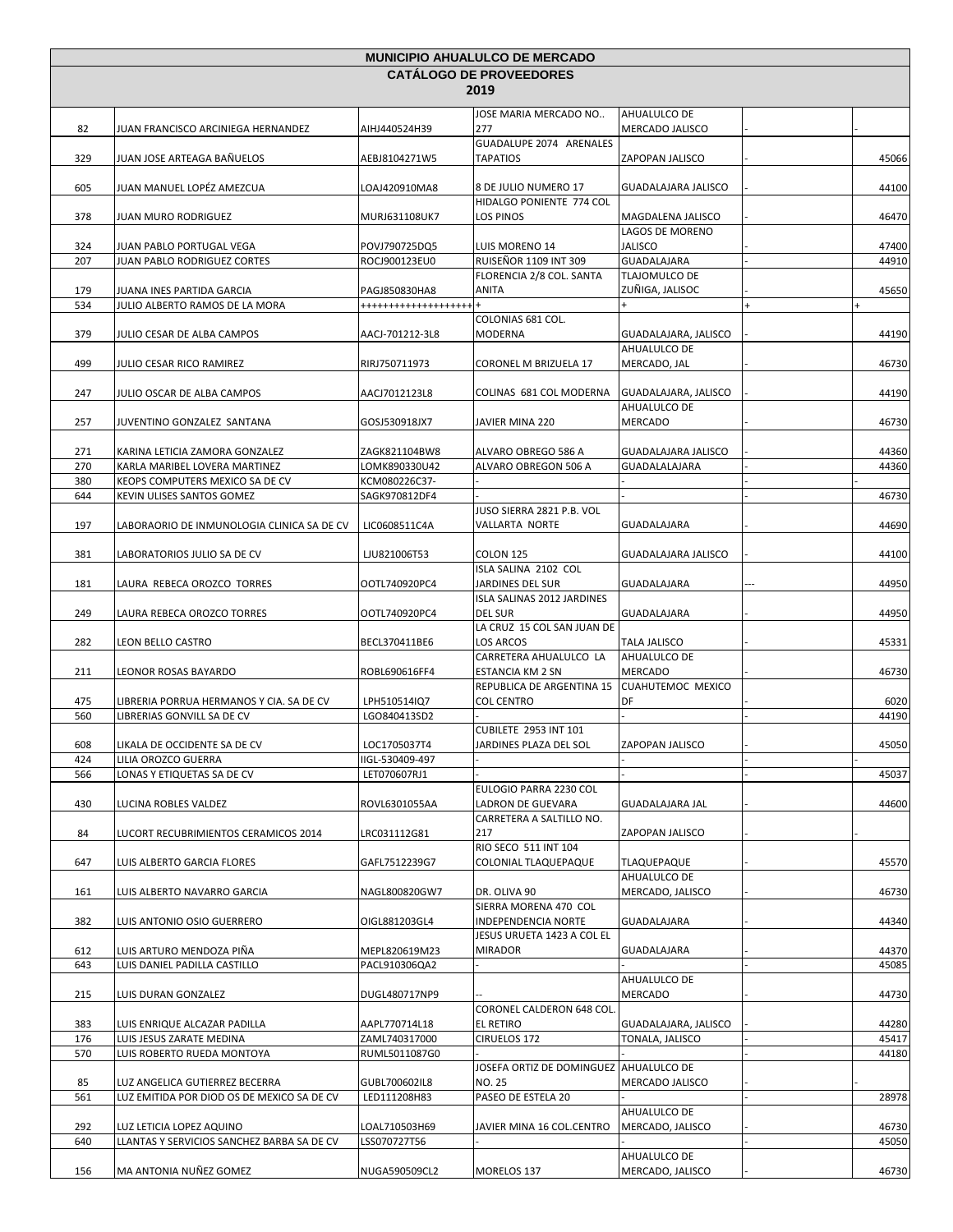| <b>CATÁLOGO DE PROVEEDORES</b><br>2019<br>JOSE MARIA MERCADO NO<br>AHUALULCO DE<br>82<br>277<br>AIHJ440524H39<br><b>MERCADO JALISCO</b><br>JUAN FRANCISCO ARCINIEGA HERNANDEZ<br>GUADALUPE 2074 ARENALES<br>329<br>JUAN JOSE ARTEAGA BAÑUELOS<br>AEBJ8104271W5<br>TAPATIOS<br>ZAPOPAN JALISCO<br>JUAN MANUEL LOPÉZ AMEZCUA<br>605<br>LOAJ420910MA8<br>8 DE JULIO NUMERO 17<br>GUADALAJARA JALISCO<br>HIDALGO PONIENTE 774 COL<br>378<br>LOS PINOS<br>MAGDALENA JALISCO<br>JUAN MURO RODRIGUEZ<br>MURJ631108UK7<br>LAGOS DE MORENO<br>324<br>POVJ790725DQ5<br>LUIS MORENO 14<br>JALISCO<br>JUAN PABLO PORTUGAL VEGA<br>207<br><b>RUISEÑOR 1109 INT 309</b><br><b>GUADALAJARA</b><br>JUAN PABLO RODRIGUEZ CORTES<br>ROCJ900123EU0<br>FLORENCIA 2/8 COL. SANTA<br>TLAJOMULCO DE<br>179<br>ANITA<br>ZUÑIGA, JALISOC<br>JUANA INES PARTIDA GARCIA<br>PAGJ850830HA8<br>534<br>JULIO ALBERTO RAMOS DE LA MORA<br>*******************<br>COLONIAS 681 COL.<br>379<br>JULIO CESAR DE ALBA CAMPOS<br>AACJ-701212-3L8<br>MODERNA<br>GUADALAJARA, JALISCO<br>AHUALULCO DE<br>499<br>JULIO CESAR RICO RAMIREZ<br>RIRJ750711973<br>CORONEL M BRIZUELA 17<br>MERCADO, JAL<br>247<br>JULIO OSCAR DE ALBA CAMPOS<br>AACJ7012123L8<br>COLINAS 681 COL MODERNA<br>GUADALAJARA, JALISCO<br>AHUALULCO DE<br>JAVIER MINA 220<br><b>MERCADO</b><br>257<br>JUVENTINO GONZALEZ SANTANA<br>GOSJ530918JX7<br>271<br>KARINA LETICIA ZAMORA GONZALEZ<br>ZAGK821104BW8<br>ALVARO OBREGO 586 A<br>GUADALAJARA JALISCO<br>270<br>KARLA MARIBEL LOVERA MARTINEZ<br>ALVARO OBREGON 506 A<br>GUADALALAJARA<br>LOMK890330U42<br>380<br>KEOPS COMPUTERS MEXICO SA DE CV<br>KCM080226C37- |       |
|-----------------------------------------------------------------------------------------------------------------------------------------------------------------------------------------------------------------------------------------------------------------------------------------------------------------------------------------------------------------------------------------------------------------------------------------------------------------------------------------------------------------------------------------------------------------------------------------------------------------------------------------------------------------------------------------------------------------------------------------------------------------------------------------------------------------------------------------------------------------------------------------------------------------------------------------------------------------------------------------------------------------------------------------------------------------------------------------------------------------------------------------------------------------------------------------------------------------------------------------------------------------------------------------------------------------------------------------------------------------------------------------------------------------------------------------------------------------------------------------------------------------------------------------------------------------------------------------------------------------------------------------------------|-------|
|                                                                                                                                                                                                                                                                                                                                                                                                                                                                                                                                                                                                                                                                                                                                                                                                                                                                                                                                                                                                                                                                                                                                                                                                                                                                                                                                                                                                                                                                                                                                                                                                                                                     |       |
|                                                                                                                                                                                                                                                                                                                                                                                                                                                                                                                                                                                                                                                                                                                                                                                                                                                                                                                                                                                                                                                                                                                                                                                                                                                                                                                                                                                                                                                                                                                                                                                                                                                     |       |
|                                                                                                                                                                                                                                                                                                                                                                                                                                                                                                                                                                                                                                                                                                                                                                                                                                                                                                                                                                                                                                                                                                                                                                                                                                                                                                                                                                                                                                                                                                                                                                                                                                                     |       |
|                                                                                                                                                                                                                                                                                                                                                                                                                                                                                                                                                                                                                                                                                                                                                                                                                                                                                                                                                                                                                                                                                                                                                                                                                                                                                                                                                                                                                                                                                                                                                                                                                                                     | 45066 |
|                                                                                                                                                                                                                                                                                                                                                                                                                                                                                                                                                                                                                                                                                                                                                                                                                                                                                                                                                                                                                                                                                                                                                                                                                                                                                                                                                                                                                                                                                                                                                                                                                                                     | 44100 |
|                                                                                                                                                                                                                                                                                                                                                                                                                                                                                                                                                                                                                                                                                                                                                                                                                                                                                                                                                                                                                                                                                                                                                                                                                                                                                                                                                                                                                                                                                                                                                                                                                                                     | 46470 |
|                                                                                                                                                                                                                                                                                                                                                                                                                                                                                                                                                                                                                                                                                                                                                                                                                                                                                                                                                                                                                                                                                                                                                                                                                                                                                                                                                                                                                                                                                                                                                                                                                                                     |       |
|                                                                                                                                                                                                                                                                                                                                                                                                                                                                                                                                                                                                                                                                                                                                                                                                                                                                                                                                                                                                                                                                                                                                                                                                                                                                                                                                                                                                                                                                                                                                                                                                                                                     | 47400 |
|                                                                                                                                                                                                                                                                                                                                                                                                                                                                                                                                                                                                                                                                                                                                                                                                                                                                                                                                                                                                                                                                                                                                                                                                                                                                                                                                                                                                                                                                                                                                                                                                                                                     | 44910 |
|                                                                                                                                                                                                                                                                                                                                                                                                                                                                                                                                                                                                                                                                                                                                                                                                                                                                                                                                                                                                                                                                                                                                                                                                                                                                                                                                                                                                                                                                                                                                                                                                                                                     | 45650 |
|                                                                                                                                                                                                                                                                                                                                                                                                                                                                                                                                                                                                                                                                                                                                                                                                                                                                                                                                                                                                                                                                                                                                                                                                                                                                                                                                                                                                                                                                                                                                                                                                                                                     |       |
|                                                                                                                                                                                                                                                                                                                                                                                                                                                                                                                                                                                                                                                                                                                                                                                                                                                                                                                                                                                                                                                                                                                                                                                                                                                                                                                                                                                                                                                                                                                                                                                                                                                     |       |
|                                                                                                                                                                                                                                                                                                                                                                                                                                                                                                                                                                                                                                                                                                                                                                                                                                                                                                                                                                                                                                                                                                                                                                                                                                                                                                                                                                                                                                                                                                                                                                                                                                                     | 44190 |
|                                                                                                                                                                                                                                                                                                                                                                                                                                                                                                                                                                                                                                                                                                                                                                                                                                                                                                                                                                                                                                                                                                                                                                                                                                                                                                                                                                                                                                                                                                                                                                                                                                                     | 46730 |
|                                                                                                                                                                                                                                                                                                                                                                                                                                                                                                                                                                                                                                                                                                                                                                                                                                                                                                                                                                                                                                                                                                                                                                                                                                                                                                                                                                                                                                                                                                                                                                                                                                                     | 44190 |
|                                                                                                                                                                                                                                                                                                                                                                                                                                                                                                                                                                                                                                                                                                                                                                                                                                                                                                                                                                                                                                                                                                                                                                                                                                                                                                                                                                                                                                                                                                                                                                                                                                                     | 46730 |
|                                                                                                                                                                                                                                                                                                                                                                                                                                                                                                                                                                                                                                                                                                                                                                                                                                                                                                                                                                                                                                                                                                                                                                                                                                                                                                                                                                                                                                                                                                                                                                                                                                                     | 44360 |
|                                                                                                                                                                                                                                                                                                                                                                                                                                                                                                                                                                                                                                                                                                                                                                                                                                                                                                                                                                                                                                                                                                                                                                                                                                                                                                                                                                                                                                                                                                                                                                                                                                                     | 44360 |
|                                                                                                                                                                                                                                                                                                                                                                                                                                                                                                                                                                                                                                                                                                                                                                                                                                                                                                                                                                                                                                                                                                                                                                                                                                                                                                                                                                                                                                                                                                                                                                                                                                                     |       |
| 644<br>KEVIN ULISES SANTOS GOMEZ<br>SAGK970812DF4                                                                                                                                                                                                                                                                                                                                                                                                                                                                                                                                                                                                                                                                                                                                                                                                                                                                                                                                                                                                                                                                                                                                                                                                                                                                                                                                                                                                                                                                                                                                                                                                   | 46730 |
| JUSO SIERRA 2821 P.B. VOL                                                                                                                                                                                                                                                                                                                                                                                                                                                                                                                                                                                                                                                                                                                                                                                                                                                                                                                                                                                                                                                                                                                                                                                                                                                                                                                                                                                                                                                                                                                                                                                                                           |       |
| 197<br>LIC0608511C4A<br>VALLARTA NORTE<br><b>GUADALAJARA</b><br>LABORAORIO DE INMUNOLOGIA CLINICA SA DE CV                                                                                                                                                                                                                                                                                                                                                                                                                                                                                                                                                                                                                                                                                                                                                                                                                                                                                                                                                                                                                                                                                                                                                                                                                                                                                                                                                                                                                                                                                                                                          | 44690 |
| 381<br>LABORATORIOS JULIO SA DE CV<br>LJU821006T53<br><b>COLON 125</b><br>GUADALAJARA JALISCO<br>ISLA SALINA 2102 COL                                                                                                                                                                                                                                                                                                                                                                                                                                                                                                                                                                                                                                                                                                                                                                                                                                                                                                                                                                                                                                                                                                                                                                                                                                                                                                                                                                                                                                                                                                                               | 44100 |
| 181<br>LAURA REBECA OROZCO TORRES<br>OOTL740920PC4<br>JARDINES DEL SUR<br><b>GUADALAJARA</b><br>ISLA SALINAS 2012 JARDINES                                                                                                                                                                                                                                                                                                                                                                                                                                                                                                                                                                                                                                                                                                                                                                                                                                                                                                                                                                                                                                                                                                                                                                                                                                                                                                                                                                                                                                                                                                                          | 44950 |
| <b>DEL SUR</b><br><b>GUADALAJARA</b><br>249<br>LAURA REBECA OROZCO TORRES<br>OOTL740920PC4<br>LA CRUZ 15 COL SAN JUAN DE                                                                                                                                                                                                                                                                                                                                                                                                                                                                                                                                                                                                                                                                                                                                                                                                                                                                                                                                                                                                                                                                                                                                                                                                                                                                                                                                                                                                                                                                                                                            | 44950 |
| 282<br>LEON BELLO CASTRO<br>LOS ARCOS<br>BECL370411BE6<br>TALA JALISCO<br>CARRETERA AHUALULCO LA<br>AHUALULCO DE                                                                                                                                                                                                                                                                                                                                                                                                                                                                                                                                                                                                                                                                                                                                                                                                                                                                                                                                                                                                                                                                                                                                                                                                                                                                                                                                                                                                                                                                                                                                    | 45331 |
| <b>MERCADO</b><br>211<br>LEONOR ROSAS BAYARDO<br>ROBL690616FF4<br>ESTANCIA KM 2 SN                                                                                                                                                                                                                                                                                                                                                                                                                                                                                                                                                                                                                                                                                                                                                                                                                                                                                                                                                                                                                                                                                                                                                                                                                                                                                                                                                                                                                                                                                                                                                                  | 46730 |
| REPUBLICA DE ARGENTINA 15<br>CUAHUTEMOC MEXICO<br>DF<br><b>COL CENTRO</b><br>475<br>LIBRERIA PORRUA HERMANOS Y CIA. SA DE CV<br>LPH510514IQ7                                                                                                                                                                                                                                                                                                                                                                                                                                                                                                                                                                                                                                                                                                                                                                                                                                                                                                                                                                                                                                                                                                                                                                                                                                                                                                                                                                                                                                                                                                        | 6020  |
| 560<br>LIBRERIAS GONVILL SA DE CV<br>LGO840413SD2                                                                                                                                                                                                                                                                                                                                                                                                                                                                                                                                                                                                                                                                                                                                                                                                                                                                                                                                                                                                                                                                                                                                                                                                                                                                                                                                                                                                                                                                                                                                                                                                   | 44190 |
| <b>CUBILETE 2953 INT 101</b>                                                                                                                                                                                                                                                                                                                                                                                                                                                                                                                                                                                                                                                                                                                                                                                                                                                                                                                                                                                                                                                                                                                                                                                                                                                                                                                                                                                                                                                                                                                                                                                                                        |       |
| LIKALA DE OCCIDENTE SA DE CV<br>LOC1705037T4<br>608<br>ZAPOPAN JALISCO<br>JARDINES PLAZA DEL SOL                                                                                                                                                                                                                                                                                                                                                                                                                                                                                                                                                                                                                                                                                                                                                                                                                                                                                                                                                                                                                                                                                                                                                                                                                                                                                                                                                                                                                                                                                                                                                    | 45050 |
| IIGL-530409-497<br>424<br>LILIA OROZCO GUERRA<br>LET070607RJ1<br>566<br>LONAS Y ETIQUETAS SA DE CV                                                                                                                                                                                                                                                                                                                                                                                                                                                                                                                                                                                                                                                                                                                                                                                                                                                                                                                                                                                                                                                                                                                                                                                                                                                                                                                                                                                                                                                                                                                                                  | 45037 |
| EULOGIO PARRA 2230 COL                                                                                                                                                                                                                                                                                                                                                                                                                                                                                                                                                                                                                                                                                                                                                                                                                                                                                                                                                                                                                                                                                                                                                                                                                                                                                                                                                                                                                                                                                                                                                                                                                              |       |
| 430<br>LUCINA ROBLES VALDEZ<br>ROVL6301055AA<br>LADRON DE GUEVARA<br><b>GUADALAJARA JAL</b>                                                                                                                                                                                                                                                                                                                                                                                                                                                                                                                                                                                                                                                                                                                                                                                                                                                                                                                                                                                                                                                                                                                                                                                                                                                                                                                                                                                                                                                                                                                                                         | 44600 |
| CARRETERA A SALTILLO NO.                                                                                                                                                                                                                                                                                                                                                                                                                                                                                                                                                                                                                                                                                                                                                                                                                                                                                                                                                                                                                                                                                                                                                                                                                                                                                                                                                                                                                                                                                                                                                                                                                            |       |
| 84<br>LRC031112G81<br>217<br>ZAPOPAN JALISCO<br>LUCORT RECUBRIMIENTOS CERAMICOS 2014<br>RIO SECO 511 INT 104                                                                                                                                                                                                                                                                                                                                                                                                                                                                                                                                                                                                                                                                                                                                                                                                                                                                                                                                                                                                                                                                                                                                                                                                                                                                                                                                                                                                                                                                                                                                        |       |
| 647<br>LUIS ALBERTO GARCIA FLORES<br>GAFL7512239G7<br>COLONIAL TLAQUEPAQUE<br>TLAQUEPAQUE                                                                                                                                                                                                                                                                                                                                                                                                                                                                                                                                                                                                                                                                                                                                                                                                                                                                                                                                                                                                                                                                                                                                                                                                                                                                                                                                                                                                                                                                                                                                                           | 45570 |
| AHUALULCO DE                                                                                                                                                                                                                                                                                                                                                                                                                                                                                                                                                                                                                                                                                                                                                                                                                                                                                                                                                                                                                                                                                                                                                                                                                                                                                                                                                                                                                                                                                                                                                                                                                                        |       |
| MERCADO, JALISCO<br>DR. OLIVA 90<br>161<br>LUIS ALBERTO NAVARRO GARCIA<br>NAGL800820GW7                                                                                                                                                                                                                                                                                                                                                                                                                                                                                                                                                                                                                                                                                                                                                                                                                                                                                                                                                                                                                                                                                                                                                                                                                                                                                                                                                                                                                                                                                                                                                             | 46730 |
| SIERRA MORENA 470 COL<br>382<br>OIGL881203GL4<br><b>INDEPENDENCIA NORTE</b><br>LUIS ANTONIO OSIO GUERRERO<br>GUADALAJARA                                                                                                                                                                                                                                                                                                                                                                                                                                                                                                                                                                                                                                                                                                                                                                                                                                                                                                                                                                                                                                                                                                                                                                                                                                                                                                                                                                                                                                                                                                                            | 44340 |
| JESUS URUETA 1423 A COL EL<br>612<br>LUIS ARTURO MENDOZA PIÑA<br>MEPL820619M23<br><b>MIRADOR</b><br>GUADALAJARA                                                                                                                                                                                                                                                                                                                                                                                                                                                                                                                                                                                                                                                                                                                                                                                                                                                                                                                                                                                                                                                                                                                                                                                                                                                                                                                                                                                                                                                                                                                                     | 44370 |
| 643<br>LUIS DANIEL PADILLA CASTILLO<br>PACL910306QA2                                                                                                                                                                                                                                                                                                                                                                                                                                                                                                                                                                                                                                                                                                                                                                                                                                                                                                                                                                                                                                                                                                                                                                                                                                                                                                                                                                                                                                                                                                                                                                                                | 45085 |
| AHUALULCO DE                                                                                                                                                                                                                                                                                                                                                                                                                                                                                                                                                                                                                                                                                                                                                                                                                                                                                                                                                                                                                                                                                                                                                                                                                                                                                                                                                                                                                                                                                                                                                                                                                                        |       |
| <b>MERCADO</b><br>215<br>DUGL480717NP9<br>LUIS DURAN GONZALEZ<br>CORONEL CALDERON 648 COL.                                                                                                                                                                                                                                                                                                                                                                                                                                                                                                                                                                                                                                                                                                                                                                                                                                                                                                                                                                                                                                                                                                                                                                                                                                                                                                                                                                                                                                                                                                                                                          | 44730 |
| EL RETIRO<br>383<br>LUIS ENRIQUE ALCAZAR PADILLA<br>AAPL770714L18<br>GUADALAJARA, JALISCO                                                                                                                                                                                                                                                                                                                                                                                                                                                                                                                                                                                                                                                                                                                                                                                                                                                                                                                                                                                                                                                                                                                                                                                                                                                                                                                                                                                                                                                                                                                                                           | 44280 |
| ZAML740317000<br>CIRUELOS 172<br>TONALA, JALISCO<br>176<br>LUIS JESUS ZARATE MEDINA                                                                                                                                                                                                                                                                                                                                                                                                                                                                                                                                                                                                                                                                                                                                                                                                                                                                                                                                                                                                                                                                                                                                                                                                                                                                                                                                                                                                                                                                                                                                                                 | 45417 |
| 570<br>LUIS ROBERTO RUEDA MONTOYA<br>RUML5011087G0                                                                                                                                                                                                                                                                                                                                                                                                                                                                                                                                                                                                                                                                                                                                                                                                                                                                                                                                                                                                                                                                                                                                                                                                                                                                                                                                                                                                                                                                                                                                                                                                  | 44180 |
| JOSEFA ORTIZ DE DOMINGUEZ AHUALULCO DE<br>NO. 25<br>MERCADO JALISCO<br>85<br>LUZ ANGELICA GUTIERREZ BECERRA<br>GUBL700602IL8                                                                                                                                                                                                                                                                                                                                                                                                                                                                                                                                                                                                                                                                                                                                                                                                                                                                                                                                                                                                                                                                                                                                                                                                                                                                                                                                                                                                                                                                                                                        |       |
| PASEO DE ESTELA 20<br>561<br>LUZ EMITIDA POR DIOD OS DE MEXICO SA DE CV<br>LED111208H83                                                                                                                                                                                                                                                                                                                                                                                                                                                                                                                                                                                                                                                                                                                                                                                                                                                                                                                                                                                                                                                                                                                                                                                                                                                                                                                                                                                                                                                                                                                                                             | 28978 |
| AHUALULCO DE<br>292<br>LOAL710503H69<br>LUZ LETICIA LOPEZ AQUINO<br>JAVIER MINA 16 COL.CENTRO<br>MERCADO, JALISCO                                                                                                                                                                                                                                                                                                                                                                                                                                                                                                                                                                                                                                                                                                                                                                                                                                                                                                                                                                                                                                                                                                                                                                                                                                                                                                                                                                                                                                                                                                                                   | 46730 |
| LLANTAS Y SERVICIOS SANCHEZ BARBA SA DE CV<br>LSS070727T56<br>640                                                                                                                                                                                                                                                                                                                                                                                                                                                                                                                                                                                                                                                                                                                                                                                                                                                                                                                                                                                                                                                                                                                                                                                                                                                                                                                                                                                                                                                                                                                                                                                   | 45050 |
| AHUALULCO DE<br>MERCADO, JALISCO<br>MA ANTONIA NUÑEZ GOMEZ<br>MORELOS 137<br>156<br>NUGA590509CL2                                                                                                                                                                                                                                                                                                                                                                                                                                                                                                                                                                                                                                                                                                                                                                                                                                                                                                                                                                                                                                                                                                                                                                                                                                                                                                                                                                                                                                                                                                                                                   | 46730 |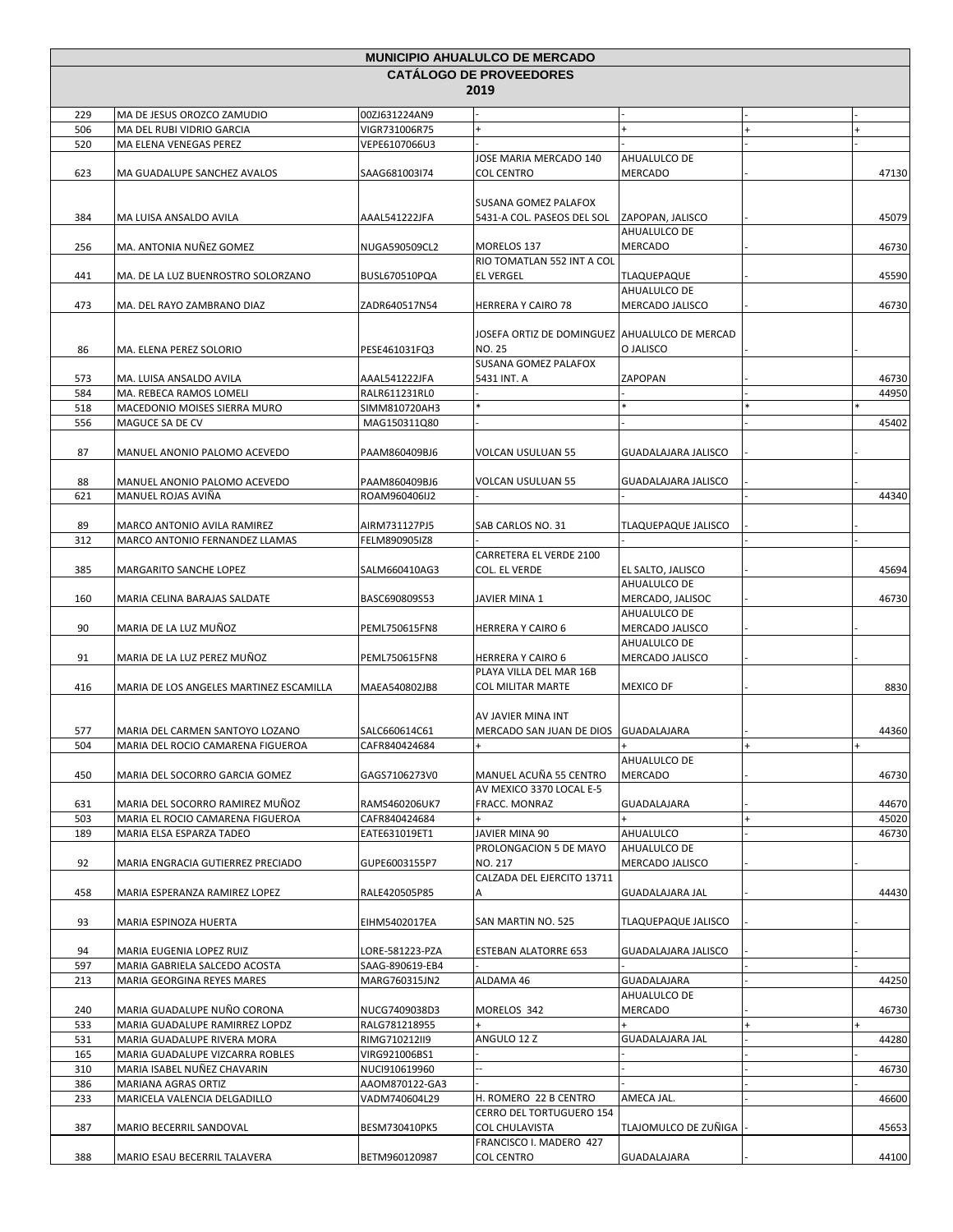|            |                                                                |                                | <b>MUNICIPIO AHUALULCO DE MERCADO</b>              |                                 |           |       |
|------------|----------------------------------------------------------------|--------------------------------|----------------------------------------------------|---------------------------------|-----------|-------|
|            |                                                                |                                | <b>CATÁLOGO DE PROVEEDORES</b>                     |                                 |           |       |
|            |                                                                |                                | 2019                                               |                                 |           |       |
| 229        | MA DE JESUS OROZCO ZAMUDIO                                     | 00ZJ631224AN9                  |                                                    |                                 |           |       |
| 506        | MA DEL RUBI VIDRIO GARCIA                                      | VIGR731006R75                  |                                                    | $+$                             | $\ddot{}$ |       |
| 520        | MA ELENA VENEGAS PEREZ                                         | VEPE6107066U3                  |                                                    |                                 |           |       |
|            |                                                                |                                | JOSE MARIA MERCADO 140                             | AHUALULCO DE                    |           |       |
| 623        | MA GUADALUPE SANCHEZ AVALOS                                    | SAAG681003I74                  | <b>COL CENTRO</b>                                  | <b>MERCADO</b>                  |           | 47130 |
|            |                                                                |                                |                                                    |                                 |           |       |
| 384        | MA LUISA ANSALDO AVILA                                         | AAAL541222JFA                  | SUSANA GOMEZ PALAFOX<br>5431-A COL. PASEOS DEL SOL | ZAPOPAN, JALISCO                |           | 45079 |
|            |                                                                |                                |                                                    | AHUALULCO DE                    |           |       |
| 256        | MA. ANTONIA NUÑEZ GOMEZ                                        | NUGA590509CL2                  | MORELOS 137                                        | <b>MERCADO</b>                  |           | 46730 |
|            |                                                                |                                | RIO TOMATLAN 552 INT A COL                         |                                 |           |       |
| 441        | MA. DE LA LUZ BUENROSTRO SOLORZANO                             | BUSL670510PQA                  | <b>EL VERGEL</b>                                   | TLAQUEPAQUE                     |           | 45590 |
|            |                                                                |                                |                                                    | AHUALULCO DE                    |           |       |
| 473        | MA. DEL RAYO ZAMBRANO DIAZ                                     | ZADR640517N54                  | HERRERA Y CAIRO 78                                 | MERCADO JALISCO                 |           | 46730 |
|            |                                                                |                                | JOSEFA ORTIZ DE DOMINGUEZ AHUALULCO DE MERCAD      |                                 |           |       |
| 86         | MA. ELENA PEREZ SOLORIO                                        | PESE461031FQ3                  | NO. 25                                             | O JALISCO                       |           |       |
|            |                                                                |                                | SUSANA GOMEZ PALAFOX                               |                                 |           |       |
| 573        | MA. LUISA ANSALDO AVILA                                        | AAAL541222JFA                  | 5431 INT. A                                        | ZAPOPAN                         |           | 46730 |
| 584        | MA. REBECA RAMOS LOMELI                                        | RALR611231RL0                  |                                                    |                                 |           | 44950 |
| 518        | MACEDONIO MOISES SIERRA MURO                                   | SIMM810720AH3                  |                                                    |                                 |           |       |
| 556        | MAGUCE SA DE CV                                                | MAG150311Q80                   |                                                    |                                 |           | 45402 |
|            |                                                                |                                |                                                    |                                 |           |       |
| 87         | MANUEL ANONIO PALOMO ACEVEDO                                   | PAAM860409BJ6                  | <b>VOLCAN USULUAN 55</b>                           | <b>GUADALAJARA JALISCO</b>      |           |       |
|            |                                                                | PAAM860409BJ6                  | VOLCAN USULUAN 55                                  | <b>GUADALAJARA JALISCO</b>      |           |       |
| 88<br>621  | MANUEL ANONIO PALOMO ACEVEDO<br>MANUEL ROJAS AVIÑA             | ROAM960406IJ2                  |                                                    |                                 |           | 44340 |
|            |                                                                |                                |                                                    |                                 |           |       |
| 89         | MARCO ANTONIO AVILA RAMIREZ                                    | AIRM731127PJ5                  | SAB CARLOS NO. 31                                  | <b>TLAQUEPAQUE JALISCO</b>      |           |       |
| 312        | MARCO ANTONIO FERNANDEZ LLAMAS                                 | FELM890905IZ8                  |                                                    |                                 |           |       |
|            |                                                                |                                | CARRETERA EL VERDE 2100                            |                                 |           |       |
| 385        | MARGARITO SANCHE LOPEZ                                         | SALM660410AG3                  | COL. EL VERDE                                      | EL SALTO, JALISCO               |           | 45694 |
|            |                                                                |                                |                                                    | AHUALULCO DE                    |           |       |
| 160        | MARIA CELINA BARAJAS SALDATE                                   | BASC690809S53                  | JAVIER MINA 1                                      | MERCADO, JALISOC                |           | 46730 |
| 90         | MARIA DE LA LUZ MUÑOZ                                          | PEML750615FN8                  | HERRERA Y CAIRO 6                                  | AHUALULCO DE<br>MERCADO JALISCO |           |       |
|            |                                                                |                                |                                                    | AHUALULCO DE                    |           |       |
| 91         | MARIA DE LA LUZ PEREZ MUÑOZ                                    | PEML750615FN8                  | <b>HERRERA Y CAIRO 6</b>                           | MERCADO JALISCO                 |           |       |
|            |                                                                |                                | PLAYA VILLA DEL MAR 16B                            |                                 |           |       |
| 416        | MARIA DE LOS ANGELES MARTINEZ ESCAMILLA                        | MAEA540802JB8                  | <b>COL MILITAR MARTE</b>                           | <b>MEXICO DF</b>                |           | 8830  |
|            |                                                                |                                |                                                    |                                 |           |       |
|            |                                                                |                                | AV JAVIER MINA INT                                 |                                 |           |       |
| 577        | MARIA DEL CARMEN SANTOYO LOZANO                                | SALC660614C61                  | MERCADO SAN JUAN DE DIOS GUADALAJARA               |                                 |           | 44360 |
| 504        | MARIA DEL ROCIO CAMARENA FIGUEROA                              | CAFR840424684                  |                                                    | AHUALULCO DE                    |           |       |
| 450        | MARIA DEL SOCORRO GARCIA GOMEZ                                 | GAGS7106273V0                  | MANUEL ACUÑA 55 CENTRO                             | MERCADO                         |           | 46730 |
|            |                                                                |                                | AV MEXICO 3370 LOCAL E-5                           |                                 |           |       |
| 631        | MARIA DEL SOCORRO RAMIREZ MUÑOZ                                | RAMS460206UK7                  | FRACC. MONRAZ                                      | GUADALAJARA                     |           | 44670 |
| 503        | MARIA EL ROCIO CAMARENA FIGUEROA                               | CAFR840424684                  |                                                    |                                 |           | 45020 |
| 189        | MARIA ELSA ESPARZA TADEO                                       | EATE631019ET1                  | JAVIER MINA 90                                     | AHUALULCO                       |           | 46730 |
|            |                                                                |                                | PROLONGACION 5 DE MAYO                             | AHUALULCO DE                    |           |       |
| 92         | MARIA ENGRACIA GUTIERREZ PRECIADO                              | GUPE6003155P7                  | NO. 217                                            | MERCADO JALISCO                 |           |       |
|            |                                                                |                                | CALZADA DEL EJERCITO 13711                         |                                 |           |       |
| 458        | MARIA ESPERANZA RAMIREZ LOPEZ                                  | RALE420505P85                  | А                                                  | <b>GUADALAJARA JAL</b>          |           | 44430 |
| 93         | MARIA ESPINOZA HUERTA                                          | EIHM5402017EA                  | SAN MARTIN NO. 525                                 | <b>TLAQUEPAQUE JALISCO</b>      |           |       |
|            |                                                                |                                |                                                    |                                 |           |       |
| 94         | MARIA EUGENIA LOPEZ RUIZ                                       | LORE-581223-PZA                | <b>ESTEBAN ALATORRE 653</b>                        | GUADALAJARA JALISCO             |           |       |
| 597        | MARIA GABRIELA SALCEDO ACOSTA                                  | SAAG-890619-EB4                |                                                    |                                 |           |       |
| 213        | MARIA GEORGINA REYES MARES                                     | MARG760315JN2                  | ALDAMA 46                                          | GUADALAJARA                     |           | 44250 |
|            |                                                                |                                |                                                    | AHUALULCO DE                    |           |       |
| 240        | MARIA GUADALUPE NUÑO CORONA                                    | NUCG7409038D3                  | MORELOS 342                                        | MERCADO                         |           | 46730 |
| 533        | MARIA GUADALUPE RAMIRREZ LOPDZ                                 | RALG781218955                  |                                                    |                                 |           |       |
| 531<br>165 | MARIA GUADALUPE RIVERA MORA<br>MARIA GUADALUPE VIZCARRA ROBLES | RIMG710212II9<br>VIRG921006BS1 | ANGULO 12 Z                                        | <b>GUADALAJARA JAL</b>          |           | 44280 |
| 310        | MARIA ISABEL NUÑEZ CHAVARIN                                    | NUCI910619960                  |                                                    |                                 |           | 46730 |
| 386        | MARIANA AGRAS ORTIZ                                            | AAOM870122-GA3                 |                                                    |                                 |           |       |
| 233        | MARICELA VALENCIA DELGADILLO                                   | VADM740604L29                  | H. ROMERO 22 B CENTRO                              | AMECA JAL.                      |           | 46600 |
|            |                                                                |                                | CERRO DEL TORTUGUERO 154                           |                                 |           |       |
| 387        | MARIO BECERRIL SANDOVAL                                        | BESM730410PK5                  | COL CHULAVISTA                                     | TLAJOMULCO DE ZUÑIGA            |           | 45653 |
|            |                                                                |                                | FRANCISCO I. MADERO 427                            |                                 |           |       |
| 388        | MARIO ESAU BECERRIL TALAVERA                                   | BETM960120987                  | <b>COL CENTRO</b>                                  | GUADALAJARA                     |           | 44100 |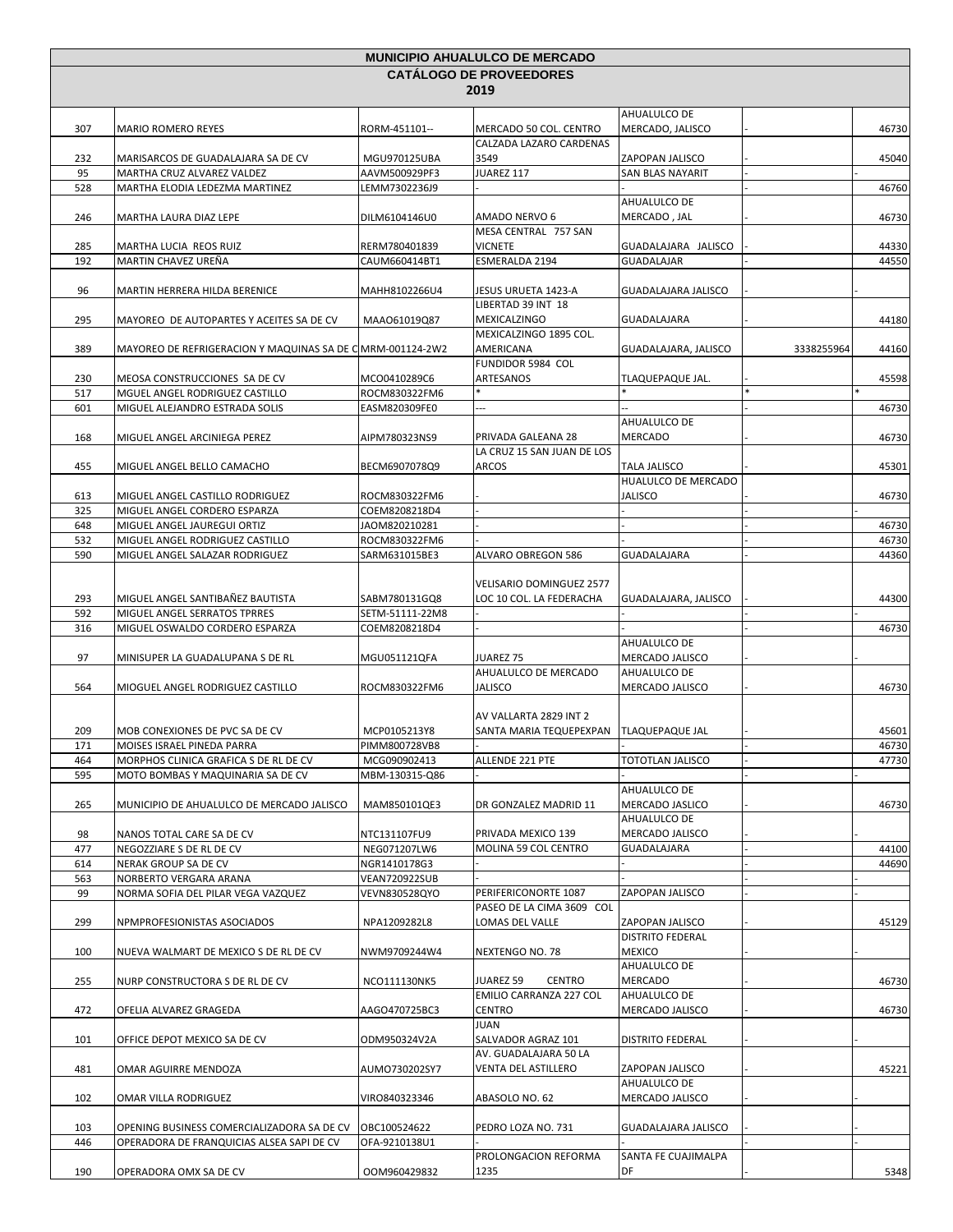| <b>CATALOGO DE PROVEEDORES</b><br>2019<br>AHUALULCO DE<br>307<br>MERCADO 50 COL. CENTRO<br>MERCADO, JALISCO<br>46730<br><b>MARIO ROMERO REYES</b><br>RORM-451101--<br>CALZADA LAZARO CARDENAS<br>232<br>45040<br>MARISARCOS DE GUADALAJARA SA DE CV<br>MGU970125UBA<br>3549<br>ZAPOPAN JALISCO<br>95<br>JUAREZ 117<br>MARTHA CRUZ ALVAREZ VALDEZ<br>AAVM500929PF3<br><b>SAN BLAS NAYARIT</b><br>528<br>MARTHA ELODIA LEDEZMA MARTINEZ<br>LEMM7302236J9<br>46760<br>AHUALULCO DE<br>246<br>DILM6104146U0<br>MERCADO, JAL<br>46730<br>MARTHA LAURA DIAZ LEPE<br>AMADO NERVO 6<br>MESA CENTRAL 757 SAN<br>44330<br>285<br>MARTHA LUCIA REOS RUIZ<br>RERM780401839<br><b>VICNETE</b><br>GUADALAJARA JALISCO<br>192<br>MARTIN CHAVEZ UREÑA<br>ESMERALDA 2194<br>44550<br><b>GUADALAJAR</b><br>CAUM660414BT1<br><b>GUADALAJARA JALISCO</b><br>96<br>MARTIN HERRERA HILDA BERENICE<br>MAHH8102266U4<br>JESUS URUETA 1423-A<br>LIBERTAD 39 INT 18<br>295<br>GUADALAJARA<br>44180<br>MAYOREO DE AUTOPARTES Y ACEITES SA DE CV<br>MAA061019Q87<br>MEXICALZINGO<br>MEXICALZINGO 1895 COL.<br>389<br>MAYOREO DE REFRIGERACION Y MAQUINAS SA DE C MRM-001124-2W2<br>AMERICANA<br>3338255964<br>44160<br>GUADALAJARA, JALISCO<br>FUNDIDOR 5984 COL<br>230<br>MEOSA CONSTRUCCIONES SA DE CV<br>MCO0410289C6<br>ARTESANOS<br>45598<br>TLAQUEPAQUE JAL.<br>517<br>MGUEL ANGEL RODRIGUEZ CASTILLO<br>ROCM830322FM6<br>601<br>46730<br>MIGUEL ALEJANDRO ESTRADA SOLIS<br>EASM820309FE0<br>AHUALULCO DE<br>168<br>MIGUEL ANGEL ARCINIEGA PEREZ<br>AIPM780323NS9<br>MERCADO<br>46730<br>PRIVADA GALEANA 28<br>LA CRUZ 15 SAN JUAN DE LOS<br>ARCOS<br>455<br>TALA JALISCO<br>45301<br>MIGUEL ANGEL BELLO CAMACHO<br>BECM6907078Q9<br>HUALULCO DE MERCADO<br>JALISCO<br>613<br>MIGUEL ANGEL CASTILLO RODRIGUEZ<br>ROCM830322FM6<br>46730<br>325<br>MIGUEL ANGEL CORDERO ESPARZA<br>COEM8208218D4<br>46730<br>648<br>MIGUEL ANGEL JAUREGUI ORTIZ<br>JAOM820210281<br>532<br>MIGUEL ANGEL RODRIGUEZ CASTILLO<br>ROCM830322FM6<br>46730<br>590<br>44360<br>MIGUEL ANGEL SALAZAR RODRIGUEZ<br>SARM631015BE3<br>ALVARO OBREGON 586<br>GUADALAJARA<br>VELISARIO DOMINGUEZ 2577<br>293<br>MIGUEL ANGEL SANTIBAÑEZ BAUTISTA<br>SABM780131GQ8<br>LOC 10 COL. LA FEDERACHA<br>GUADALAJARA, JALISCO<br>44300<br>592<br>MIGUEL ANGEL SERRATOS TPRRES<br>SETM-51111-22M8<br>316<br>MIGUEL OSWALDO CORDERO ESPARZA<br>COEM8208218D4<br>46730<br>AHUALULCO DE<br>97<br>MGU051121QFA<br><b>JUAREZ 75</b><br>MERCADO JALISCO<br>MINISUPER LA GUADALUPANA S DE RL<br>AHUALULCO DE MERCADO<br>AHUALULCO DE<br><b>JALISCO</b><br>MERCADO JALISCO<br>564<br>ROCM830322FM6<br>46730<br>MIOGUEL ANGEL RODRIGUEZ CASTILLO<br>AV VALLARTA 2829 INT 2<br>SANTA MARIA TEQUEPEXPAN   TLAQUEPAQUE JAL<br>45601<br>209<br>MOB CONEXIONES DE PVC SA DE CV<br>MCP0105213Y8<br>MOISES ISRAEL PINEDA PARRA<br>46730<br>1/1<br>PIMM800728VB8<br>ALLENDE 221 PTE<br>TOTOTLAN JALISCO<br>47730<br>464<br>MORPHOS CLINICA GRAFICA S DE RL DE CV<br>MCG090902413<br>595<br>MOTO BOMBAS Y MAQUINARIA SA DE CV<br>MBM-130315-Q86<br>AHUALULCO DE<br>265<br>MERCADO JASLICO<br>MUNICIPIO DE AHUALULCO DE MERCADO JALISCO<br>MAM850101QE3<br>46730<br>DR GONZALEZ MADRID 11<br>AHUALULCO DE<br>98<br>NANOS TOTAL CARE SA DE CV<br>NTC131107FU9<br>PRIVADA MEXICO 139<br>MERCADO JALISCO<br>MOLINA 59 COL CENTRO<br>GUADALAJARA<br>NEGOZZIARE S DE RL DE CV<br>NEG071207LW6<br>477<br>44100<br>614<br>NERAK GROUP SA DE CV<br>NGR1410178G3<br>44690<br>563<br>NORBERTO VERGARA ARANA<br>VEAN720922SUB<br>99<br>PERIFERICONORTE 1087<br>ZAPOPAN JALISCO<br>NORMA SOFIA DEL PILAR VEGA VAZQUEZ<br>VEVN830528QYO<br>PASEO DE LA CIMA 3609 COL<br>LOMAS DEL VALLE<br>ZAPOPAN JALISCO<br>299<br>NPMPROFESIONISTAS ASOCIADOS<br>NPA1209282L8<br>45129<br>DISTRITO FEDERAL<br><b>MEXICO</b><br>100<br>NUEVA WALMART DE MEXICO S DE RL DE CV<br>NWM9709244W4<br>NEXTENGO NO. 78<br>AHUALULCO DE<br>255<br>NURP CONSTRUCTORA S DE RL DE CV<br>NCO111130NK5<br>JUAREZ 59<br><b>CENTRO</b><br>MERCADO<br>46730<br>EMILIO CARRANZA 227 COL<br>AHUALULCO DE<br><b>CENTRO</b><br>MERCADO JALISCO<br>472<br>AAGO470725BC3<br>46730<br>OFELIA ALVAREZ GRAGEDA<br><b>JUAN</b><br>SALVADOR AGRAZ 101<br><b>DISTRITO FEDERAL</b><br>101<br>OFFICE DEPOT MEXICO SA DE CV<br>ODM950324V2A<br>AV. GUADALAJARA 50 LA<br>481<br>45221<br>OMAR AGUIRRE MENDOZA<br>AUMO730202SY7<br>VENTA DEL ASTILLERO<br>ZAPOPAN JALISCO<br>AHUALULCO DE<br>102<br>OMAR VILLA RODRIGUEZ<br>VIRO840323346<br>ABASOLO NO. 62<br>MERCADO JALISCO<br>PEDRO LOZA NO. 731<br>GUADALAJARA JALISCO<br>103<br>OPENING BUSINESS COMERCIALIZADORA SA DE CV<br>OBC100524622<br>446<br>OPERADORA DE FRANQUICIAS ALSEA SAPI DE CV<br>OFA-9210138U1<br>PROLONGACION REFORMA<br>SANTA FE CUAJIMALPA<br>190<br>OPERADORA OMX SA DE CV<br>OOM960429832<br>1235<br>DF | <b>MUNICIPIO AHUALULCO DE MERCADO</b> |  |  |  |  |  |
|-----------------------------------------------------------------------------------------------------------------------------------------------------------------------------------------------------------------------------------------------------------------------------------------------------------------------------------------------------------------------------------------------------------------------------------------------------------------------------------------------------------------------------------------------------------------------------------------------------------------------------------------------------------------------------------------------------------------------------------------------------------------------------------------------------------------------------------------------------------------------------------------------------------------------------------------------------------------------------------------------------------------------------------------------------------------------------------------------------------------------------------------------------------------------------------------------------------------------------------------------------------------------------------------------------------------------------------------------------------------------------------------------------------------------------------------------------------------------------------------------------------------------------------------------------------------------------------------------------------------------------------------------------------------------------------------------------------------------------------------------------------------------------------------------------------------------------------------------------------------------------------------------------------------------------------------------------------------------------------------------------------------------------------------------------------------------------------------------------------------------------------------------------------------------------------------------------------------------------------------------------------------------------------------------------------------------------------------------------------------------------------------------------------------------------------------------------------------------------------------------------------------------------------------------------------------------------------------------------------------------------------------------------------------------------------------------------------------------------------------------------------------------------------------------------------------------------------------------------------------------------------------------------------------------------------------------------------------------------------------------------------------------------------------------------------------------------------------------------------------------------------------------------------------------------------------------------------------------------------------------------------------------------------------------------------------------------------------------------------------------------------------------------------------------------------------------------------------------------------------------------------------------------------------------------------------------------------------------------------------------------------------------------------------------------------------------------------------------------------------------------------------------------------------------------------------------------------------------------------------------------------------------------------------------------------------------------------------------------------------------------------------------------------------------------------------------------------------------------------------------------------------------------------------------------------------------------------------------------------------------------------------------------------------------------------------------------------------------------------------------------------------------------------------------------------------------------------------------------------------------------------------------------------------------------------------------------------------------------------------------------------------------------------------------------------------------------------------------------------------------------------------------------------------------------------------------------------------|---------------------------------------|--|--|--|--|--|
|                                                                                                                                                                                                                                                                                                                                                                                                                                                                                                                                                                                                                                                                                                                                                                                                                                                                                                                                                                                                                                                                                                                                                                                                                                                                                                                                                                                                                                                                                                                                                                                                                                                                                                                                                                                                                                                                                                                                                                                                                                                                                                                                                                                                                                                                                                                                                                                                                                                                                                                                                                                                                                                                                                                                                                                                                                                                                                                                                                                                                                                                                                                                                                                                                                                                                                                                                                                                                                                                                                                                                                                                                                                                                                                                                                                                                                                                                                                                                                                                                                                                                                                                                                                                                                                                                                                                                                                                                                                                                                                                                                                                                                                                                                                                                                                                                                         |                                       |  |  |  |  |  |
|                                                                                                                                                                                                                                                                                                                                                                                                                                                                                                                                                                                                                                                                                                                                                                                                                                                                                                                                                                                                                                                                                                                                                                                                                                                                                                                                                                                                                                                                                                                                                                                                                                                                                                                                                                                                                                                                                                                                                                                                                                                                                                                                                                                                                                                                                                                                                                                                                                                                                                                                                                                                                                                                                                                                                                                                                                                                                                                                                                                                                                                                                                                                                                                                                                                                                                                                                                                                                                                                                                                                                                                                                                                                                                                                                                                                                                                                                                                                                                                                                                                                                                                                                                                                                                                                                                                                                                                                                                                                                                                                                                                                                                                                                                                                                                                                                                         |                                       |  |  |  |  |  |
|                                                                                                                                                                                                                                                                                                                                                                                                                                                                                                                                                                                                                                                                                                                                                                                                                                                                                                                                                                                                                                                                                                                                                                                                                                                                                                                                                                                                                                                                                                                                                                                                                                                                                                                                                                                                                                                                                                                                                                                                                                                                                                                                                                                                                                                                                                                                                                                                                                                                                                                                                                                                                                                                                                                                                                                                                                                                                                                                                                                                                                                                                                                                                                                                                                                                                                                                                                                                                                                                                                                                                                                                                                                                                                                                                                                                                                                                                                                                                                                                                                                                                                                                                                                                                                                                                                                                                                                                                                                                                                                                                                                                                                                                                                                                                                                                                                         |                                       |  |  |  |  |  |
|                                                                                                                                                                                                                                                                                                                                                                                                                                                                                                                                                                                                                                                                                                                                                                                                                                                                                                                                                                                                                                                                                                                                                                                                                                                                                                                                                                                                                                                                                                                                                                                                                                                                                                                                                                                                                                                                                                                                                                                                                                                                                                                                                                                                                                                                                                                                                                                                                                                                                                                                                                                                                                                                                                                                                                                                                                                                                                                                                                                                                                                                                                                                                                                                                                                                                                                                                                                                                                                                                                                                                                                                                                                                                                                                                                                                                                                                                                                                                                                                                                                                                                                                                                                                                                                                                                                                                                                                                                                                                                                                                                                                                                                                                                                                                                                                                                         |                                       |  |  |  |  |  |
|                                                                                                                                                                                                                                                                                                                                                                                                                                                                                                                                                                                                                                                                                                                                                                                                                                                                                                                                                                                                                                                                                                                                                                                                                                                                                                                                                                                                                                                                                                                                                                                                                                                                                                                                                                                                                                                                                                                                                                                                                                                                                                                                                                                                                                                                                                                                                                                                                                                                                                                                                                                                                                                                                                                                                                                                                                                                                                                                                                                                                                                                                                                                                                                                                                                                                                                                                                                                                                                                                                                                                                                                                                                                                                                                                                                                                                                                                                                                                                                                                                                                                                                                                                                                                                                                                                                                                                                                                                                                                                                                                                                                                                                                                                                                                                                                                                         |                                       |  |  |  |  |  |
|                                                                                                                                                                                                                                                                                                                                                                                                                                                                                                                                                                                                                                                                                                                                                                                                                                                                                                                                                                                                                                                                                                                                                                                                                                                                                                                                                                                                                                                                                                                                                                                                                                                                                                                                                                                                                                                                                                                                                                                                                                                                                                                                                                                                                                                                                                                                                                                                                                                                                                                                                                                                                                                                                                                                                                                                                                                                                                                                                                                                                                                                                                                                                                                                                                                                                                                                                                                                                                                                                                                                                                                                                                                                                                                                                                                                                                                                                                                                                                                                                                                                                                                                                                                                                                                                                                                                                                                                                                                                                                                                                                                                                                                                                                                                                                                                                                         |                                       |  |  |  |  |  |
|                                                                                                                                                                                                                                                                                                                                                                                                                                                                                                                                                                                                                                                                                                                                                                                                                                                                                                                                                                                                                                                                                                                                                                                                                                                                                                                                                                                                                                                                                                                                                                                                                                                                                                                                                                                                                                                                                                                                                                                                                                                                                                                                                                                                                                                                                                                                                                                                                                                                                                                                                                                                                                                                                                                                                                                                                                                                                                                                                                                                                                                                                                                                                                                                                                                                                                                                                                                                                                                                                                                                                                                                                                                                                                                                                                                                                                                                                                                                                                                                                                                                                                                                                                                                                                                                                                                                                                                                                                                                                                                                                                                                                                                                                                                                                                                                                                         |                                       |  |  |  |  |  |
|                                                                                                                                                                                                                                                                                                                                                                                                                                                                                                                                                                                                                                                                                                                                                                                                                                                                                                                                                                                                                                                                                                                                                                                                                                                                                                                                                                                                                                                                                                                                                                                                                                                                                                                                                                                                                                                                                                                                                                                                                                                                                                                                                                                                                                                                                                                                                                                                                                                                                                                                                                                                                                                                                                                                                                                                                                                                                                                                                                                                                                                                                                                                                                                                                                                                                                                                                                                                                                                                                                                                                                                                                                                                                                                                                                                                                                                                                                                                                                                                                                                                                                                                                                                                                                                                                                                                                                                                                                                                                                                                                                                                                                                                                                                                                                                                                                         |                                       |  |  |  |  |  |
|                                                                                                                                                                                                                                                                                                                                                                                                                                                                                                                                                                                                                                                                                                                                                                                                                                                                                                                                                                                                                                                                                                                                                                                                                                                                                                                                                                                                                                                                                                                                                                                                                                                                                                                                                                                                                                                                                                                                                                                                                                                                                                                                                                                                                                                                                                                                                                                                                                                                                                                                                                                                                                                                                                                                                                                                                                                                                                                                                                                                                                                                                                                                                                                                                                                                                                                                                                                                                                                                                                                                                                                                                                                                                                                                                                                                                                                                                                                                                                                                                                                                                                                                                                                                                                                                                                                                                                                                                                                                                                                                                                                                                                                                                                                                                                                                                                         |                                       |  |  |  |  |  |
|                                                                                                                                                                                                                                                                                                                                                                                                                                                                                                                                                                                                                                                                                                                                                                                                                                                                                                                                                                                                                                                                                                                                                                                                                                                                                                                                                                                                                                                                                                                                                                                                                                                                                                                                                                                                                                                                                                                                                                                                                                                                                                                                                                                                                                                                                                                                                                                                                                                                                                                                                                                                                                                                                                                                                                                                                                                                                                                                                                                                                                                                                                                                                                                                                                                                                                                                                                                                                                                                                                                                                                                                                                                                                                                                                                                                                                                                                                                                                                                                                                                                                                                                                                                                                                                                                                                                                                                                                                                                                                                                                                                                                                                                                                                                                                                                                                         |                                       |  |  |  |  |  |
|                                                                                                                                                                                                                                                                                                                                                                                                                                                                                                                                                                                                                                                                                                                                                                                                                                                                                                                                                                                                                                                                                                                                                                                                                                                                                                                                                                                                                                                                                                                                                                                                                                                                                                                                                                                                                                                                                                                                                                                                                                                                                                                                                                                                                                                                                                                                                                                                                                                                                                                                                                                                                                                                                                                                                                                                                                                                                                                                                                                                                                                                                                                                                                                                                                                                                                                                                                                                                                                                                                                                                                                                                                                                                                                                                                                                                                                                                                                                                                                                                                                                                                                                                                                                                                                                                                                                                                                                                                                                                                                                                                                                                                                                                                                                                                                                                                         |                                       |  |  |  |  |  |
|                                                                                                                                                                                                                                                                                                                                                                                                                                                                                                                                                                                                                                                                                                                                                                                                                                                                                                                                                                                                                                                                                                                                                                                                                                                                                                                                                                                                                                                                                                                                                                                                                                                                                                                                                                                                                                                                                                                                                                                                                                                                                                                                                                                                                                                                                                                                                                                                                                                                                                                                                                                                                                                                                                                                                                                                                                                                                                                                                                                                                                                                                                                                                                                                                                                                                                                                                                                                                                                                                                                                                                                                                                                                                                                                                                                                                                                                                                                                                                                                                                                                                                                                                                                                                                                                                                                                                                                                                                                                                                                                                                                                                                                                                                                                                                                                                                         |                                       |  |  |  |  |  |
|                                                                                                                                                                                                                                                                                                                                                                                                                                                                                                                                                                                                                                                                                                                                                                                                                                                                                                                                                                                                                                                                                                                                                                                                                                                                                                                                                                                                                                                                                                                                                                                                                                                                                                                                                                                                                                                                                                                                                                                                                                                                                                                                                                                                                                                                                                                                                                                                                                                                                                                                                                                                                                                                                                                                                                                                                                                                                                                                                                                                                                                                                                                                                                                                                                                                                                                                                                                                                                                                                                                                                                                                                                                                                                                                                                                                                                                                                                                                                                                                                                                                                                                                                                                                                                                                                                                                                                                                                                                                                                                                                                                                                                                                                                                                                                                                                                         |                                       |  |  |  |  |  |
|                                                                                                                                                                                                                                                                                                                                                                                                                                                                                                                                                                                                                                                                                                                                                                                                                                                                                                                                                                                                                                                                                                                                                                                                                                                                                                                                                                                                                                                                                                                                                                                                                                                                                                                                                                                                                                                                                                                                                                                                                                                                                                                                                                                                                                                                                                                                                                                                                                                                                                                                                                                                                                                                                                                                                                                                                                                                                                                                                                                                                                                                                                                                                                                                                                                                                                                                                                                                                                                                                                                                                                                                                                                                                                                                                                                                                                                                                                                                                                                                                                                                                                                                                                                                                                                                                                                                                                                                                                                                                                                                                                                                                                                                                                                                                                                                                                         |                                       |  |  |  |  |  |
|                                                                                                                                                                                                                                                                                                                                                                                                                                                                                                                                                                                                                                                                                                                                                                                                                                                                                                                                                                                                                                                                                                                                                                                                                                                                                                                                                                                                                                                                                                                                                                                                                                                                                                                                                                                                                                                                                                                                                                                                                                                                                                                                                                                                                                                                                                                                                                                                                                                                                                                                                                                                                                                                                                                                                                                                                                                                                                                                                                                                                                                                                                                                                                                                                                                                                                                                                                                                                                                                                                                                                                                                                                                                                                                                                                                                                                                                                                                                                                                                                                                                                                                                                                                                                                                                                                                                                                                                                                                                                                                                                                                                                                                                                                                                                                                                                                         |                                       |  |  |  |  |  |
|                                                                                                                                                                                                                                                                                                                                                                                                                                                                                                                                                                                                                                                                                                                                                                                                                                                                                                                                                                                                                                                                                                                                                                                                                                                                                                                                                                                                                                                                                                                                                                                                                                                                                                                                                                                                                                                                                                                                                                                                                                                                                                                                                                                                                                                                                                                                                                                                                                                                                                                                                                                                                                                                                                                                                                                                                                                                                                                                                                                                                                                                                                                                                                                                                                                                                                                                                                                                                                                                                                                                                                                                                                                                                                                                                                                                                                                                                                                                                                                                                                                                                                                                                                                                                                                                                                                                                                                                                                                                                                                                                                                                                                                                                                                                                                                                                                         |                                       |  |  |  |  |  |
|                                                                                                                                                                                                                                                                                                                                                                                                                                                                                                                                                                                                                                                                                                                                                                                                                                                                                                                                                                                                                                                                                                                                                                                                                                                                                                                                                                                                                                                                                                                                                                                                                                                                                                                                                                                                                                                                                                                                                                                                                                                                                                                                                                                                                                                                                                                                                                                                                                                                                                                                                                                                                                                                                                                                                                                                                                                                                                                                                                                                                                                                                                                                                                                                                                                                                                                                                                                                                                                                                                                                                                                                                                                                                                                                                                                                                                                                                                                                                                                                                                                                                                                                                                                                                                                                                                                                                                                                                                                                                                                                                                                                                                                                                                                                                                                                                                         |                                       |  |  |  |  |  |
|                                                                                                                                                                                                                                                                                                                                                                                                                                                                                                                                                                                                                                                                                                                                                                                                                                                                                                                                                                                                                                                                                                                                                                                                                                                                                                                                                                                                                                                                                                                                                                                                                                                                                                                                                                                                                                                                                                                                                                                                                                                                                                                                                                                                                                                                                                                                                                                                                                                                                                                                                                                                                                                                                                                                                                                                                                                                                                                                                                                                                                                                                                                                                                                                                                                                                                                                                                                                                                                                                                                                                                                                                                                                                                                                                                                                                                                                                                                                                                                                                                                                                                                                                                                                                                                                                                                                                                                                                                                                                                                                                                                                                                                                                                                                                                                                                                         |                                       |  |  |  |  |  |
|                                                                                                                                                                                                                                                                                                                                                                                                                                                                                                                                                                                                                                                                                                                                                                                                                                                                                                                                                                                                                                                                                                                                                                                                                                                                                                                                                                                                                                                                                                                                                                                                                                                                                                                                                                                                                                                                                                                                                                                                                                                                                                                                                                                                                                                                                                                                                                                                                                                                                                                                                                                                                                                                                                                                                                                                                                                                                                                                                                                                                                                                                                                                                                                                                                                                                                                                                                                                                                                                                                                                                                                                                                                                                                                                                                                                                                                                                                                                                                                                                                                                                                                                                                                                                                                                                                                                                                                                                                                                                                                                                                                                                                                                                                                                                                                                                                         |                                       |  |  |  |  |  |
|                                                                                                                                                                                                                                                                                                                                                                                                                                                                                                                                                                                                                                                                                                                                                                                                                                                                                                                                                                                                                                                                                                                                                                                                                                                                                                                                                                                                                                                                                                                                                                                                                                                                                                                                                                                                                                                                                                                                                                                                                                                                                                                                                                                                                                                                                                                                                                                                                                                                                                                                                                                                                                                                                                                                                                                                                                                                                                                                                                                                                                                                                                                                                                                                                                                                                                                                                                                                                                                                                                                                                                                                                                                                                                                                                                                                                                                                                                                                                                                                                                                                                                                                                                                                                                                                                                                                                                                                                                                                                                                                                                                                                                                                                                                                                                                                                                         |                                       |  |  |  |  |  |
|                                                                                                                                                                                                                                                                                                                                                                                                                                                                                                                                                                                                                                                                                                                                                                                                                                                                                                                                                                                                                                                                                                                                                                                                                                                                                                                                                                                                                                                                                                                                                                                                                                                                                                                                                                                                                                                                                                                                                                                                                                                                                                                                                                                                                                                                                                                                                                                                                                                                                                                                                                                                                                                                                                                                                                                                                                                                                                                                                                                                                                                                                                                                                                                                                                                                                                                                                                                                                                                                                                                                                                                                                                                                                                                                                                                                                                                                                                                                                                                                                                                                                                                                                                                                                                                                                                                                                                                                                                                                                                                                                                                                                                                                                                                                                                                                                                         |                                       |  |  |  |  |  |
|                                                                                                                                                                                                                                                                                                                                                                                                                                                                                                                                                                                                                                                                                                                                                                                                                                                                                                                                                                                                                                                                                                                                                                                                                                                                                                                                                                                                                                                                                                                                                                                                                                                                                                                                                                                                                                                                                                                                                                                                                                                                                                                                                                                                                                                                                                                                                                                                                                                                                                                                                                                                                                                                                                                                                                                                                                                                                                                                                                                                                                                                                                                                                                                                                                                                                                                                                                                                                                                                                                                                                                                                                                                                                                                                                                                                                                                                                                                                                                                                                                                                                                                                                                                                                                                                                                                                                                                                                                                                                                                                                                                                                                                                                                                                                                                                                                         |                                       |  |  |  |  |  |
|                                                                                                                                                                                                                                                                                                                                                                                                                                                                                                                                                                                                                                                                                                                                                                                                                                                                                                                                                                                                                                                                                                                                                                                                                                                                                                                                                                                                                                                                                                                                                                                                                                                                                                                                                                                                                                                                                                                                                                                                                                                                                                                                                                                                                                                                                                                                                                                                                                                                                                                                                                                                                                                                                                                                                                                                                                                                                                                                                                                                                                                                                                                                                                                                                                                                                                                                                                                                                                                                                                                                                                                                                                                                                                                                                                                                                                                                                                                                                                                                                                                                                                                                                                                                                                                                                                                                                                                                                                                                                                                                                                                                                                                                                                                                                                                                                                         |                                       |  |  |  |  |  |
|                                                                                                                                                                                                                                                                                                                                                                                                                                                                                                                                                                                                                                                                                                                                                                                                                                                                                                                                                                                                                                                                                                                                                                                                                                                                                                                                                                                                                                                                                                                                                                                                                                                                                                                                                                                                                                                                                                                                                                                                                                                                                                                                                                                                                                                                                                                                                                                                                                                                                                                                                                                                                                                                                                                                                                                                                                                                                                                                                                                                                                                                                                                                                                                                                                                                                                                                                                                                                                                                                                                                                                                                                                                                                                                                                                                                                                                                                                                                                                                                                                                                                                                                                                                                                                                                                                                                                                                                                                                                                                                                                                                                                                                                                                                                                                                                                                         |                                       |  |  |  |  |  |
|                                                                                                                                                                                                                                                                                                                                                                                                                                                                                                                                                                                                                                                                                                                                                                                                                                                                                                                                                                                                                                                                                                                                                                                                                                                                                                                                                                                                                                                                                                                                                                                                                                                                                                                                                                                                                                                                                                                                                                                                                                                                                                                                                                                                                                                                                                                                                                                                                                                                                                                                                                                                                                                                                                                                                                                                                                                                                                                                                                                                                                                                                                                                                                                                                                                                                                                                                                                                                                                                                                                                                                                                                                                                                                                                                                                                                                                                                                                                                                                                                                                                                                                                                                                                                                                                                                                                                                                                                                                                                                                                                                                                                                                                                                                                                                                                                                         |                                       |  |  |  |  |  |
|                                                                                                                                                                                                                                                                                                                                                                                                                                                                                                                                                                                                                                                                                                                                                                                                                                                                                                                                                                                                                                                                                                                                                                                                                                                                                                                                                                                                                                                                                                                                                                                                                                                                                                                                                                                                                                                                                                                                                                                                                                                                                                                                                                                                                                                                                                                                                                                                                                                                                                                                                                                                                                                                                                                                                                                                                                                                                                                                                                                                                                                                                                                                                                                                                                                                                                                                                                                                                                                                                                                                                                                                                                                                                                                                                                                                                                                                                                                                                                                                                                                                                                                                                                                                                                                                                                                                                                                                                                                                                                                                                                                                                                                                                                                                                                                                                                         |                                       |  |  |  |  |  |
|                                                                                                                                                                                                                                                                                                                                                                                                                                                                                                                                                                                                                                                                                                                                                                                                                                                                                                                                                                                                                                                                                                                                                                                                                                                                                                                                                                                                                                                                                                                                                                                                                                                                                                                                                                                                                                                                                                                                                                                                                                                                                                                                                                                                                                                                                                                                                                                                                                                                                                                                                                                                                                                                                                                                                                                                                                                                                                                                                                                                                                                                                                                                                                                                                                                                                                                                                                                                                                                                                                                                                                                                                                                                                                                                                                                                                                                                                                                                                                                                                                                                                                                                                                                                                                                                                                                                                                                                                                                                                                                                                                                                                                                                                                                                                                                                                                         |                                       |  |  |  |  |  |
|                                                                                                                                                                                                                                                                                                                                                                                                                                                                                                                                                                                                                                                                                                                                                                                                                                                                                                                                                                                                                                                                                                                                                                                                                                                                                                                                                                                                                                                                                                                                                                                                                                                                                                                                                                                                                                                                                                                                                                                                                                                                                                                                                                                                                                                                                                                                                                                                                                                                                                                                                                                                                                                                                                                                                                                                                                                                                                                                                                                                                                                                                                                                                                                                                                                                                                                                                                                                                                                                                                                                                                                                                                                                                                                                                                                                                                                                                                                                                                                                                                                                                                                                                                                                                                                                                                                                                                                                                                                                                                                                                                                                                                                                                                                                                                                                                                         |                                       |  |  |  |  |  |
|                                                                                                                                                                                                                                                                                                                                                                                                                                                                                                                                                                                                                                                                                                                                                                                                                                                                                                                                                                                                                                                                                                                                                                                                                                                                                                                                                                                                                                                                                                                                                                                                                                                                                                                                                                                                                                                                                                                                                                                                                                                                                                                                                                                                                                                                                                                                                                                                                                                                                                                                                                                                                                                                                                                                                                                                                                                                                                                                                                                                                                                                                                                                                                                                                                                                                                                                                                                                                                                                                                                                                                                                                                                                                                                                                                                                                                                                                                                                                                                                                                                                                                                                                                                                                                                                                                                                                                                                                                                                                                                                                                                                                                                                                                                                                                                                                                         |                                       |  |  |  |  |  |
|                                                                                                                                                                                                                                                                                                                                                                                                                                                                                                                                                                                                                                                                                                                                                                                                                                                                                                                                                                                                                                                                                                                                                                                                                                                                                                                                                                                                                                                                                                                                                                                                                                                                                                                                                                                                                                                                                                                                                                                                                                                                                                                                                                                                                                                                                                                                                                                                                                                                                                                                                                                                                                                                                                                                                                                                                                                                                                                                                                                                                                                                                                                                                                                                                                                                                                                                                                                                                                                                                                                                                                                                                                                                                                                                                                                                                                                                                                                                                                                                                                                                                                                                                                                                                                                                                                                                                                                                                                                                                                                                                                                                                                                                                                                                                                                                                                         |                                       |  |  |  |  |  |
|                                                                                                                                                                                                                                                                                                                                                                                                                                                                                                                                                                                                                                                                                                                                                                                                                                                                                                                                                                                                                                                                                                                                                                                                                                                                                                                                                                                                                                                                                                                                                                                                                                                                                                                                                                                                                                                                                                                                                                                                                                                                                                                                                                                                                                                                                                                                                                                                                                                                                                                                                                                                                                                                                                                                                                                                                                                                                                                                                                                                                                                                                                                                                                                                                                                                                                                                                                                                                                                                                                                                                                                                                                                                                                                                                                                                                                                                                                                                                                                                                                                                                                                                                                                                                                                                                                                                                                                                                                                                                                                                                                                                                                                                                                                                                                                                                                         |                                       |  |  |  |  |  |
|                                                                                                                                                                                                                                                                                                                                                                                                                                                                                                                                                                                                                                                                                                                                                                                                                                                                                                                                                                                                                                                                                                                                                                                                                                                                                                                                                                                                                                                                                                                                                                                                                                                                                                                                                                                                                                                                                                                                                                                                                                                                                                                                                                                                                                                                                                                                                                                                                                                                                                                                                                                                                                                                                                                                                                                                                                                                                                                                                                                                                                                                                                                                                                                                                                                                                                                                                                                                                                                                                                                                                                                                                                                                                                                                                                                                                                                                                                                                                                                                                                                                                                                                                                                                                                                                                                                                                                                                                                                                                                                                                                                                                                                                                                                                                                                                                                         |                                       |  |  |  |  |  |
|                                                                                                                                                                                                                                                                                                                                                                                                                                                                                                                                                                                                                                                                                                                                                                                                                                                                                                                                                                                                                                                                                                                                                                                                                                                                                                                                                                                                                                                                                                                                                                                                                                                                                                                                                                                                                                                                                                                                                                                                                                                                                                                                                                                                                                                                                                                                                                                                                                                                                                                                                                                                                                                                                                                                                                                                                                                                                                                                                                                                                                                                                                                                                                                                                                                                                                                                                                                                                                                                                                                                                                                                                                                                                                                                                                                                                                                                                                                                                                                                                                                                                                                                                                                                                                                                                                                                                                                                                                                                                                                                                                                                                                                                                                                                                                                                                                         |                                       |  |  |  |  |  |
|                                                                                                                                                                                                                                                                                                                                                                                                                                                                                                                                                                                                                                                                                                                                                                                                                                                                                                                                                                                                                                                                                                                                                                                                                                                                                                                                                                                                                                                                                                                                                                                                                                                                                                                                                                                                                                                                                                                                                                                                                                                                                                                                                                                                                                                                                                                                                                                                                                                                                                                                                                                                                                                                                                                                                                                                                                                                                                                                                                                                                                                                                                                                                                                                                                                                                                                                                                                                                                                                                                                                                                                                                                                                                                                                                                                                                                                                                                                                                                                                                                                                                                                                                                                                                                                                                                                                                                                                                                                                                                                                                                                                                                                                                                                                                                                                                                         |                                       |  |  |  |  |  |
|                                                                                                                                                                                                                                                                                                                                                                                                                                                                                                                                                                                                                                                                                                                                                                                                                                                                                                                                                                                                                                                                                                                                                                                                                                                                                                                                                                                                                                                                                                                                                                                                                                                                                                                                                                                                                                                                                                                                                                                                                                                                                                                                                                                                                                                                                                                                                                                                                                                                                                                                                                                                                                                                                                                                                                                                                                                                                                                                                                                                                                                                                                                                                                                                                                                                                                                                                                                                                                                                                                                                                                                                                                                                                                                                                                                                                                                                                                                                                                                                                                                                                                                                                                                                                                                                                                                                                                                                                                                                                                                                                                                                                                                                                                                                                                                                                                         |                                       |  |  |  |  |  |
|                                                                                                                                                                                                                                                                                                                                                                                                                                                                                                                                                                                                                                                                                                                                                                                                                                                                                                                                                                                                                                                                                                                                                                                                                                                                                                                                                                                                                                                                                                                                                                                                                                                                                                                                                                                                                                                                                                                                                                                                                                                                                                                                                                                                                                                                                                                                                                                                                                                                                                                                                                                                                                                                                                                                                                                                                                                                                                                                                                                                                                                                                                                                                                                                                                                                                                                                                                                                                                                                                                                                                                                                                                                                                                                                                                                                                                                                                                                                                                                                                                                                                                                                                                                                                                                                                                                                                                                                                                                                                                                                                                                                                                                                                                                                                                                                                                         |                                       |  |  |  |  |  |
|                                                                                                                                                                                                                                                                                                                                                                                                                                                                                                                                                                                                                                                                                                                                                                                                                                                                                                                                                                                                                                                                                                                                                                                                                                                                                                                                                                                                                                                                                                                                                                                                                                                                                                                                                                                                                                                                                                                                                                                                                                                                                                                                                                                                                                                                                                                                                                                                                                                                                                                                                                                                                                                                                                                                                                                                                                                                                                                                                                                                                                                                                                                                                                                                                                                                                                                                                                                                                                                                                                                                                                                                                                                                                                                                                                                                                                                                                                                                                                                                                                                                                                                                                                                                                                                                                                                                                                                                                                                                                                                                                                                                                                                                                                                                                                                                                                         |                                       |  |  |  |  |  |
|                                                                                                                                                                                                                                                                                                                                                                                                                                                                                                                                                                                                                                                                                                                                                                                                                                                                                                                                                                                                                                                                                                                                                                                                                                                                                                                                                                                                                                                                                                                                                                                                                                                                                                                                                                                                                                                                                                                                                                                                                                                                                                                                                                                                                                                                                                                                                                                                                                                                                                                                                                                                                                                                                                                                                                                                                                                                                                                                                                                                                                                                                                                                                                                                                                                                                                                                                                                                                                                                                                                                                                                                                                                                                                                                                                                                                                                                                                                                                                                                                                                                                                                                                                                                                                                                                                                                                                                                                                                                                                                                                                                                                                                                                                                                                                                                                                         |                                       |  |  |  |  |  |
|                                                                                                                                                                                                                                                                                                                                                                                                                                                                                                                                                                                                                                                                                                                                                                                                                                                                                                                                                                                                                                                                                                                                                                                                                                                                                                                                                                                                                                                                                                                                                                                                                                                                                                                                                                                                                                                                                                                                                                                                                                                                                                                                                                                                                                                                                                                                                                                                                                                                                                                                                                                                                                                                                                                                                                                                                                                                                                                                                                                                                                                                                                                                                                                                                                                                                                                                                                                                                                                                                                                                                                                                                                                                                                                                                                                                                                                                                                                                                                                                                                                                                                                                                                                                                                                                                                                                                                                                                                                                                                                                                                                                                                                                                                                                                                                                                                         |                                       |  |  |  |  |  |
| 5348                                                                                                                                                                                                                                                                                                                                                                                                                                                                                                                                                                                                                                                                                                                                                                                                                                                                                                                                                                                                                                                                                                                                                                                                                                                                                                                                                                                                                                                                                                                                                                                                                                                                                                                                                                                                                                                                                                                                                                                                                                                                                                                                                                                                                                                                                                                                                                                                                                                                                                                                                                                                                                                                                                                                                                                                                                                                                                                                                                                                                                                                                                                                                                                                                                                                                                                                                                                                                                                                                                                                                                                                                                                                                                                                                                                                                                                                                                                                                                                                                                                                                                                                                                                                                                                                                                                                                                                                                                                                                                                                                                                                                                                                                                                                                                                                                                    |                                       |  |  |  |  |  |
|                                                                                                                                                                                                                                                                                                                                                                                                                                                                                                                                                                                                                                                                                                                                                                                                                                                                                                                                                                                                                                                                                                                                                                                                                                                                                                                                                                                                                                                                                                                                                                                                                                                                                                                                                                                                                                                                                                                                                                                                                                                                                                                                                                                                                                                                                                                                                                                                                                                                                                                                                                                                                                                                                                                                                                                                                                                                                                                                                                                                                                                                                                                                                                                                                                                                                                                                                                                                                                                                                                                                                                                                                                                                                                                                                                                                                                                                                                                                                                                                                                                                                                                                                                                                                                                                                                                                                                                                                                                                                                                                                                                                                                                                                                                                                                                                                                         |                                       |  |  |  |  |  |
|                                                                                                                                                                                                                                                                                                                                                                                                                                                                                                                                                                                                                                                                                                                                                                                                                                                                                                                                                                                                                                                                                                                                                                                                                                                                                                                                                                                                                                                                                                                                                                                                                                                                                                                                                                                                                                                                                                                                                                                                                                                                                                                                                                                                                                                                                                                                                                                                                                                                                                                                                                                                                                                                                                                                                                                                                                                                                                                                                                                                                                                                                                                                                                                                                                                                                                                                                                                                                                                                                                                                                                                                                                                                                                                                                                                                                                                                                                                                                                                                                                                                                                                                                                                                                                                                                                                                                                                                                                                                                                                                                                                                                                                                                                                                                                                                                                         |                                       |  |  |  |  |  |
|                                                                                                                                                                                                                                                                                                                                                                                                                                                                                                                                                                                                                                                                                                                                                                                                                                                                                                                                                                                                                                                                                                                                                                                                                                                                                                                                                                                                                                                                                                                                                                                                                                                                                                                                                                                                                                                                                                                                                                                                                                                                                                                                                                                                                                                                                                                                                                                                                                                                                                                                                                                                                                                                                                                                                                                                                                                                                                                                                                                                                                                                                                                                                                                                                                                                                                                                                                                                                                                                                                                                                                                                                                                                                                                                                                                                                                                                                                                                                                                                                                                                                                                                                                                                                                                                                                                                                                                                                                                                                                                                                                                                                                                                                                                                                                                                                                         |                                       |  |  |  |  |  |
|                                                                                                                                                                                                                                                                                                                                                                                                                                                                                                                                                                                                                                                                                                                                                                                                                                                                                                                                                                                                                                                                                                                                                                                                                                                                                                                                                                                                                                                                                                                                                                                                                                                                                                                                                                                                                                                                                                                                                                                                                                                                                                                                                                                                                                                                                                                                                                                                                                                                                                                                                                                                                                                                                                                                                                                                                                                                                                                                                                                                                                                                                                                                                                                                                                                                                                                                                                                                                                                                                                                                                                                                                                                                                                                                                                                                                                                                                                                                                                                                                                                                                                                                                                                                                                                                                                                                                                                                                                                                                                                                                                                                                                                                                                                                                                                                                                         |                                       |  |  |  |  |  |
|                                                                                                                                                                                                                                                                                                                                                                                                                                                                                                                                                                                                                                                                                                                                                                                                                                                                                                                                                                                                                                                                                                                                                                                                                                                                                                                                                                                                                                                                                                                                                                                                                                                                                                                                                                                                                                                                                                                                                                                                                                                                                                                                                                                                                                                                                                                                                                                                                                                                                                                                                                                                                                                                                                                                                                                                                                                                                                                                                                                                                                                                                                                                                                                                                                                                                                                                                                                                                                                                                                                                                                                                                                                                                                                                                                                                                                                                                                                                                                                                                                                                                                                                                                                                                                                                                                                                                                                                                                                                                                                                                                                                                                                                                                                                                                                                                                         |                                       |  |  |  |  |  |
|                                                                                                                                                                                                                                                                                                                                                                                                                                                                                                                                                                                                                                                                                                                                                                                                                                                                                                                                                                                                                                                                                                                                                                                                                                                                                                                                                                                                                                                                                                                                                                                                                                                                                                                                                                                                                                                                                                                                                                                                                                                                                                                                                                                                                                                                                                                                                                                                                                                                                                                                                                                                                                                                                                                                                                                                                                                                                                                                                                                                                                                                                                                                                                                                                                                                                                                                                                                                                                                                                                                                                                                                                                                                                                                                                                                                                                                                                                                                                                                                                                                                                                                                                                                                                                                                                                                                                                                                                                                                                                                                                                                                                                                                                                                                                                                                                                         |                                       |  |  |  |  |  |
|                                                                                                                                                                                                                                                                                                                                                                                                                                                                                                                                                                                                                                                                                                                                                                                                                                                                                                                                                                                                                                                                                                                                                                                                                                                                                                                                                                                                                                                                                                                                                                                                                                                                                                                                                                                                                                                                                                                                                                                                                                                                                                                                                                                                                                                                                                                                                                                                                                                                                                                                                                                                                                                                                                                                                                                                                                                                                                                                                                                                                                                                                                                                                                                                                                                                                                                                                                                                                                                                                                                                                                                                                                                                                                                                                                                                                                                                                                                                                                                                                                                                                                                                                                                                                                                                                                                                                                                                                                                                                                                                                                                                                                                                                                                                                                                                                                         |                                       |  |  |  |  |  |
|                                                                                                                                                                                                                                                                                                                                                                                                                                                                                                                                                                                                                                                                                                                                                                                                                                                                                                                                                                                                                                                                                                                                                                                                                                                                                                                                                                                                                                                                                                                                                                                                                                                                                                                                                                                                                                                                                                                                                                                                                                                                                                                                                                                                                                                                                                                                                                                                                                                                                                                                                                                                                                                                                                                                                                                                                                                                                                                                                                                                                                                                                                                                                                                                                                                                                                                                                                                                                                                                                                                                                                                                                                                                                                                                                                                                                                                                                                                                                                                                                                                                                                                                                                                                                                                                                                                                                                                                                                                                                                                                                                                                                                                                                                                                                                                                                                         |                                       |  |  |  |  |  |
|                                                                                                                                                                                                                                                                                                                                                                                                                                                                                                                                                                                                                                                                                                                                                                                                                                                                                                                                                                                                                                                                                                                                                                                                                                                                                                                                                                                                                                                                                                                                                                                                                                                                                                                                                                                                                                                                                                                                                                                                                                                                                                                                                                                                                                                                                                                                                                                                                                                                                                                                                                                                                                                                                                                                                                                                                                                                                                                                                                                                                                                                                                                                                                                                                                                                                                                                                                                                                                                                                                                                                                                                                                                                                                                                                                                                                                                                                                                                                                                                                                                                                                                                                                                                                                                                                                                                                                                                                                                                                                                                                                                                                                                                                                                                                                                                                                         |                                       |  |  |  |  |  |
|                                                                                                                                                                                                                                                                                                                                                                                                                                                                                                                                                                                                                                                                                                                                                                                                                                                                                                                                                                                                                                                                                                                                                                                                                                                                                                                                                                                                                                                                                                                                                                                                                                                                                                                                                                                                                                                                                                                                                                                                                                                                                                                                                                                                                                                                                                                                                                                                                                                                                                                                                                                                                                                                                                                                                                                                                                                                                                                                                                                                                                                                                                                                                                                                                                                                                                                                                                                                                                                                                                                                                                                                                                                                                                                                                                                                                                                                                                                                                                                                                                                                                                                                                                                                                                                                                                                                                                                                                                                                                                                                                                                                                                                                                                                                                                                                                                         |                                       |  |  |  |  |  |
|                                                                                                                                                                                                                                                                                                                                                                                                                                                                                                                                                                                                                                                                                                                                                                                                                                                                                                                                                                                                                                                                                                                                                                                                                                                                                                                                                                                                                                                                                                                                                                                                                                                                                                                                                                                                                                                                                                                                                                                                                                                                                                                                                                                                                                                                                                                                                                                                                                                                                                                                                                                                                                                                                                                                                                                                                                                                                                                                                                                                                                                                                                                                                                                                                                                                                                                                                                                                                                                                                                                                                                                                                                                                                                                                                                                                                                                                                                                                                                                                                                                                                                                                                                                                                                                                                                                                                                                                                                                                                                                                                                                                                                                                                                                                                                                                                                         |                                       |  |  |  |  |  |
|                                                                                                                                                                                                                                                                                                                                                                                                                                                                                                                                                                                                                                                                                                                                                                                                                                                                                                                                                                                                                                                                                                                                                                                                                                                                                                                                                                                                                                                                                                                                                                                                                                                                                                                                                                                                                                                                                                                                                                                                                                                                                                                                                                                                                                                                                                                                                                                                                                                                                                                                                                                                                                                                                                                                                                                                                                                                                                                                                                                                                                                                                                                                                                                                                                                                                                                                                                                                                                                                                                                                                                                                                                                                                                                                                                                                                                                                                                                                                                                                                                                                                                                                                                                                                                                                                                                                                                                                                                                                                                                                                                                                                                                                                                                                                                                                                                         |                                       |  |  |  |  |  |
|                                                                                                                                                                                                                                                                                                                                                                                                                                                                                                                                                                                                                                                                                                                                                                                                                                                                                                                                                                                                                                                                                                                                                                                                                                                                                                                                                                                                                                                                                                                                                                                                                                                                                                                                                                                                                                                                                                                                                                                                                                                                                                                                                                                                                                                                                                                                                                                                                                                                                                                                                                                                                                                                                                                                                                                                                                                                                                                                                                                                                                                                                                                                                                                                                                                                                                                                                                                                                                                                                                                                                                                                                                                                                                                                                                                                                                                                                                                                                                                                                                                                                                                                                                                                                                                                                                                                                                                                                                                                                                                                                                                                                                                                                                                                                                                                                                         |                                       |  |  |  |  |  |
|                                                                                                                                                                                                                                                                                                                                                                                                                                                                                                                                                                                                                                                                                                                                                                                                                                                                                                                                                                                                                                                                                                                                                                                                                                                                                                                                                                                                                                                                                                                                                                                                                                                                                                                                                                                                                                                                                                                                                                                                                                                                                                                                                                                                                                                                                                                                                                                                                                                                                                                                                                                                                                                                                                                                                                                                                                                                                                                                                                                                                                                                                                                                                                                                                                                                                                                                                                                                                                                                                                                                                                                                                                                                                                                                                                                                                                                                                                                                                                                                                                                                                                                                                                                                                                                                                                                                                                                                                                                                                                                                                                                                                                                                                                                                                                                                                                         |                                       |  |  |  |  |  |
|                                                                                                                                                                                                                                                                                                                                                                                                                                                                                                                                                                                                                                                                                                                                                                                                                                                                                                                                                                                                                                                                                                                                                                                                                                                                                                                                                                                                                                                                                                                                                                                                                                                                                                                                                                                                                                                                                                                                                                                                                                                                                                                                                                                                                                                                                                                                                                                                                                                                                                                                                                                                                                                                                                                                                                                                                                                                                                                                                                                                                                                                                                                                                                                                                                                                                                                                                                                                                                                                                                                                                                                                                                                                                                                                                                                                                                                                                                                                                                                                                                                                                                                                                                                                                                                                                                                                                                                                                                                                                                                                                                                                                                                                                                                                                                                                                                         |                                       |  |  |  |  |  |
|                                                                                                                                                                                                                                                                                                                                                                                                                                                                                                                                                                                                                                                                                                                                                                                                                                                                                                                                                                                                                                                                                                                                                                                                                                                                                                                                                                                                                                                                                                                                                                                                                                                                                                                                                                                                                                                                                                                                                                                                                                                                                                                                                                                                                                                                                                                                                                                                                                                                                                                                                                                                                                                                                                                                                                                                                                                                                                                                                                                                                                                                                                                                                                                                                                                                                                                                                                                                                                                                                                                                                                                                                                                                                                                                                                                                                                                                                                                                                                                                                                                                                                                                                                                                                                                                                                                                                                                                                                                                                                                                                                                                                                                                                                                                                                                                                                         |                                       |  |  |  |  |  |
|                                                                                                                                                                                                                                                                                                                                                                                                                                                                                                                                                                                                                                                                                                                                                                                                                                                                                                                                                                                                                                                                                                                                                                                                                                                                                                                                                                                                                                                                                                                                                                                                                                                                                                                                                                                                                                                                                                                                                                                                                                                                                                                                                                                                                                                                                                                                                                                                                                                                                                                                                                                                                                                                                                                                                                                                                                                                                                                                                                                                                                                                                                                                                                                                                                                                                                                                                                                                                                                                                                                                                                                                                                                                                                                                                                                                                                                                                                                                                                                                                                                                                                                                                                                                                                                                                                                                                                                                                                                                                                                                                                                                                                                                                                                                                                                                                                         |                                       |  |  |  |  |  |
|                                                                                                                                                                                                                                                                                                                                                                                                                                                                                                                                                                                                                                                                                                                                                                                                                                                                                                                                                                                                                                                                                                                                                                                                                                                                                                                                                                                                                                                                                                                                                                                                                                                                                                                                                                                                                                                                                                                                                                                                                                                                                                                                                                                                                                                                                                                                                                                                                                                                                                                                                                                                                                                                                                                                                                                                                                                                                                                                                                                                                                                                                                                                                                                                                                                                                                                                                                                                                                                                                                                                                                                                                                                                                                                                                                                                                                                                                                                                                                                                                                                                                                                                                                                                                                                                                                                                                                                                                                                                                                                                                                                                                                                                                                                                                                                                                                         |                                       |  |  |  |  |  |
|                                                                                                                                                                                                                                                                                                                                                                                                                                                                                                                                                                                                                                                                                                                                                                                                                                                                                                                                                                                                                                                                                                                                                                                                                                                                                                                                                                                                                                                                                                                                                                                                                                                                                                                                                                                                                                                                                                                                                                                                                                                                                                                                                                                                                                                                                                                                                                                                                                                                                                                                                                                                                                                                                                                                                                                                                                                                                                                                                                                                                                                                                                                                                                                                                                                                                                                                                                                                                                                                                                                                                                                                                                                                                                                                                                                                                                                                                                                                                                                                                                                                                                                                                                                                                                                                                                                                                                                                                                                                                                                                                                                                                                                                                                                                                                                                                                         |                                       |  |  |  |  |  |
|                                                                                                                                                                                                                                                                                                                                                                                                                                                                                                                                                                                                                                                                                                                                                                                                                                                                                                                                                                                                                                                                                                                                                                                                                                                                                                                                                                                                                                                                                                                                                                                                                                                                                                                                                                                                                                                                                                                                                                                                                                                                                                                                                                                                                                                                                                                                                                                                                                                                                                                                                                                                                                                                                                                                                                                                                                                                                                                                                                                                                                                                                                                                                                                                                                                                                                                                                                                                                                                                                                                                                                                                                                                                                                                                                                                                                                                                                                                                                                                                                                                                                                                                                                                                                                                                                                                                                                                                                                                                                                                                                                                                                                                                                                                                                                                                                                         |                                       |  |  |  |  |  |
|                                                                                                                                                                                                                                                                                                                                                                                                                                                                                                                                                                                                                                                                                                                                                                                                                                                                                                                                                                                                                                                                                                                                                                                                                                                                                                                                                                                                                                                                                                                                                                                                                                                                                                                                                                                                                                                                                                                                                                                                                                                                                                                                                                                                                                                                                                                                                                                                                                                                                                                                                                                                                                                                                                                                                                                                                                                                                                                                                                                                                                                                                                                                                                                                                                                                                                                                                                                                                                                                                                                                                                                                                                                                                                                                                                                                                                                                                                                                                                                                                                                                                                                                                                                                                                                                                                                                                                                                                                                                                                                                                                                                                                                                                                                                                                                                                                         |                                       |  |  |  |  |  |
|                                                                                                                                                                                                                                                                                                                                                                                                                                                                                                                                                                                                                                                                                                                                                                                                                                                                                                                                                                                                                                                                                                                                                                                                                                                                                                                                                                                                                                                                                                                                                                                                                                                                                                                                                                                                                                                                                                                                                                                                                                                                                                                                                                                                                                                                                                                                                                                                                                                                                                                                                                                                                                                                                                                                                                                                                                                                                                                                                                                                                                                                                                                                                                                                                                                                                                                                                                                                                                                                                                                                                                                                                                                                                                                                                                                                                                                                                                                                                                                                                                                                                                                                                                                                                                                                                                                                                                                                                                                                                                                                                                                                                                                                                                                                                                                                                                         |                                       |  |  |  |  |  |
|                                                                                                                                                                                                                                                                                                                                                                                                                                                                                                                                                                                                                                                                                                                                                                                                                                                                                                                                                                                                                                                                                                                                                                                                                                                                                                                                                                                                                                                                                                                                                                                                                                                                                                                                                                                                                                                                                                                                                                                                                                                                                                                                                                                                                                                                                                                                                                                                                                                                                                                                                                                                                                                                                                                                                                                                                                                                                                                                                                                                                                                                                                                                                                                                                                                                                                                                                                                                                                                                                                                                                                                                                                                                                                                                                                                                                                                                                                                                                                                                                                                                                                                                                                                                                                                                                                                                                                                                                                                                                                                                                                                                                                                                                                                                                                                                                                         |                                       |  |  |  |  |  |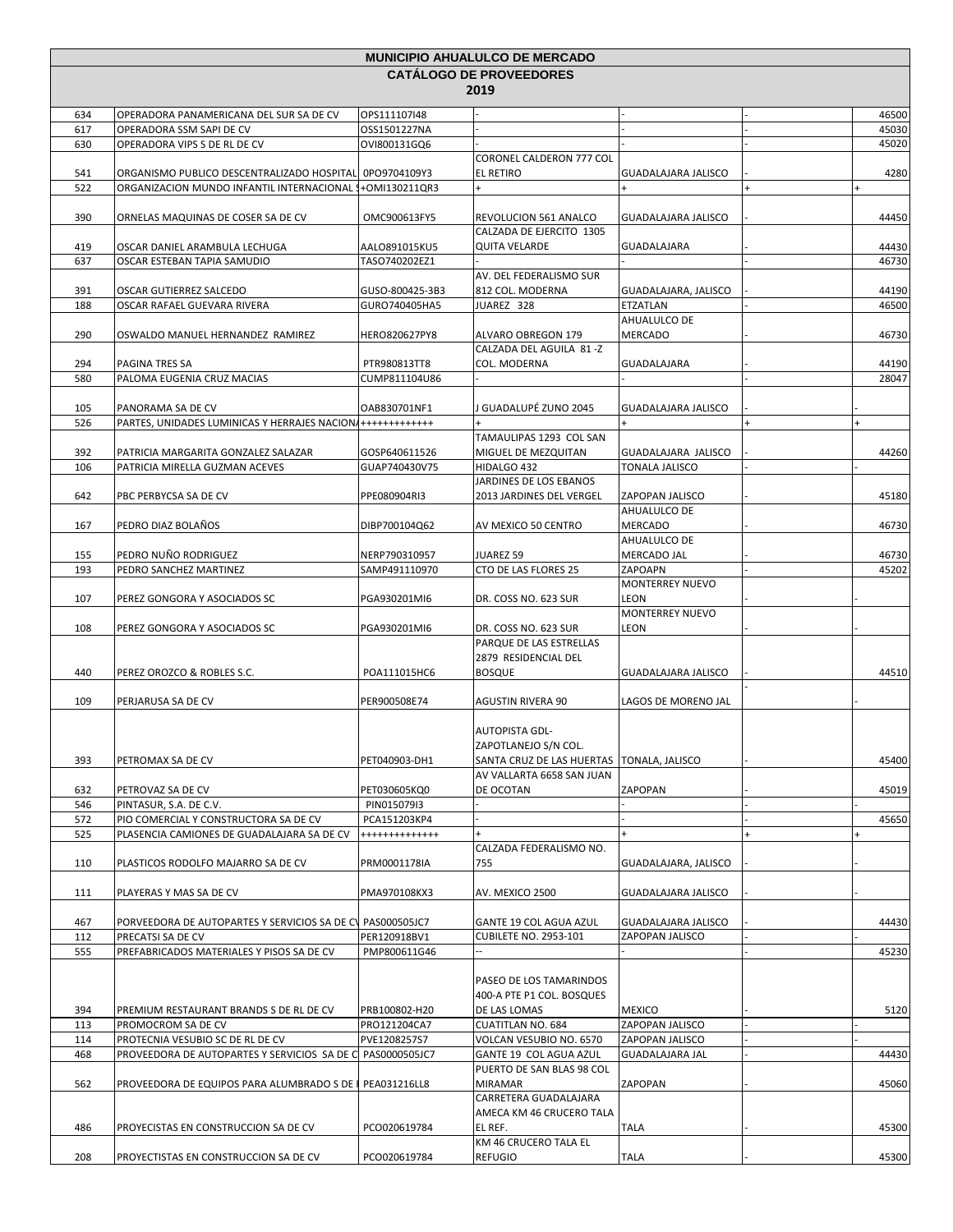|     |                                                             |                      | <b>MUNICIPIO AHUALULCO DE MERCADO</b>       |                                   |       |
|-----|-------------------------------------------------------------|----------------------|---------------------------------------------|-----------------------------------|-------|
|     |                                                             |                      | <b>CATALOGO DE PROVEEDORES</b>              |                                   |       |
|     |                                                             |                      | 2019                                        |                                   |       |
| 634 | OPERADORA PANAMERICANA DEL SUR SA DE CV                     | OPS111107I48         |                                             |                                   | 46500 |
| 617 | OPERADORA SSM SAPI DE CV                                    | OSS1501227NA         |                                             |                                   | 45030 |
| 630 | OPERADORA VIPS S DE RL DE CV                                | OVI800131GQ6         |                                             |                                   | 45020 |
|     |                                                             |                      | CORONEL CALDERON 777 COL                    |                                   |       |
| 541 | ORGANISMO PUBLICO DESCENTRALIZADO HOSPITAL 0PO9704109Y3     |                      | EL RETIRO                                   | GUADALAJARA JALISCO               | 4280  |
| 522 | ORGANIZACION MUNDO INFANTIL INTERNACIONAL                   | +OMI130211QR3        | $\ddot{}$                                   |                                   |       |
| 390 | ORNELAS MAQUINAS DE COSER SA DE CV                          | OMC900613FY5         | REVOLUCION 561 ANALCO                       | <b>GUADALAJARA JALISCO</b>        | 44450 |
|     |                                                             |                      | CALZADA DE EJERCITO 1305                    |                                   |       |
| 419 | OSCAR DANIEL ARAMBULA LECHUGA                               | AALO891015KU5        | <b>QUITA VELARDE</b>                        | GUADALAJARA                       | 44430 |
| 637 | OSCAR ESTEBAN TAPIA SAMUDIO                                 | TASO740202EZ1        |                                             |                                   | 46730 |
|     |                                                             |                      | AV. DEL FEDERALISMO SUR                     |                                   |       |
| 391 | OSCAR GUTIERREZ SALCEDO                                     | GUSO-800425-3B3      | 812 COL. MODERNA                            | GUADALAJARA, JALISCO              | 44190 |
| 188 | OSCAR RAFAEL GUEVARA RIVERA                                 | GURO740405HA5        | JUAREZ 328                                  | ETZATLAN                          | 46500 |
|     |                                                             |                      |                                             | AHUALULCO DE                      |       |
| 290 | OSWALDO MANUEL HERNANDEZ RAMIREZ                            | <b>HERO820627PY8</b> | ALVARO OBREGON 179                          | <b>MERCADO</b>                    | 46730 |
|     |                                                             |                      | CALZADA DEL AGUILA 81 -Z                    |                                   |       |
| 294 | PAGINA TRES SA                                              | PTR980813TT8         | COL. MODERNA                                | GUADALAJARA                       | 44190 |
| 580 | PALOMA EUGENIA CRUZ MACIAS                                  | CUMP811104U86        |                                             |                                   | 28047 |
|     |                                                             |                      |                                             |                                   |       |
| 105 | PANORAMA SA DE CV                                           | OAB830701NF1         | J GUADALUPÉ ZUNO 2045                       | <b>GUADALAJARA JALISCO</b>        |       |
| 526 | PARTES, UNIDADES LUMINICAS Y HERRAJES NACION ++++++++++++++ |                      |                                             |                                   |       |
|     |                                                             |                      | TAMAULIPAS 1293 COL SAN                     |                                   |       |
| 392 | PATRICIA MARGARITA GONZALEZ SALAZAR                         | GOSP640611526        | MIGUEL DE MEZQUITAN                         | GUADALAJARA JALISCO               | 44260 |
| 106 | PATRICIA MIRELLA GUZMAN ACEVES                              | GUAP740430V75        | HIDALGO 432                                 | <b>TONALA JALISCO</b>             |       |
|     |                                                             |                      | JARDINES DE LOS EBANOS                      |                                   |       |
| 642 | PBC PERBYCSA SA DE CV                                       | PPE080904RI3         | 2013 JARDINES DEL VERGEL                    | ZAPOPAN JALISCO                   | 45180 |
|     |                                                             |                      |                                             | AHUALULCO DE                      |       |
| 167 | PEDRO DIAZ BOLAÑOS                                          | DIBP700104Q62        | AV MEXICO 50 CENTRO                         | <b>MERCADO</b>                    | 46730 |
|     |                                                             |                      |                                             | AHUALULCO DE                      |       |
| 155 | PEDRO NUÑO RODRIGUEZ                                        | NERP790310957        | JUAREZ 59                                   | MERCADO JAL                       | 46730 |
| 193 | PEDRO SANCHEZ MARTINEZ                                      | SAMP491110970        | CTO DE LAS FLORES 25                        | ZAPOAPN<br><b>MONTERREY NUEVO</b> | 45202 |
| 107 |                                                             | PGA930201MI6         | DR. COSS NO. 623 SUR                        | <b>LEON</b>                       |       |
|     | PEREZ GONGORA Y ASOCIADOS SC                                |                      |                                             | <b>MONTERREY NUEVO</b>            |       |
| 108 | PEREZ GONGORA Y ASOCIADOS SC                                | PGA930201MI6         | DR. COSS NO. 623 SUR                        | LEON                              |       |
|     |                                                             |                      | PARQUE DE LAS ESTRELLAS                     |                                   |       |
|     |                                                             |                      | 2879 RESIDENCIAL DEL                        |                                   |       |
| 440 | PEREZ OROZCO & ROBLES S.C.                                  | POA111015HC6         | <b>BOSQUE</b>                               | GUADALAJARA JALISCO               | 44510 |
|     |                                                             |                      |                                             |                                   |       |
| 109 | PERJARUSA SA DE CV                                          | PER900508E74         | <b>AGUSTIN RIVERA 90</b>                    | LAGOS DE MORENO JAL               |       |
|     |                                                             |                      |                                             |                                   |       |
|     |                                                             |                      | <b>AUTOPISTA GDL-</b>                       |                                   |       |
|     |                                                             |                      | ZAPOTLANEJO S/N COL.                        |                                   |       |
| 393 | PETROMAX SA DE CV                                           | PET040903-DH1        | SANTA CRUZ DE LAS HUERTAS   TONALA, JALISCO |                                   | 45400 |
|     |                                                             |                      | AV VALLARTA 6658 SAN JUAN                   |                                   |       |
| 632 | PETROVAZ SA DE CV                                           | PET030605KQ0         | DE OCOTAN                                   | ZAPOPAN                           | 45019 |
| 546 | PINTASUR, S.A. DE C.V.                                      | PIN015079I3          |                                             |                                   |       |
| 572 | PIO COMERCIAL Y CONSTRUCTORA SA DE CV                       | PCA151203KP4         |                                             |                                   | 45650 |
| 525 | PLASENCIA CAMIONES DE GUADALAJARA SA DE CV                  | +++++++++++++        |                                             |                                   |       |
|     |                                                             |                      | CALZADA FEDERALISMO NO.                     |                                   |       |
| 110 | PLASTICOS RODOLFO MAJARRO SA DE CV                          | PRM0001178IA         | 755                                         | GUADALAJARA, JALISCO              |       |
|     |                                                             |                      |                                             |                                   |       |
| 111 | PLAYERAS Y MAS SA DE CV                                     | PMA970108KX3         | AV. MEXICO 2500                             | <b>GUADALAJARA JALISCO</b>        |       |
|     |                                                             |                      |                                             |                                   |       |
| 467 | PORVEEDORA DE AUTOPARTES Y SERVICIOS SA DE CV PAS000505JC7  |                      | GANTE 19 COL AGUA AZUL                      | GUADALAJARA JALISCO               | 44430 |
| 112 | PRECATSI SA DE CV                                           | PER120918BV1         | <b>CUBILETE NO. 2953-101</b>                | ZAPOPAN JALISCO                   |       |
| 555 | PREFABRICADOS MATERIALES Y PISOS SA DE CV                   | PMP800611G46         |                                             |                                   | 45230 |
|     |                                                             |                      |                                             |                                   |       |
|     |                                                             |                      | PASEO DE LOS TAMARINDOS                     |                                   |       |
|     |                                                             |                      | 400-A PTE P1 COL. BOSQUES                   |                                   |       |
| 394 | PREMIUM RESTAURANT BRANDS S DE RL DE CV                     | PRB100802-H20        | DE LAS LOMAS                                | <b>MEXICO</b>                     | 5120  |
| 113 | PROMOCROM SA DE CV                                          | PRO121204CA7         | <b>CUATITLAN NO. 684</b>                    | ZAPOPAN JALISCO                   |       |
| 114 | PROTECNIA VESUBIO SC DE RL DE CV                            | PVE1208257S7         | VOLCAN VESUBIO NO. 6570                     | ZAPOPAN JALISCO                   |       |
| 468 | PROVEEDORA DE AUTOPARTES Y SERVICIOS SA DE C PAS0000505JC7  |                      | GANTE 19 COL AGUA AZUL                      | <b>GUADALAJARA JAL</b>            | 44430 |
|     |                                                             |                      | PUERTO DE SAN BLAS 98 COL<br>MIRAMAR        | ZAPOPAN                           |       |
| 562 | PROVEEDORA DE EQUIPOS PARA ALUMBRADO S DE                   | PEA031216LL8         | CARRETERA GUADALAJARA                       |                                   | 45060 |
|     |                                                             |                      | AMECA KM 46 CRUCERO TALA                    |                                   |       |
| 486 | PROYECISTAS EN CONSTRUCCION SA DE CV                        | PCO020619784         | EL REF.                                     | <b>TALA</b>                       | 45300 |
|     |                                                             |                      | KM 46 CRUCERO TALA EL                       |                                   |       |
| 208 | PROYECTISTAS EN CONSTRUCCION SA DE CV                       | PCO020619784         | REFUGIO                                     | TALA                              | 45300 |
|     |                                                             |                      |                                             |                                   |       |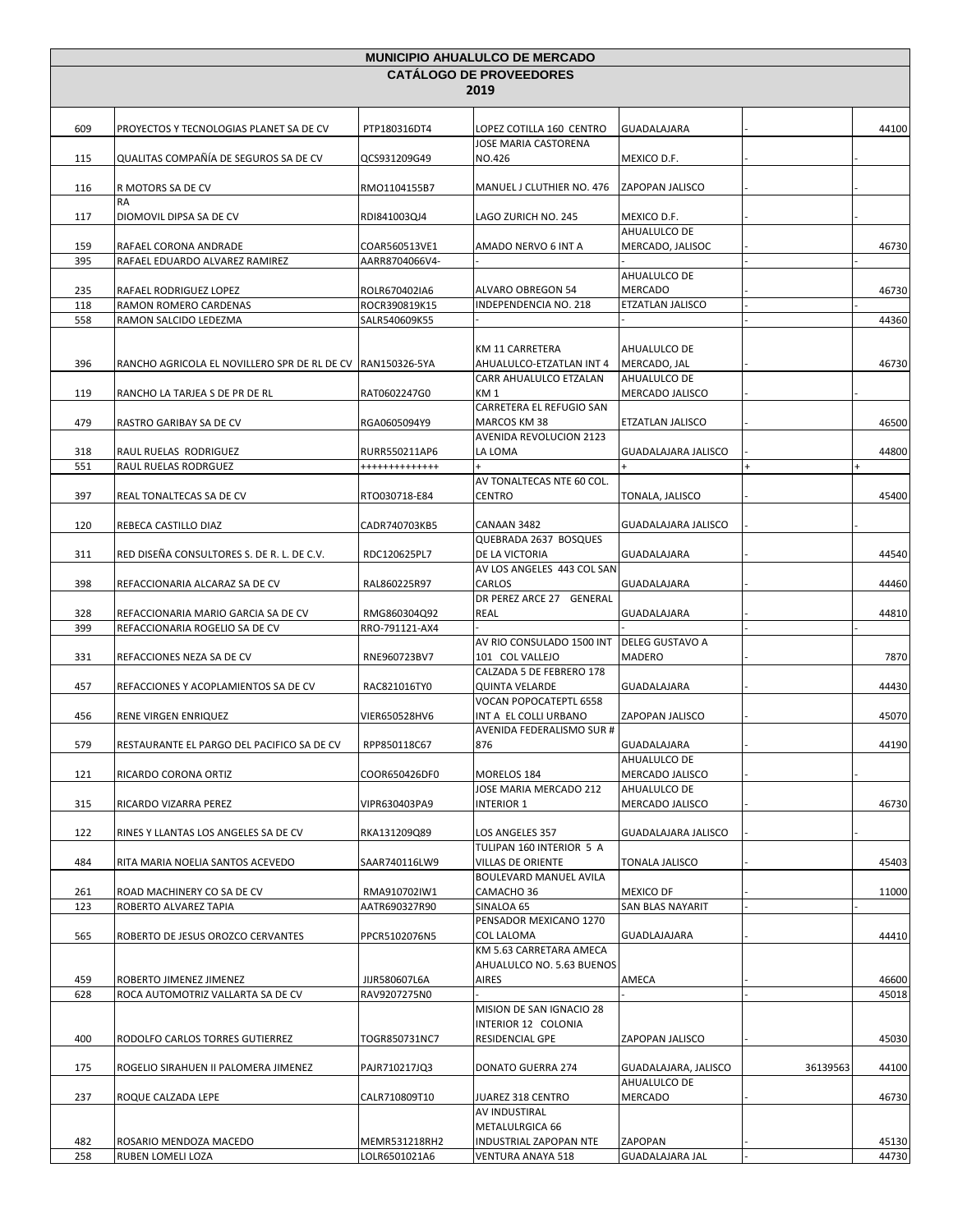|                                | <b>MUNICIPIO AHUALULCO DE MERCADO</b>                                 |                                |                                                         |                                  |          |       |  |  |
|--------------------------------|-----------------------------------------------------------------------|--------------------------------|---------------------------------------------------------|----------------------------------|----------|-------|--|--|
| <b>CATALOGO DE PROVEEDORES</b> |                                                                       |                                |                                                         |                                  |          |       |  |  |
| 2019                           |                                                                       |                                |                                                         |                                  |          |       |  |  |
|                                |                                                                       |                                |                                                         |                                  |          |       |  |  |
| 609                            | PROYECTOS Y TECNOLOGIAS PLANET SA DE CV                               | PTP180316DT4                   | LOPEZ COTILLA 160 CENTRO<br><b>JOSE MARIA CASTORENA</b> | <b>GUADALAJARA</b>               |          | 44100 |  |  |
| 115                            | QUALITAS COMPAÑÍA DE SEGUROS SA DE CV                                 | QCS931209G49                   | NO.426                                                  | MEXICO D.F.                      |          |       |  |  |
| 116                            | R MOTORS SA DE CV                                                     | RMO1104155B7                   | MANUEL J CLUTHIER NO. 476                               | ZAPOPAN JALISCO                  |          |       |  |  |
| 117                            | <b>RA</b><br>DIOMOVIL DIPSA SA DE CV                                  | RDI841003QJ4                   | LAGO ZURICH NO. 245                                     | MEXICO D.F.                      |          |       |  |  |
| 159                            | RAFAEL CORONA ANDRADE                                                 | COAR560513VE1                  | AMADO NERVO 6 INT A                                     | AHUALULCO DE<br>MERCADO, JALISOC |          | 46730 |  |  |
| 395                            | RAFAEL EDUARDO ALVAREZ RAMIREZ                                        | AARR8704066V4-                 |                                                         |                                  |          |       |  |  |
|                                |                                                                       |                                |                                                         | AHUALULCO DE                     |          |       |  |  |
| 235                            | RAFAEL RODRIGUEZ LOPEZ                                                | ROLR670402IA6                  | ALVARO OBREGON 54                                       | MERCADO                          |          | 46730 |  |  |
| 118<br>558                     | RAMON ROMERO CARDENAS<br>RAMON SALCIDO LEDEZMA                        | ROCR390819K15<br>SALR540609K55 | <b>INDEPENDENCIA NO. 218</b>                            | ETZATLAN JALISCO                 |          | 44360 |  |  |
|                                |                                                                       |                                |                                                         |                                  |          |       |  |  |
| 396                            | RANCHO AGRICOLA EL NOVILLERO SPR DE RL DE CV   RAN150326-5YA          |                                | KM 11 CARRETERA<br>AHUALULCO-ETZATLAN INT 4             | AHUALULCO DE<br>MERCADO, JAL     |          | 46730 |  |  |
|                                |                                                                       |                                | CARR AHUALULCO ETZALAN                                  | AHUALULCO DE                     |          |       |  |  |
| 119                            | RANCHO LA TARJEA S DE PR DE RL                                        | RAT0602247G0                   | KM <sub>1</sub>                                         | MERCADO JALISCO                  |          |       |  |  |
|                                |                                                                       |                                | CARRETERA EL REFUGIO SAN                                |                                  |          |       |  |  |
| 479                            | RASTRO GARIBAY SA DE CV                                               | RGA0605094Y9                   | MARCOS KM 38<br>AVENIDA REVOLUCION 2123                 | ETZATLAN JALISCO                 |          | 46500 |  |  |
| 318                            | RAUL RUELAS RODRIGUEZ                                                 | RURR550211AP6                  | LA LOMA                                                 | <b>GUADALAJARA JALISCO</b>       |          | 44800 |  |  |
| 551                            | RAUL RUELAS RODRGUEZ                                                  | +++++++++++++                  |                                                         |                                  |          |       |  |  |
|                                |                                                                       |                                | AV TONALTECAS NTE 60 COL.                               |                                  |          |       |  |  |
| 397                            | REAL TONALTECAS SA DE CV                                              | RTO030718-E84                  | <b>CENTRO</b>                                           | TONALA, JALISCO                  |          | 45400 |  |  |
| 120                            | REBECA CASTILLO DIAZ                                                  | CADR740703KB5                  | CANAAN 3482                                             | <b>GUADALAJARA JALISCO</b>       |          |       |  |  |
| 311                            | RED DISEÑA CONSULTORES S. DE R. L. DE C.V.                            | RDC120625PL7                   | QUEBRADA 2637 BOSQUES<br>DE LA VICTORIA                 | GUADALAJARA                      |          | 44540 |  |  |
| 398                            | REFACCIONARIA ALCARAZ SA DE CV                                        | RAL860225R97                   | AV LOS ANGELES 443 COL SAN<br>CARLOS                    | GUADALAJARA                      |          | 44460 |  |  |
|                                |                                                                       |                                | DR PEREZ ARCE 27 GENERAL                                |                                  |          |       |  |  |
| 328<br>399                     | REFACCIONARIA MARIO GARCIA SA DE CV<br>REFACCIONARIA ROGELIO SA DE CV | RMG860304Q92<br>RRO-791121-AX4 | <b>REAL</b>                                             | <b>GUADALAJARA</b>               |          | 44810 |  |  |
|                                |                                                                       |                                | AV RIO CONSULADO 1500 INT                               | <b>DELEG GUSTAVO A</b>           |          |       |  |  |
| 331                            | REFACCIONES NEZA SA DE CV                                             | RNE960723BV7                   | 101 COL VALLEJO                                         | <b>MADERO</b>                    |          | 7870  |  |  |
|                                |                                                                       |                                | CALZADA 5 DE FEBRERO 178                                |                                  |          |       |  |  |
| 457                            | REFACCIONES Y ACOPLAMIENTOS SA DE CV                                  | RAC821016TY0                   | <b>QUINTA VELARDE</b><br>VOCAN POPOCATEPTL 6558         | GUADALAJARA                      |          | 44430 |  |  |
| 456                            | RENE VIRGEN ENRIQUEZ                                                  | VIER650528HV6                  | INT A EL COLLI URBANO<br>AVENIDA FEDERALISMO SUR #      | ZAPOPAN JALISCO                  |          | 45070 |  |  |
| 579                            | RESTAURANTE EL PARGO DEL PACIFICO SA DE CV                            | RPP850118C67                   | 876                                                     | GUADALAJARA                      |          | 44190 |  |  |
| 121                            | RICARDO CORONA ORTIZ                                                  | COOR650426DF0                  | MORELOS 184                                             | AHUALULCO DE<br>MERCADO JALISCO  |          |       |  |  |
|                                |                                                                       |                                | JOSE MARIA MERCADO 212                                  | AHUALULCO DE                     |          |       |  |  |
| 315                            | RICARDO VIZARRA PEREZ                                                 | VIPR630403PA9                  | <b>INTERIOR 1</b>                                       | MERCADO JALISCO                  |          | 46730 |  |  |
| 122                            | RINES Y LLANTAS LOS ANGELES SA DE CV                                  | RKA131209Q89                   | LOS ANGELES 357                                         | GUADALAJARA JALISCO              |          |       |  |  |
| 484                            | RITA MARIA NOELIA SANTOS ACEVEDO                                      | SAAR740116LW9                  | TULIPAN 160 INTERIOR 5 A<br>VILLAS DE ORIENTE           | <b>TONALA JALISCO</b>            |          | 45403 |  |  |
|                                |                                                                       |                                | BOULEVARD MANUEL AVILA                                  |                                  |          |       |  |  |
| 261                            | ROAD MACHINERY CO SA DE CV                                            | RMA910702IW1                   | CAMACHO 36                                              | <b>MEXICO DF</b>                 |          | 11000 |  |  |
| 123                            | ROBERTO ALVAREZ TAPIA                                                 | AATR690327R90                  | SINALOA 65<br>PENSADOR MEXICANO 1270                    | SAN BLAS NAYARIT                 |          |       |  |  |
| 565                            | ROBERTO DE JESUS OROZCO CERVANTES                                     | PPCR5102076N5                  | <b>COL LALOMA</b>                                       | GUADLAJAJARA                     |          | 44410 |  |  |
|                                |                                                                       |                                | KM 5.63 CARRETARA AMECA<br>AHUALULCO NO. 5.63 BUENOS    |                                  |          |       |  |  |
| 459                            | ROBERTO JIMENEZ JIMENEZ                                               | JIJR580607L6A                  | AIRES                                                   | AMECA                            |          | 46600 |  |  |
| 628                            | ROCA AUTOMOTRIZ VALLARTA SA DE CV                                     | RAV9207275N0                   |                                                         |                                  |          | 45018 |  |  |
|                                |                                                                       |                                | MISION DE SAN IGNACIO 28                                |                                  |          |       |  |  |
| 400                            | RODOLFO CARLOS TORRES GUTIERREZ                                       | TOGR850731NC7                  | INTERIOR 12 COLONIA<br>RESIDENCIAL GPE                  | ZAPOPAN JALISCO                  |          | 45030 |  |  |
| 175                            | ROGELIO SIRAHUEN II PALOMERA JIMENEZ                                  | PAJR710217JQ3                  | DONATO GUERRA 274                                       | GUADALAJARA, JALISCO             | 36139563 | 44100 |  |  |
|                                |                                                                       |                                |                                                         | AHUALULCO DE                     |          |       |  |  |
| 237                            | ROQUE CALZADA LEPE                                                    | CALR710809T10                  | JUAREZ 318 CENTRO                                       | MERCADO                          |          | 46730 |  |  |
|                                |                                                                       |                                | AV INDUSTIRAL                                           |                                  |          |       |  |  |
| 482                            | ROSARIO MENDOZA MACEDO                                                | MEMR531218RH2                  | METALULRGICA 66<br>INDUSTRIAL ZAPOPAN NTE               | ZAPOPAN                          |          | 45130 |  |  |
| 258                            | RUBEN LOMELI LOZA                                                     | LOLR6501021A6                  | VENTURA ANAYA 518                                       | <b>GUADALAJARA JAL</b>           |          | 44730 |  |  |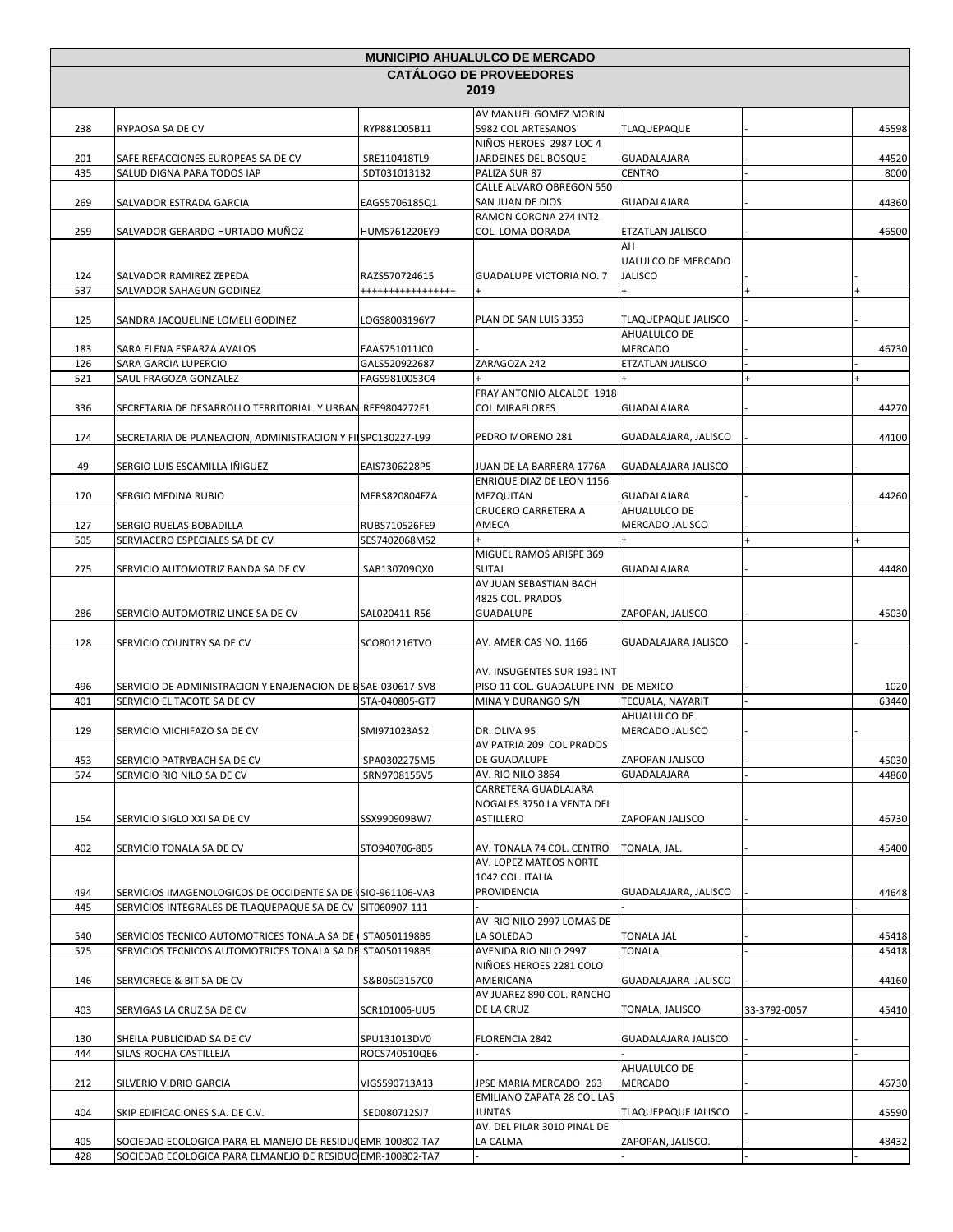|                                |                                                                                                                           |                               | <b>MUNICIPIO AHUALULCO DE MERCADO</b>        |                            |              |       |  |  |
|--------------------------------|---------------------------------------------------------------------------------------------------------------------------|-------------------------------|----------------------------------------------|----------------------------|--------------|-------|--|--|
| <b>CATALOGO DE PROVEEDORES</b> |                                                                                                                           |                               |                                              |                            |              |       |  |  |
| 2019                           |                                                                                                                           |                               |                                              |                            |              |       |  |  |
|                                |                                                                                                                           |                               | AV MANUEL GOMEZ MORIN                        |                            |              |       |  |  |
| 238                            | RYPAOSA SA DE CV                                                                                                          | RYP881005B11                  | 5982 COL ARTESANOS                           | <b>TLAQUEPAQUE</b>         |              | 45598 |  |  |
|                                |                                                                                                                           |                               | NIÑOS HEROES 2987 LOC 4                      |                            |              |       |  |  |
| 201                            | SAFE REFACCIONES EUROPEAS SA DE CV                                                                                        | SRE110418TL9                  | JARDEINES DEL BOSQUE                         | GUADALAJARA                |              | 44520 |  |  |
| 435                            | SALUD DIGNA PARA TODOS IAP                                                                                                | SDT031013132                  | PALIZA SUR 87                                | <b>CENTRO</b>              |              | 8000  |  |  |
| 269                            | SALVADOR ESTRADA GARCIA                                                                                                   | EAGS5706185Q1                 | CALLE ALVARO OBREGON 550<br>SAN JUAN DE DIOS | GUADALAJARA                |              | 44360 |  |  |
|                                |                                                                                                                           |                               | RAMON CORONA 274 INT2                        |                            |              |       |  |  |
| 259                            | SALVADOR GERARDO HURTADO MUÑOZ                                                                                            | HUMS761220EY9                 | COL. LOMA DORADA                             | ETZATLAN JALISCO           |              | 46500 |  |  |
|                                |                                                                                                                           |                               |                                              | AH                         |              |       |  |  |
|                                |                                                                                                                           |                               |                                              | UALULCO DE MERCADO         |              |       |  |  |
| 124                            | SALVADOR RAMIREZ ZEPEDA                                                                                                   | RAZS570724615                 | <b>GUADALUPE VICTORIA NO. 7</b>              | <b>JALISCO</b>             |              |       |  |  |
| 537                            | SALVADOR SAHAGUN GODINEZ                                                                                                  | *****************             | $\ddot{}$                                    | $+$                        | $\ddot{}$    |       |  |  |
| 125                            | SANDRA JACQUELINE LOMELI GODINEZ                                                                                          | LOGS8003196Y7                 | PLAN DE SAN LUIS 3353                        | TLAQUEPAQUE JALISCO        |              |       |  |  |
|                                |                                                                                                                           |                               |                                              | AHUALULCO DE               |              |       |  |  |
| 183                            | SARA ELENA ESPARZA AVALOS                                                                                                 | EAAS751011JC0                 |                                              | <b>MERCADO</b>             |              | 46730 |  |  |
| 126                            | SARA GARCIA LUPERCIO                                                                                                      | GALS520922687                 | ZARAGOZA 242                                 | ETZATLAN JALISCO           |              |       |  |  |
| 521                            | SAUL FRAGOZA GONZALEZ                                                                                                     | FAGS9810053C4                 |                                              |                            |              |       |  |  |
|                                |                                                                                                                           |                               | FRAY ANTONIO ALCALDE 1918                    |                            |              |       |  |  |
| 336                            | SECRETARIA DE DESARROLLO TERRITORIAL Y URBAN                                                                              | REE9804272F1                  | COL MIRAFLORES                               | GUADALAJARA                |              | 44270 |  |  |
|                                |                                                                                                                           |                               |                                              |                            |              |       |  |  |
| 174                            | SECRETARIA DE PLANEACION, ADMINISTRACION Y FILSPC130227-L99                                                               |                               | PEDRO MORENO 281                             | GUADALAJARA, JALISCO       |              | 44100 |  |  |
| 49                             | SERGIO LUIS ESCAMILLA IÑIGUEZ                                                                                             | EAIS7306228P5                 | JUAN DE LA BARRERA 1776A                     | GUADALAJARA JALISCO        |              |       |  |  |
|                                |                                                                                                                           |                               | ENRIQUE DIAZ DE LEON 1156                    |                            |              |       |  |  |
| 170                            | SERGIO MEDINA RUBIO                                                                                                       | MERS820804FZA                 | MEZQUITAN                                    | GUADALAJARA                |              | 44260 |  |  |
|                                |                                                                                                                           |                               | CRUCERO CARRETERA A                          | AHUALULCO DE               |              |       |  |  |
| 127                            | SERGIO RUELAS BOBADILLA                                                                                                   | RUBS710526FE9                 | AMECA                                        | MERCADO JALISCO            |              |       |  |  |
| 505                            | SERVIACERO ESPECIALES SA DE CV                                                                                            | SES7402068MS2                 |                                              |                            |              |       |  |  |
|                                |                                                                                                                           |                               | MIGUEL RAMOS ARISPE 369                      |                            |              |       |  |  |
| 275                            | SERVICIO AUTOMOTRIZ BANDA SA DE CV                                                                                        | SAB130709QX0                  | <b>SUTAJ</b>                                 | GUADALAJARA                |              | 44480 |  |  |
|                                |                                                                                                                           |                               | AV JUAN SEBASTIAN BACH                       |                            |              |       |  |  |
| 286                            | SERVICIO AUTOMOTRIZ LINCE SA DE CV                                                                                        | SAL020411-R56                 | 4825 COL. PRADOS<br><b>GUADALUPE</b>         | ZAPOPAN, JALISCO           |              | 45030 |  |  |
|                                |                                                                                                                           |                               |                                              |                            |              |       |  |  |
| 128                            | SERVICIO COUNTRY SA DE CV                                                                                                 | SCO801216TVO                  | AV. AMERICAS NO. 1166                        | GUADALAJARA JALISCO        |              |       |  |  |
|                                |                                                                                                                           |                               |                                              |                            |              |       |  |  |
|                                |                                                                                                                           |                               | AV. INSUGENTES SUR 1931 INT                  |                            |              |       |  |  |
| 496                            | SERVICIO DE ADMINISTRACION Y ENAJENACION DE B SAE-030617-SV8                                                              |                               | PISO 11 COL. GUADALUPE INN   DE MEXICO       |                            |              | 1020  |  |  |
| 401                            | SERVICIO EL TACOTE SA DE CV                                                                                               | STA-040805-GT7                | MINA Y DURANGO S/N                           | TECUALA, NAYARIT           |              | 63440 |  |  |
|                                |                                                                                                                           |                               |                                              | AHUALULCO DE               |              |       |  |  |
| 129                            | SERVICIO MICHIFAZO SA DE CV                                                                                               | SMI971023AS2                  | DR. OLIVA 95                                 | MERCADO JALISCO            |              |       |  |  |
| 453                            | SERVICIO PATRYBACH SA DE CV                                                                                               | SPA0302275M5                  | AV PATRIA 209 COL PRADOS<br>DE GUADALUPE     | ZAPOPAN JALISCO            |              | 45030 |  |  |
| 574                            | SERVICIO RIO NILO SA DE CV                                                                                                | SRN9708155V5                  | AV. RIO NILO 3864                            | GUADALAJARA                |              | 44860 |  |  |
|                                |                                                                                                                           |                               | CARRETERA GUADLAJARA                         |                            |              |       |  |  |
|                                |                                                                                                                           |                               | NOGALES 3750 LA VENTA DEL                    |                            |              |       |  |  |
| 154                            | SERVICIO SIGLO XXI SA DE CV                                                                                               | SSX990909BW7                  | ASTILLERO                                    | ZAPOPAN JALISCO            |              | 46730 |  |  |
|                                |                                                                                                                           |                               |                                              |                            |              |       |  |  |
| 402                            | SERVICIO TONALA SA DE CV                                                                                                  | STO940706-8B5                 | AV. TONALA 74 COL. CENTRO                    | TONALA, JAL.               |              | 45400 |  |  |
|                                |                                                                                                                           |                               | AV. LOPEZ MATEOS NORTE                       |                            |              |       |  |  |
|                                |                                                                                                                           |                               | 1042 COL. ITALIA                             |                            |              |       |  |  |
| 494<br>445                     | SERVICIOS IMAGENOLOGICOS DE OCCIDENTE SA DE (SIO-961106-VA3<br>SERVICIOS INTEGRALES DE TLAQUEPAQUE SA DE CV SIT060907-111 |                               | PROVIDENCIA                                  | GUADALAJARA, JALISCO       |              | 44648 |  |  |
|                                |                                                                                                                           |                               | AV RIO NILO 2997 LOMAS DE                    |                            |              |       |  |  |
| 540                            | SERVICIOS TECNICO AUTOMOTRICES TONALA SA DE STA0501198B5                                                                  |                               | LA SOLEDAD                                   | <b>TONALA JAL</b>          |              | 45418 |  |  |
| 575                            | SERVICIOS TECNICOS AUTOMOTRICES TONALA SA DE STA0501198B5                                                                 |                               | AVENIDA RIO NILO 2997                        | <b>TONALA</b>              |              | 45418 |  |  |
|                                |                                                                                                                           |                               | NIÑOES HEROES 2281 COLO                      |                            |              |       |  |  |
| 146                            | SERVICRECE & BIT SA DE CV                                                                                                 | S&B0503157C0                  | AMERICANA                                    | GUADALAJARA JALISCO        |              | 44160 |  |  |
|                                |                                                                                                                           |                               | AV JUAREZ 890 COL. RANCHO                    |                            |              |       |  |  |
| 403                            | SERVIGAS LA CRUZ SA DE CV                                                                                                 | SCR101006-UU5                 | DE LA CRUZ                                   | TONALA, JALISCO            | 33-3792-0057 | 45410 |  |  |
|                                |                                                                                                                           |                               |                                              |                            |              |       |  |  |
| 130<br>444                     | SHEILA PUBLICIDAD SA DE CV<br>SILAS ROCHA CASTILLEJA                                                                      | SPU131013DV0<br>ROCS740510QE6 | FLORENCIA 2842                               | <b>GUADALAJARA JALISCO</b> |              |       |  |  |
|                                |                                                                                                                           |                               |                                              | AHUALULCO DE               |              |       |  |  |
| 212                            | SILVERIO VIDRIO GARCIA                                                                                                    | VIGS590713A13                 | JPSE MARIA MERCADO 263                       | MERCADO                    |              | 46730 |  |  |
|                                |                                                                                                                           |                               | EMILIANO ZAPATA 28 COL LAS                   |                            |              |       |  |  |
| 404                            | SKIP EDIFICACIONES S.A. DE C.V.                                                                                           | SED080712SJ7                  | JUNTAS                                       | TLAQUEPAQUE JALISCO        |              | 45590 |  |  |
|                                |                                                                                                                           |                               | AV. DEL PILAR 3010 PINAL DE                  |                            |              |       |  |  |
| 405                            | SOCIEDAD ECOLOGICA PARA EL MANEJO DE RESIDUCEMR-100802-TA7                                                                |                               | LA CALMA                                     | ZAPOPAN, JALISCO.          |              | 48432 |  |  |
| 428                            | SOCIEDAD ECOLOGICA PARA ELMANEJO DE RESIDUO EMR-100802-TA7                                                                |                               |                                              |                            |              |       |  |  |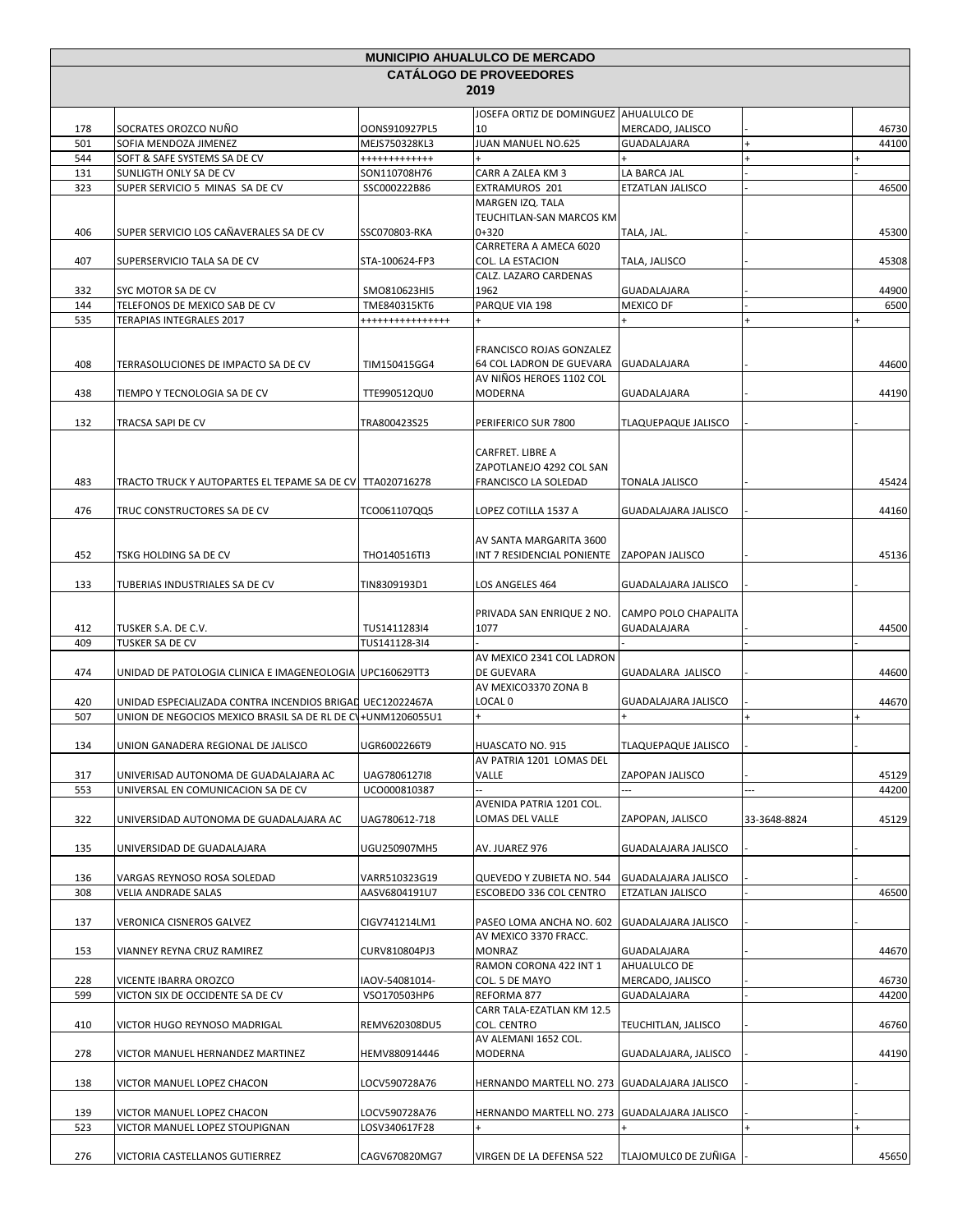| <b>CATALOGO DE PROVEEDORES</b><br>2019<br>JOSEFA ORTIZ DE DOMINGUEZ AHUALULCO DE<br>SOCRATES OROZCO NUÑO<br>10<br>178<br>OONS910927PL5<br>MERCADO, JALISCO<br>46730<br>JUAN MANUEL NO.625<br>501<br>SOFIA MENDOZA JIMENEZ<br>MEJS750328KL3<br>44100<br>GUADALAJARA<br>$\ddot{}$<br>544<br>SOFT & SAFE SYSTEMS SA DE CV<br>++++++++++++<br>CARR A ZALEA KM 3<br>LA BARCA JAL<br>131<br>SUNLIGTH ONLY SA DE CV<br>SON110708H76<br>323<br>46500<br>SUPER SERVICIO 5 MINAS SA DE CV<br>SSC000222B86<br>EXTRAMUROS 201<br>ETZATLAN JALISCO<br>MARGEN IZQ. TALA<br>TEUCHITLAN-SAN MARCOS KM<br>$0 + 320$<br>SUPER SERVICIO LOS CAÑAVERALES SA DE CV<br>TALA, JAL.<br>406<br>SSC070803-RKA<br>45300<br>CARRETERA A AMECA 6020<br>COL. LA ESTACION<br>TALA, JALISCO<br>407<br>STA-100624-FP3<br>45308<br>SUPERSERVICIO TALA SA DE CV<br>CALZ. LAZARO CARDENAS<br>1962<br>332<br><b>GUADALAJARA</b><br>44900<br>SYC MOTOR SA DE CV<br>SMO810623HI5<br>144<br>PARQUE VIA 198<br>6500<br>TELEFONOS DE MEXICO SAB DE CV<br>TME840315KT6<br><b>MEXICO DF</b><br>535<br>TERAPIAS INTEGRALES 2017<br>****************<br>FRANCISCO ROJAS GONZALEZ<br>408<br>TERRASOLUCIONES DE IMPACTO SA DE CV<br>TIM150415GG4<br>64 COL LADRON DE GUEVARA GUADALAJARA<br>44600<br>AV NIÑOS HEROES 1102 COL<br>438<br>44190<br>TIEMPO Y TECNOLOGIA SA DE CV<br>TTE990512QU0<br>MODERNA<br>GUADALAJARA<br>132<br>TRA800423S25<br>PERIFERICO SUR 7800<br>TLAQUEPAQUE JALISCO<br>TRACSA SAPI DE CV<br>CARFRET. LIBRE A<br>ZAPOTLANEJO 4292 COL SAN<br>483<br>45424<br>TRACTO TRUCK Y AUTOPARTES EL TEPAME SA DE CV TTA020716278<br>FRANCISCO LA SOLEDAD<br>TONALA JALISCO<br>LOPEZ COTILLA 1537 A<br><b>GUADALAJARA JALISCO</b><br>44160<br>476<br>TRUC CONSTRUCTORES SA DE CV<br>TCO061107QQ5<br>AV SANTA MARGARITA 3600<br>452<br>TSKG HOLDING SA DE CV<br>THO140516TI3<br>INT 7 RESIDENCIAL PONIENTE<br><b>ZAPOPAN JALISCO</b><br>45136<br>133<br>TIN8309193D1<br>LOS ANGELES 464<br>GUADALAJARA JALISCO<br>TUBERIAS INDUSTRIALES SA DE CV<br>PRIVADA SAN ENRIQUE 2 NO.<br><b>CAMPO POLO CHAPALITA</b><br>1077<br>44500<br>412<br>TUSKER S.A. DE C.V.<br>TUS1411283I4<br><b>GUADALAJARA</b><br>409<br>TUSKER SA DE CV<br>TUS141128-3I4<br>AV MEXICO 2341 COL LADRON<br>DE GUEVARA<br>GUADALARA JALISCO<br>474<br>44600<br>UNIDAD DE PATOLOGIA CLINICA E IMAGENEOLOGIA UPC160629TT3<br>AV MEXICO3370 ZONA B<br>LOCAL 0<br>420<br>UNIDAD ESPECIALIZADA CONTRA INCENDIOS BRIGAL UEC12022467A<br>GUADALAJARA JALISCO<br>44670<br>507<br>UNION DE NEGOCIOS MEXICO BRASIL SA DE RL DE CV+UNM1206055U1<br>134<br>UNION GANADERA REGIONAL DE JALISCO<br>UGR6002266T9<br>HUASCATO NO. 915<br>TLAQUEPAQUE JALISCO<br>AV PATRIA 1201 LOMAS DEL<br>Valle<br>ZAPOPAN JALISCO<br>45129<br>317<br>UNIVERISAD AUTONOMA DE GUADALAJARA AC<br>UAG7806127I8<br>UNIVERSAL EN COMUNICACION SA DE CV<br>$\overline{a}$<br>---<br>44200<br>553<br>UCO000810387<br>AVENIDA PATRIA 1201 COL.<br>45129<br>322<br>UNIVERSIDAD AUTONOMA DE GUADALAJARA AC<br>UAG780612-718<br>LOMAS DEL VALLE<br>ZAPOPAN, JALISCO<br>33-3648-8824<br>135<br>UGU250907MH5<br>UNIVERSIDAD DE GUADALAJARA<br>AV. JUAREZ 976<br>GUADALAJARA JALISCO<br>QUEVEDO Y ZUBIETA NO. 544<br><b>GUADALAJARA JALISCO</b><br>136<br>VARGAS REYNOSO ROSA SOLEDAD<br>VARR510323G19<br>308<br>AASV6804191U7<br>ESCOBEDO 336 COL CENTRO<br>ETZATLAN JALISCO<br>46500<br>VELIA ANDRADE SALAS<br>137<br>VERONICA CISNEROS GALVEZ<br>CIGV741214LM1<br>PASEO LOMA ANCHA NO. 602<br><b>GUADALAJARA JALISCO</b><br>AV MEXICO 3370 FRACC.<br>153<br>CURV810804PJ3<br>MONRAZ<br>44670<br>VIANNEY REYNA CRUZ RAMIREZ<br>GUADALAJARA<br>RAMON CORONA 422 INT 1<br>AHUALULCO DE<br>COL. 5 DE MAYO<br>MERCADO, JALISCO<br>228<br>VICENTE IBARRA OROZCO<br>IAOV-54081014-<br>46730<br>599<br>VICTON SIX DE OCCIDENTE SA DE CV<br>VSO170503HP6<br>44200<br>REFORMA 877<br>GUADALAJARA<br>CARR TALA-EZATLAN KM 12.5<br>410<br>VICTOR HUGO REYNOSO MADRIGAL<br>REMV620308DU5<br>COL. CENTRO<br>46760<br>TEUCHITLAN, JALISCO<br>AV ALEMANI 1652 COL.<br>278<br>MODERNA<br>44190<br>VICTOR MANUEL HERNANDEZ MARTINEZ<br>HEMV880914446<br>GUADALAJARA, JALISCO<br>HERNANDO MARTELL NO. 273 GUADALAJARA JALISCO<br>138<br>VICTOR MANUEL LOPEZ CHACON<br>LOCV590728A76<br>139<br>LOCV590728A76<br>HERNANDO MARTELL NO. 273 GUADALAJARA JALISCO<br>VICTOR MANUEL LOPEZ CHACON<br>523<br>VICTOR MANUEL LOPEZ STOUPIGNAN<br>LOSV340617F28<br>TLAJOMULCO DE ZUÑIGA<br>276<br>VICTORIA CASTELLANOS GUTIERREZ<br>CAGV670820MG7<br>VIRGEN DE LA DEFENSA 522<br>45650 |  |  |  | <b>MUNICIPIO AHUALULCO DE MERCADO</b> |  |  |  |  |  |
|---------------------------------------------------------------------------------------------------------------------------------------------------------------------------------------------------------------------------------------------------------------------------------------------------------------------------------------------------------------------------------------------------------------------------------------------------------------------------------------------------------------------------------------------------------------------------------------------------------------------------------------------------------------------------------------------------------------------------------------------------------------------------------------------------------------------------------------------------------------------------------------------------------------------------------------------------------------------------------------------------------------------------------------------------------------------------------------------------------------------------------------------------------------------------------------------------------------------------------------------------------------------------------------------------------------------------------------------------------------------------------------------------------------------------------------------------------------------------------------------------------------------------------------------------------------------------------------------------------------------------------------------------------------------------------------------------------------------------------------------------------------------------------------------------------------------------------------------------------------------------------------------------------------------------------------------------------------------------------------------------------------------------------------------------------------------------------------------------------------------------------------------------------------------------------------------------------------------------------------------------------------------------------------------------------------------------------------------------------------------------------------------------------------------------------------------------------------------------------------------------------------------------------------------------------------------------------------------------------------------------------------------------------------------------------------------------------------------------------------------------------------------------------------------------------------------------------------------------------------------------------------------------------------------------------------------------------------------------------------------------------------------------------------------------------------------------------------------------------------------------------------------------------------------------------------------------------------------------------------------------------------------------------------------------------------------------------------------------------------------------------------------------------------------------------------------------------------------------------------------------------------------------------------------------------------------------------------------------------------------------------------------------------------------------------------------------------------------------------------------------------------------------------------------------------------------------------------------------------------------------------------------------------------------------------------------------------------------------------------------------------------------------------------------------------------------------------------------------------------------------------------------------------------------------------------------------------------------------------------------------------------------------------------------------------------------------------------------------------------------------------------------------------------------------------------------------------------------------------------------------------------------------------------------|--|--|--|---------------------------------------|--|--|--|--|--|
|                                                                                                                                                                                                                                                                                                                                                                                                                                                                                                                                                                                                                                                                                                                                                                                                                                                                                                                                                                                                                                                                                                                                                                                                                                                                                                                                                                                                                                                                                                                                                                                                                                                                                                                                                                                                                                                                                                                                                                                                                                                                                                                                                                                                                                                                                                                                                                                                                                                                                                                                                                                                                                                                                                                                                                                                                                                                                                                                                                                                                                                                                                                                                                                                                                                                                                                                                                                                                                                                                                                                                                                                                                                                                                                                                                                                                                                                                                                                                                                                                                                                                                                                                                                                                                                                                                                                                                                                                                                                                                                                             |  |  |  |                                       |  |  |  |  |  |
|                                                                                                                                                                                                                                                                                                                                                                                                                                                                                                                                                                                                                                                                                                                                                                                                                                                                                                                                                                                                                                                                                                                                                                                                                                                                                                                                                                                                                                                                                                                                                                                                                                                                                                                                                                                                                                                                                                                                                                                                                                                                                                                                                                                                                                                                                                                                                                                                                                                                                                                                                                                                                                                                                                                                                                                                                                                                                                                                                                                                                                                                                                                                                                                                                                                                                                                                                                                                                                                                                                                                                                                                                                                                                                                                                                                                                                                                                                                                                                                                                                                                                                                                                                                                                                                                                                                                                                                                                                                                                                                                             |  |  |  |                                       |  |  |  |  |  |
|                                                                                                                                                                                                                                                                                                                                                                                                                                                                                                                                                                                                                                                                                                                                                                                                                                                                                                                                                                                                                                                                                                                                                                                                                                                                                                                                                                                                                                                                                                                                                                                                                                                                                                                                                                                                                                                                                                                                                                                                                                                                                                                                                                                                                                                                                                                                                                                                                                                                                                                                                                                                                                                                                                                                                                                                                                                                                                                                                                                                                                                                                                                                                                                                                                                                                                                                                                                                                                                                                                                                                                                                                                                                                                                                                                                                                                                                                                                                                                                                                                                                                                                                                                                                                                                                                                                                                                                                                                                                                                                                             |  |  |  |                                       |  |  |  |  |  |
|                                                                                                                                                                                                                                                                                                                                                                                                                                                                                                                                                                                                                                                                                                                                                                                                                                                                                                                                                                                                                                                                                                                                                                                                                                                                                                                                                                                                                                                                                                                                                                                                                                                                                                                                                                                                                                                                                                                                                                                                                                                                                                                                                                                                                                                                                                                                                                                                                                                                                                                                                                                                                                                                                                                                                                                                                                                                                                                                                                                                                                                                                                                                                                                                                                                                                                                                                                                                                                                                                                                                                                                                                                                                                                                                                                                                                                                                                                                                                                                                                                                                                                                                                                                                                                                                                                                                                                                                                                                                                                                                             |  |  |  |                                       |  |  |  |  |  |
|                                                                                                                                                                                                                                                                                                                                                                                                                                                                                                                                                                                                                                                                                                                                                                                                                                                                                                                                                                                                                                                                                                                                                                                                                                                                                                                                                                                                                                                                                                                                                                                                                                                                                                                                                                                                                                                                                                                                                                                                                                                                                                                                                                                                                                                                                                                                                                                                                                                                                                                                                                                                                                                                                                                                                                                                                                                                                                                                                                                                                                                                                                                                                                                                                                                                                                                                                                                                                                                                                                                                                                                                                                                                                                                                                                                                                                                                                                                                                                                                                                                                                                                                                                                                                                                                                                                                                                                                                                                                                                                                             |  |  |  |                                       |  |  |  |  |  |
|                                                                                                                                                                                                                                                                                                                                                                                                                                                                                                                                                                                                                                                                                                                                                                                                                                                                                                                                                                                                                                                                                                                                                                                                                                                                                                                                                                                                                                                                                                                                                                                                                                                                                                                                                                                                                                                                                                                                                                                                                                                                                                                                                                                                                                                                                                                                                                                                                                                                                                                                                                                                                                                                                                                                                                                                                                                                                                                                                                                                                                                                                                                                                                                                                                                                                                                                                                                                                                                                                                                                                                                                                                                                                                                                                                                                                                                                                                                                                                                                                                                                                                                                                                                                                                                                                                                                                                                                                                                                                                                                             |  |  |  |                                       |  |  |  |  |  |
|                                                                                                                                                                                                                                                                                                                                                                                                                                                                                                                                                                                                                                                                                                                                                                                                                                                                                                                                                                                                                                                                                                                                                                                                                                                                                                                                                                                                                                                                                                                                                                                                                                                                                                                                                                                                                                                                                                                                                                                                                                                                                                                                                                                                                                                                                                                                                                                                                                                                                                                                                                                                                                                                                                                                                                                                                                                                                                                                                                                                                                                                                                                                                                                                                                                                                                                                                                                                                                                                                                                                                                                                                                                                                                                                                                                                                                                                                                                                                                                                                                                                                                                                                                                                                                                                                                                                                                                                                                                                                                                                             |  |  |  |                                       |  |  |  |  |  |
|                                                                                                                                                                                                                                                                                                                                                                                                                                                                                                                                                                                                                                                                                                                                                                                                                                                                                                                                                                                                                                                                                                                                                                                                                                                                                                                                                                                                                                                                                                                                                                                                                                                                                                                                                                                                                                                                                                                                                                                                                                                                                                                                                                                                                                                                                                                                                                                                                                                                                                                                                                                                                                                                                                                                                                                                                                                                                                                                                                                                                                                                                                                                                                                                                                                                                                                                                                                                                                                                                                                                                                                                                                                                                                                                                                                                                                                                                                                                                                                                                                                                                                                                                                                                                                                                                                                                                                                                                                                                                                                                             |  |  |  |                                       |  |  |  |  |  |
|                                                                                                                                                                                                                                                                                                                                                                                                                                                                                                                                                                                                                                                                                                                                                                                                                                                                                                                                                                                                                                                                                                                                                                                                                                                                                                                                                                                                                                                                                                                                                                                                                                                                                                                                                                                                                                                                                                                                                                                                                                                                                                                                                                                                                                                                                                                                                                                                                                                                                                                                                                                                                                                                                                                                                                                                                                                                                                                                                                                                                                                                                                                                                                                                                                                                                                                                                                                                                                                                                                                                                                                                                                                                                                                                                                                                                                                                                                                                                                                                                                                                                                                                                                                                                                                                                                                                                                                                                                                                                                                                             |  |  |  |                                       |  |  |  |  |  |
|                                                                                                                                                                                                                                                                                                                                                                                                                                                                                                                                                                                                                                                                                                                                                                                                                                                                                                                                                                                                                                                                                                                                                                                                                                                                                                                                                                                                                                                                                                                                                                                                                                                                                                                                                                                                                                                                                                                                                                                                                                                                                                                                                                                                                                                                                                                                                                                                                                                                                                                                                                                                                                                                                                                                                                                                                                                                                                                                                                                                                                                                                                                                                                                                                                                                                                                                                                                                                                                                                                                                                                                                                                                                                                                                                                                                                                                                                                                                                                                                                                                                                                                                                                                                                                                                                                                                                                                                                                                                                                                                             |  |  |  |                                       |  |  |  |  |  |
|                                                                                                                                                                                                                                                                                                                                                                                                                                                                                                                                                                                                                                                                                                                                                                                                                                                                                                                                                                                                                                                                                                                                                                                                                                                                                                                                                                                                                                                                                                                                                                                                                                                                                                                                                                                                                                                                                                                                                                                                                                                                                                                                                                                                                                                                                                                                                                                                                                                                                                                                                                                                                                                                                                                                                                                                                                                                                                                                                                                                                                                                                                                                                                                                                                                                                                                                                                                                                                                                                                                                                                                                                                                                                                                                                                                                                                                                                                                                                                                                                                                                                                                                                                                                                                                                                                                                                                                                                                                                                                                                             |  |  |  |                                       |  |  |  |  |  |
|                                                                                                                                                                                                                                                                                                                                                                                                                                                                                                                                                                                                                                                                                                                                                                                                                                                                                                                                                                                                                                                                                                                                                                                                                                                                                                                                                                                                                                                                                                                                                                                                                                                                                                                                                                                                                                                                                                                                                                                                                                                                                                                                                                                                                                                                                                                                                                                                                                                                                                                                                                                                                                                                                                                                                                                                                                                                                                                                                                                                                                                                                                                                                                                                                                                                                                                                                                                                                                                                                                                                                                                                                                                                                                                                                                                                                                                                                                                                                                                                                                                                                                                                                                                                                                                                                                                                                                                                                                                                                                                                             |  |  |  |                                       |  |  |  |  |  |
|                                                                                                                                                                                                                                                                                                                                                                                                                                                                                                                                                                                                                                                                                                                                                                                                                                                                                                                                                                                                                                                                                                                                                                                                                                                                                                                                                                                                                                                                                                                                                                                                                                                                                                                                                                                                                                                                                                                                                                                                                                                                                                                                                                                                                                                                                                                                                                                                                                                                                                                                                                                                                                                                                                                                                                                                                                                                                                                                                                                                                                                                                                                                                                                                                                                                                                                                                                                                                                                                                                                                                                                                                                                                                                                                                                                                                                                                                                                                                                                                                                                                                                                                                                                                                                                                                                                                                                                                                                                                                                                                             |  |  |  |                                       |  |  |  |  |  |
|                                                                                                                                                                                                                                                                                                                                                                                                                                                                                                                                                                                                                                                                                                                                                                                                                                                                                                                                                                                                                                                                                                                                                                                                                                                                                                                                                                                                                                                                                                                                                                                                                                                                                                                                                                                                                                                                                                                                                                                                                                                                                                                                                                                                                                                                                                                                                                                                                                                                                                                                                                                                                                                                                                                                                                                                                                                                                                                                                                                                                                                                                                                                                                                                                                                                                                                                                                                                                                                                                                                                                                                                                                                                                                                                                                                                                                                                                                                                                                                                                                                                                                                                                                                                                                                                                                                                                                                                                                                                                                                                             |  |  |  |                                       |  |  |  |  |  |
|                                                                                                                                                                                                                                                                                                                                                                                                                                                                                                                                                                                                                                                                                                                                                                                                                                                                                                                                                                                                                                                                                                                                                                                                                                                                                                                                                                                                                                                                                                                                                                                                                                                                                                                                                                                                                                                                                                                                                                                                                                                                                                                                                                                                                                                                                                                                                                                                                                                                                                                                                                                                                                                                                                                                                                                                                                                                                                                                                                                                                                                                                                                                                                                                                                                                                                                                                                                                                                                                                                                                                                                                                                                                                                                                                                                                                                                                                                                                                                                                                                                                                                                                                                                                                                                                                                                                                                                                                                                                                                                                             |  |  |  |                                       |  |  |  |  |  |
|                                                                                                                                                                                                                                                                                                                                                                                                                                                                                                                                                                                                                                                                                                                                                                                                                                                                                                                                                                                                                                                                                                                                                                                                                                                                                                                                                                                                                                                                                                                                                                                                                                                                                                                                                                                                                                                                                                                                                                                                                                                                                                                                                                                                                                                                                                                                                                                                                                                                                                                                                                                                                                                                                                                                                                                                                                                                                                                                                                                                                                                                                                                                                                                                                                                                                                                                                                                                                                                                                                                                                                                                                                                                                                                                                                                                                                                                                                                                                                                                                                                                                                                                                                                                                                                                                                                                                                                                                                                                                                                                             |  |  |  |                                       |  |  |  |  |  |
|                                                                                                                                                                                                                                                                                                                                                                                                                                                                                                                                                                                                                                                                                                                                                                                                                                                                                                                                                                                                                                                                                                                                                                                                                                                                                                                                                                                                                                                                                                                                                                                                                                                                                                                                                                                                                                                                                                                                                                                                                                                                                                                                                                                                                                                                                                                                                                                                                                                                                                                                                                                                                                                                                                                                                                                                                                                                                                                                                                                                                                                                                                                                                                                                                                                                                                                                                                                                                                                                                                                                                                                                                                                                                                                                                                                                                                                                                                                                                                                                                                                                                                                                                                                                                                                                                                                                                                                                                                                                                                                                             |  |  |  |                                       |  |  |  |  |  |
|                                                                                                                                                                                                                                                                                                                                                                                                                                                                                                                                                                                                                                                                                                                                                                                                                                                                                                                                                                                                                                                                                                                                                                                                                                                                                                                                                                                                                                                                                                                                                                                                                                                                                                                                                                                                                                                                                                                                                                                                                                                                                                                                                                                                                                                                                                                                                                                                                                                                                                                                                                                                                                                                                                                                                                                                                                                                                                                                                                                                                                                                                                                                                                                                                                                                                                                                                                                                                                                                                                                                                                                                                                                                                                                                                                                                                                                                                                                                                                                                                                                                                                                                                                                                                                                                                                                                                                                                                                                                                                                                             |  |  |  |                                       |  |  |  |  |  |
|                                                                                                                                                                                                                                                                                                                                                                                                                                                                                                                                                                                                                                                                                                                                                                                                                                                                                                                                                                                                                                                                                                                                                                                                                                                                                                                                                                                                                                                                                                                                                                                                                                                                                                                                                                                                                                                                                                                                                                                                                                                                                                                                                                                                                                                                                                                                                                                                                                                                                                                                                                                                                                                                                                                                                                                                                                                                                                                                                                                                                                                                                                                                                                                                                                                                                                                                                                                                                                                                                                                                                                                                                                                                                                                                                                                                                                                                                                                                                                                                                                                                                                                                                                                                                                                                                                                                                                                                                                                                                                                                             |  |  |  |                                       |  |  |  |  |  |
|                                                                                                                                                                                                                                                                                                                                                                                                                                                                                                                                                                                                                                                                                                                                                                                                                                                                                                                                                                                                                                                                                                                                                                                                                                                                                                                                                                                                                                                                                                                                                                                                                                                                                                                                                                                                                                                                                                                                                                                                                                                                                                                                                                                                                                                                                                                                                                                                                                                                                                                                                                                                                                                                                                                                                                                                                                                                                                                                                                                                                                                                                                                                                                                                                                                                                                                                                                                                                                                                                                                                                                                                                                                                                                                                                                                                                                                                                                                                                                                                                                                                                                                                                                                                                                                                                                                                                                                                                                                                                                                                             |  |  |  |                                       |  |  |  |  |  |
|                                                                                                                                                                                                                                                                                                                                                                                                                                                                                                                                                                                                                                                                                                                                                                                                                                                                                                                                                                                                                                                                                                                                                                                                                                                                                                                                                                                                                                                                                                                                                                                                                                                                                                                                                                                                                                                                                                                                                                                                                                                                                                                                                                                                                                                                                                                                                                                                                                                                                                                                                                                                                                                                                                                                                                                                                                                                                                                                                                                                                                                                                                                                                                                                                                                                                                                                                                                                                                                                                                                                                                                                                                                                                                                                                                                                                                                                                                                                                                                                                                                                                                                                                                                                                                                                                                                                                                                                                                                                                                                                             |  |  |  |                                       |  |  |  |  |  |
|                                                                                                                                                                                                                                                                                                                                                                                                                                                                                                                                                                                                                                                                                                                                                                                                                                                                                                                                                                                                                                                                                                                                                                                                                                                                                                                                                                                                                                                                                                                                                                                                                                                                                                                                                                                                                                                                                                                                                                                                                                                                                                                                                                                                                                                                                                                                                                                                                                                                                                                                                                                                                                                                                                                                                                                                                                                                                                                                                                                                                                                                                                                                                                                                                                                                                                                                                                                                                                                                                                                                                                                                                                                                                                                                                                                                                                                                                                                                                                                                                                                                                                                                                                                                                                                                                                                                                                                                                                                                                                                                             |  |  |  |                                       |  |  |  |  |  |
|                                                                                                                                                                                                                                                                                                                                                                                                                                                                                                                                                                                                                                                                                                                                                                                                                                                                                                                                                                                                                                                                                                                                                                                                                                                                                                                                                                                                                                                                                                                                                                                                                                                                                                                                                                                                                                                                                                                                                                                                                                                                                                                                                                                                                                                                                                                                                                                                                                                                                                                                                                                                                                                                                                                                                                                                                                                                                                                                                                                                                                                                                                                                                                                                                                                                                                                                                                                                                                                                                                                                                                                                                                                                                                                                                                                                                                                                                                                                                                                                                                                                                                                                                                                                                                                                                                                                                                                                                                                                                                                                             |  |  |  |                                       |  |  |  |  |  |
|                                                                                                                                                                                                                                                                                                                                                                                                                                                                                                                                                                                                                                                                                                                                                                                                                                                                                                                                                                                                                                                                                                                                                                                                                                                                                                                                                                                                                                                                                                                                                                                                                                                                                                                                                                                                                                                                                                                                                                                                                                                                                                                                                                                                                                                                                                                                                                                                                                                                                                                                                                                                                                                                                                                                                                                                                                                                                                                                                                                                                                                                                                                                                                                                                                                                                                                                                                                                                                                                                                                                                                                                                                                                                                                                                                                                                                                                                                                                                                                                                                                                                                                                                                                                                                                                                                                                                                                                                                                                                                                                             |  |  |  |                                       |  |  |  |  |  |
|                                                                                                                                                                                                                                                                                                                                                                                                                                                                                                                                                                                                                                                                                                                                                                                                                                                                                                                                                                                                                                                                                                                                                                                                                                                                                                                                                                                                                                                                                                                                                                                                                                                                                                                                                                                                                                                                                                                                                                                                                                                                                                                                                                                                                                                                                                                                                                                                                                                                                                                                                                                                                                                                                                                                                                                                                                                                                                                                                                                                                                                                                                                                                                                                                                                                                                                                                                                                                                                                                                                                                                                                                                                                                                                                                                                                                                                                                                                                                                                                                                                                                                                                                                                                                                                                                                                                                                                                                                                                                                                                             |  |  |  |                                       |  |  |  |  |  |
|                                                                                                                                                                                                                                                                                                                                                                                                                                                                                                                                                                                                                                                                                                                                                                                                                                                                                                                                                                                                                                                                                                                                                                                                                                                                                                                                                                                                                                                                                                                                                                                                                                                                                                                                                                                                                                                                                                                                                                                                                                                                                                                                                                                                                                                                                                                                                                                                                                                                                                                                                                                                                                                                                                                                                                                                                                                                                                                                                                                                                                                                                                                                                                                                                                                                                                                                                                                                                                                                                                                                                                                                                                                                                                                                                                                                                                                                                                                                                                                                                                                                                                                                                                                                                                                                                                                                                                                                                                                                                                                                             |  |  |  |                                       |  |  |  |  |  |
|                                                                                                                                                                                                                                                                                                                                                                                                                                                                                                                                                                                                                                                                                                                                                                                                                                                                                                                                                                                                                                                                                                                                                                                                                                                                                                                                                                                                                                                                                                                                                                                                                                                                                                                                                                                                                                                                                                                                                                                                                                                                                                                                                                                                                                                                                                                                                                                                                                                                                                                                                                                                                                                                                                                                                                                                                                                                                                                                                                                                                                                                                                                                                                                                                                                                                                                                                                                                                                                                                                                                                                                                                                                                                                                                                                                                                                                                                                                                                                                                                                                                                                                                                                                                                                                                                                                                                                                                                                                                                                                                             |  |  |  |                                       |  |  |  |  |  |
|                                                                                                                                                                                                                                                                                                                                                                                                                                                                                                                                                                                                                                                                                                                                                                                                                                                                                                                                                                                                                                                                                                                                                                                                                                                                                                                                                                                                                                                                                                                                                                                                                                                                                                                                                                                                                                                                                                                                                                                                                                                                                                                                                                                                                                                                                                                                                                                                                                                                                                                                                                                                                                                                                                                                                                                                                                                                                                                                                                                                                                                                                                                                                                                                                                                                                                                                                                                                                                                                                                                                                                                                                                                                                                                                                                                                                                                                                                                                                                                                                                                                                                                                                                                                                                                                                                                                                                                                                                                                                                                                             |  |  |  |                                       |  |  |  |  |  |
|                                                                                                                                                                                                                                                                                                                                                                                                                                                                                                                                                                                                                                                                                                                                                                                                                                                                                                                                                                                                                                                                                                                                                                                                                                                                                                                                                                                                                                                                                                                                                                                                                                                                                                                                                                                                                                                                                                                                                                                                                                                                                                                                                                                                                                                                                                                                                                                                                                                                                                                                                                                                                                                                                                                                                                                                                                                                                                                                                                                                                                                                                                                                                                                                                                                                                                                                                                                                                                                                                                                                                                                                                                                                                                                                                                                                                                                                                                                                                                                                                                                                                                                                                                                                                                                                                                                                                                                                                                                                                                                                             |  |  |  |                                       |  |  |  |  |  |
|                                                                                                                                                                                                                                                                                                                                                                                                                                                                                                                                                                                                                                                                                                                                                                                                                                                                                                                                                                                                                                                                                                                                                                                                                                                                                                                                                                                                                                                                                                                                                                                                                                                                                                                                                                                                                                                                                                                                                                                                                                                                                                                                                                                                                                                                                                                                                                                                                                                                                                                                                                                                                                                                                                                                                                                                                                                                                                                                                                                                                                                                                                                                                                                                                                                                                                                                                                                                                                                                                                                                                                                                                                                                                                                                                                                                                                                                                                                                                                                                                                                                                                                                                                                                                                                                                                                                                                                                                                                                                                                                             |  |  |  |                                       |  |  |  |  |  |
|                                                                                                                                                                                                                                                                                                                                                                                                                                                                                                                                                                                                                                                                                                                                                                                                                                                                                                                                                                                                                                                                                                                                                                                                                                                                                                                                                                                                                                                                                                                                                                                                                                                                                                                                                                                                                                                                                                                                                                                                                                                                                                                                                                                                                                                                                                                                                                                                                                                                                                                                                                                                                                                                                                                                                                                                                                                                                                                                                                                                                                                                                                                                                                                                                                                                                                                                                                                                                                                                                                                                                                                                                                                                                                                                                                                                                                                                                                                                                                                                                                                                                                                                                                                                                                                                                                                                                                                                                                                                                                                                             |  |  |  |                                       |  |  |  |  |  |
|                                                                                                                                                                                                                                                                                                                                                                                                                                                                                                                                                                                                                                                                                                                                                                                                                                                                                                                                                                                                                                                                                                                                                                                                                                                                                                                                                                                                                                                                                                                                                                                                                                                                                                                                                                                                                                                                                                                                                                                                                                                                                                                                                                                                                                                                                                                                                                                                                                                                                                                                                                                                                                                                                                                                                                                                                                                                                                                                                                                                                                                                                                                                                                                                                                                                                                                                                                                                                                                                                                                                                                                                                                                                                                                                                                                                                                                                                                                                                                                                                                                                                                                                                                                                                                                                                                                                                                                                                                                                                                                                             |  |  |  |                                       |  |  |  |  |  |
|                                                                                                                                                                                                                                                                                                                                                                                                                                                                                                                                                                                                                                                                                                                                                                                                                                                                                                                                                                                                                                                                                                                                                                                                                                                                                                                                                                                                                                                                                                                                                                                                                                                                                                                                                                                                                                                                                                                                                                                                                                                                                                                                                                                                                                                                                                                                                                                                                                                                                                                                                                                                                                                                                                                                                                                                                                                                                                                                                                                                                                                                                                                                                                                                                                                                                                                                                                                                                                                                                                                                                                                                                                                                                                                                                                                                                                                                                                                                                                                                                                                                                                                                                                                                                                                                                                                                                                                                                                                                                                                                             |  |  |  |                                       |  |  |  |  |  |
|                                                                                                                                                                                                                                                                                                                                                                                                                                                                                                                                                                                                                                                                                                                                                                                                                                                                                                                                                                                                                                                                                                                                                                                                                                                                                                                                                                                                                                                                                                                                                                                                                                                                                                                                                                                                                                                                                                                                                                                                                                                                                                                                                                                                                                                                                                                                                                                                                                                                                                                                                                                                                                                                                                                                                                                                                                                                                                                                                                                                                                                                                                                                                                                                                                                                                                                                                                                                                                                                                                                                                                                                                                                                                                                                                                                                                                                                                                                                                                                                                                                                                                                                                                                                                                                                                                                                                                                                                                                                                                                                             |  |  |  |                                       |  |  |  |  |  |
|                                                                                                                                                                                                                                                                                                                                                                                                                                                                                                                                                                                                                                                                                                                                                                                                                                                                                                                                                                                                                                                                                                                                                                                                                                                                                                                                                                                                                                                                                                                                                                                                                                                                                                                                                                                                                                                                                                                                                                                                                                                                                                                                                                                                                                                                                                                                                                                                                                                                                                                                                                                                                                                                                                                                                                                                                                                                                                                                                                                                                                                                                                                                                                                                                                                                                                                                                                                                                                                                                                                                                                                                                                                                                                                                                                                                                                                                                                                                                                                                                                                                                                                                                                                                                                                                                                                                                                                                                                                                                                                                             |  |  |  |                                       |  |  |  |  |  |
|                                                                                                                                                                                                                                                                                                                                                                                                                                                                                                                                                                                                                                                                                                                                                                                                                                                                                                                                                                                                                                                                                                                                                                                                                                                                                                                                                                                                                                                                                                                                                                                                                                                                                                                                                                                                                                                                                                                                                                                                                                                                                                                                                                                                                                                                                                                                                                                                                                                                                                                                                                                                                                                                                                                                                                                                                                                                                                                                                                                                                                                                                                                                                                                                                                                                                                                                                                                                                                                                                                                                                                                                                                                                                                                                                                                                                                                                                                                                                                                                                                                                                                                                                                                                                                                                                                                                                                                                                                                                                                                                             |  |  |  |                                       |  |  |  |  |  |
|                                                                                                                                                                                                                                                                                                                                                                                                                                                                                                                                                                                                                                                                                                                                                                                                                                                                                                                                                                                                                                                                                                                                                                                                                                                                                                                                                                                                                                                                                                                                                                                                                                                                                                                                                                                                                                                                                                                                                                                                                                                                                                                                                                                                                                                                                                                                                                                                                                                                                                                                                                                                                                                                                                                                                                                                                                                                                                                                                                                                                                                                                                                                                                                                                                                                                                                                                                                                                                                                                                                                                                                                                                                                                                                                                                                                                                                                                                                                                                                                                                                                                                                                                                                                                                                                                                                                                                                                                                                                                                                                             |  |  |  |                                       |  |  |  |  |  |
|                                                                                                                                                                                                                                                                                                                                                                                                                                                                                                                                                                                                                                                                                                                                                                                                                                                                                                                                                                                                                                                                                                                                                                                                                                                                                                                                                                                                                                                                                                                                                                                                                                                                                                                                                                                                                                                                                                                                                                                                                                                                                                                                                                                                                                                                                                                                                                                                                                                                                                                                                                                                                                                                                                                                                                                                                                                                                                                                                                                                                                                                                                                                                                                                                                                                                                                                                                                                                                                                                                                                                                                                                                                                                                                                                                                                                                                                                                                                                                                                                                                                                                                                                                                                                                                                                                                                                                                                                                                                                                                                             |  |  |  |                                       |  |  |  |  |  |
|                                                                                                                                                                                                                                                                                                                                                                                                                                                                                                                                                                                                                                                                                                                                                                                                                                                                                                                                                                                                                                                                                                                                                                                                                                                                                                                                                                                                                                                                                                                                                                                                                                                                                                                                                                                                                                                                                                                                                                                                                                                                                                                                                                                                                                                                                                                                                                                                                                                                                                                                                                                                                                                                                                                                                                                                                                                                                                                                                                                                                                                                                                                                                                                                                                                                                                                                                                                                                                                                                                                                                                                                                                                                                                                                                                                                                                                                                                                                                                                                                                                                                                                                                                                                                                                                                                                                                                                                                                                                                                                                             |  |  |  |                                       |  |  |  |  |  |
|                                                                                                                                                                                                                                                                                                                                                                                                                                                                                                                                                                                                                                                                                                                                                                                                                                                                                                                                                                                                                                                                                                                                                                                                                                                                                                                                                                                                                                                                                                                                                                                                                                                                                                                                                                                                                                                                                                                                                                                                                                                                                                                                                                                                                                                                                                                                                                                                                                                                                                                                                                                                                                                                                                                                                                                                                                                                                                                                                                                                                                                                                                                                                                                                                                                                                                                                                                                                                                                                                                                                                                                                                                                                                                                                                                                                                                                                                                                                                                                                                                                                                                                                                                                                                                                                                                                                                                                                                                                                                                                                             |  |  |  |                                       |  |  |  |  |  |
|                                                                                                                                                                                                                                                                                                                                                                                                                                                                                                                                                                                                                                                                                                                                                                                                                                                                                                                                                                                                                                                                                                                                                                                                                                                                                                                                                                                                                                                                                                                                                                                                                                                                                                                                                                                                                                                                                                                                                                                                                                                                                                                                                                                                                                                                                                                                                                                                                                                                                                                                                                                                                                                                                                                                                                                                                                                                                                                                                                                                                                                                                                                                                                                                                                                                                                                                                                                                                                                                                                                                                                                                                                                                                                                                                                                                                                                                                                                                                                                                                                                                                                                                                                                                                                                                                                                                                                                                                                                                                                                                             |  |  |  |                                       |  |  |  |  |  |
|                                                                                                                                                                                                                                                                                                                                                                                                                                                                                                                                                                                                                                                                                                                                                                                                                                                                                                                                                                                                                                                                                                                                                                                                                                                                                                                                                                                                                                                                                                                                                                                                                                                                                                                                                                                                                                                                                                                                                                                                                                                                                                                                                                                                                                                                                                                                                                                                                                                                                                                                                                                                                                                                                                                                                                                                                                                                                                                                                                                                                                                                                                                                                                                                                                                                                                                                                                                                                                                                                                                                                                                                                                                                                                                                                                                                                                                                                                                                                                                                                                                                                                                                                                                                                                                                                                                                                                                                                                                                                                                                             |  |  |  |                                       |  |  |  |  |  |
|                                                                                                                                                                                                                                                                                                                                                                                                                                                                                                                                                                                                                                                                                                                                                                                                                                                                                                                                                                                                                                                                                                                                                                                                                                                                                                                                                                                                                                                                                                                                                                                                                                                                                                                                                                                                                                                                                                                                                                                                                                                                                                                                                                                                                                                                                                                                                                                                                                                                                                                                                                                                                                                                                                                                                                                                                                                                                                                                                                                                                                                                                                                                                                                                                                                                                                                                                                                                                                                                                                                                                                                                                                                                                                                                                                                                                                                                                                                                                                                                                                                                                                                                                                                                                                                                                                                                                                                                                                                                                                                                             |  |  |  |                                       |  |  |  |  |  |
|                                                                                                                                                                                                                                                                                                                                                                                                                                                                                                                                                                                                                                                                                                                                                                                                                                                                                                                                                                                                                                                                                                                                                                                                                                                                                                                                                                                                                                                                                                                                                                                                                                                                                                                                                                                                                                                                                                                                                                                                                                                                                                                                                                                                                                                                                                                                                                                                                                                                                                                                                                                                                                                                                                                                                                                                                                                                                                                                                                                                                                                                                                                                                                                                                                                                                                                                                                                                                                                                                                                                                                                                                                                                                                                                                                                                                                                                                                                                                                                                                                                                                                                                                                                                                                                                                                                                                                                                                                                                                                                                             |  |  |  |                                       |  |  |  |  |  |
|                                                                                                                                                                                                                                                                                                                                                                                                                                                                                                                                                                                                                                                                                                                                                                                                                                                                                                                                                                                                                                                                                                                                                                                                                                                                                                                                                                                                                                                                                                                                                                                                                                                                                                                                                                                                                                                                                                                                                                                                                                                                                                                                                                                                                                                                                                                                                                                                                                                                                                                                                                                                                                                                                                                                                                                                                                                                                                                                                                                                                                                                                                                                                                                                                                                                                                                                                                                                                                                                                                                                                                                                                                                                                                                                                                                                                                                                                                                                                                                                                                                                                                                                                                                                                                                                                                                                                                                                                                                                                                                                             |  |  |  |                                       |  |  |  |  |  |
|                                                                                                                                                                                                                                                                                                                                                                                                                                                                                                                                                                                                                                                                                                                                                                                                                                                                                                                                                                                                                                                                                                                                                                                                                                                                                                                                                                                                                                                                                                                                                                                                                                                                                                                                                                                                                                                                                                                                                                                                                                                                                                                                                                                                                                                                                                                                                                                                                                                                                                                                                                                                                                                                                                                                                                                                                                                                                                                                                                                                                                                                                                                                                                                                                                                                                                                                                                                                                                                                                                                                                                                                                                                                                                                                                                                                                                                                                                                                                                                                                                                                                                                                                                                                                                                                                                                                                                                                                                                                                                                                             |  |  |  |                                       |  |  |  |  |  |
|                                                                                                                                                                                                                                                                                                                                                                                                                                                                                                                                                                                                                                                                                                                                                                                                                                                                                                                                                                                                                                                                                                                                                                                                                                                                                                                                                                                                                                                                                                                                                                                                                                                                                                                                                                                                                                                                                                                                                                                                                                                                                                                                                                                                                                                                                                                                                                                                                                                                                                                                                                                                                                                                                                                                                                                                                                                                                                                                                                                                                                                                                                                                                                                                                                                                                                                                                                                                                                                                                                                                                                                                                                                                                                                                                                                                                                                                                                                                                                                                                                                                                                                                                                                                                                                                                                                                                                                                                                                                                                                                             |  |  |  |                                       |  |  |  |  |  |
|                                                                                                                                                                                                                                                                                                                                                                                                                                                                                                                                                                                                                                                                                                                                                                                                                                                                                                                                                                                                                                                                                                                                                                                                                                                                                                                                                                                                                                                                                                                                                                                                                                                                                                                                                                                                                                                                                                                                                                                                                                                                                                                                                                                                                                                                                                                                                                                                                                                                                                                                                                                                                                                                                                                                                                                                                                                                                                                                                                                                                                                                                                                                                                                                                                                                                                                                                                                                                                                                                                                                                                                                                                                                                                                                                                                                                                                                                                                                                                                                                                                                                                                                                                                                                                                                                                                                                                                                                                                                                                                                             |  |  |  |                                       |  |  |  |  |  |
|                                                                                                                                                                                                                                                                                                                                                                                                                                                                                                                                                                                                                                                                                                                                                                                                                                                                                                                                                                                                                                                                                                                                                                                                                                                                                                                                                                                                                                                                                                                                                                                                                                                                                                                                                                                                                                                                                                                                                                                                                                                                                                                                                                                                                                                                                                                                                                                                                                                                                                                                                                                                                                                                                                                                                                                                                                                                                                                                                                                                                                                                                                                                                                                                                                                                                                                                                                                                                                                                                                                                                                                                                                                                                                                                                                                                                                                                                                                                                                                                                                                                                                                                                                                                                                                                                                                                                                                                                                                                                                                                             |  |  |  |                                       |  |  |  |  |  |
|                                                                                                                                                                                                                                                                                                                                                                                                                                                                                                                                                                                                                                                                                                                                                                                                                                                                                                                                                                                                                                                                                                                                                                                                                                                                                                                                                                                                                                                                                                                                                                                                                                                                                                                                                                                                                                                                                                                                                                                                                                                                                                                                                                                                                                                                                                                                                                                                                                                                                                                                                                                                                                                                                                                                                                                                                                                                                                                                                                                                                                                                                                                                                                                                                                                                                                                                                                                                                                                                                                                                                                                                                                                                                                                                                                                                                                                                                                                                                                                                                                                                                                                                                                                                                                                                                                                                                                                                                                                                                                                                             |  |  |  |                                       |  |  |  |  |  |
|                                                                                                                                                                                                                                                                                                                                                                                                                                                                                                                                                                                                                                                                                                                                                                                                                                                                                                                                                                                                                                                                                                                                                                                                                                                                                                                                                                                                                                                                                                                                                                                                                                                                                                                                                                                                                                                                                                                                                                                                                                                                                                                                                                                                                                                                                                                                                                                                                                                                                                                                                                                                                                                                                                                                                                                                                                                                                                                                                                                                                                                                                                                                                                                                                                                                                                                                                                                                                                                                                                                                                                                                                                                                                                                                                                                                                                                                                                                                                                                                                                                                                                                                                                                                                                                                                                                                                                                                                                                                                                                                             |  |  |  |                                       |  |  |  |  |  |
|                                                                                                                                                                                                                                                                                                                                                                                                                                                                                                                                                                                                                                                                                                                                                                                                                                                                                                                                                                                                                                                                                                                                                                                                                                                                                                                                                                                                                                                                                                                                                                                                                                                                                                                                                                                                                                                                                                                                                                                                                                                                                                                                                                                                                                                                                                                                                                                                                                                                                                                                                                                                                                                                                                                                                                                                                                                                                                                                                                                                                                                                                                                                                                                                                                                                                                                                                                                                                                                                                                                                                                                                                                                                                                                                                                                                                                                                                                                                                                                                                                                                                                                                                                                                                                                                                                                                                                                                                                                                                                                                             |  |  |  |                                       |  |  |  |  |  |
|                                                                                                                                                                                                                                                                                                                                                                                                                                                                                                                                                                                                                                                                                                                                                                                                                                                                                                                                                                                                                                                                                                                                                                                                                                                                                                                                                                                                                                                                                                                                                                                                                                                                                                                                                                                                                                                                                                                                                                                                                                                                                                                                                                                                                                                                                                                                                                                                                                                                                                                                                                                                                                                                                                                                                                                                                                                                                                                                                                                                                                                                                                                                                                                                                                                                                                                                                                                                                                                                                                                                                                                                                                                                                                                                                                                                                                                                                                                                                                                                                                                                                                                                                                                                                                                                                                                                                                                                                                                                                                                                             |  |  |  |                                       |  |  |  |  |  |
|                                                                                                                                                                                                                                                                                                                                                                                                                                                                                                                                                                                                                                                                                                                                                                                                                                                                                                                                                                                                                                                                                                                                                                                                                                                                                                                                                                                                                                                                                                                                                                                                                                                                                                                                                                                                                                                                                                                                                                                                                                                                                                                                                                                                                                                                                                                                                                                                                                                                                                                                                                                                                                                                                                                                                                                                                                                                                                                                                                                                                                                                                                                                                                                                                                                                                                                                                                                                                                                                                                                                                                                                                                                                                                                                                                                                                                                                                                                                                                                                                                                                                                                                                                                                                                                                                                                                                                                                                                                                                                                                             |  |  |  |                                       |  |  |  |  |  |
|                                                                                                                                                                                                                                                                                                                                                                                                                                                                                                                                                                                                                                                                                                                                                                                                                                                                                                                                                                                                                                                                                                                                                                                                                                                                                                                                                                                                                                                                                                                                                                                                                                                                                                                                                                                                                                                                                                                                                                                                                                                                                                                                                                                                                                                                                                                                                                                                                                                                                                                                                                                                                                                                                                                                                                                                                                                                                                                                                                                                                                                                                                                                                                                                                                                                                                                                                                                                                                                                                                                                                                                                                                                                                                                                                                                                                                                                                                                                                                                                                                                                                                                                                                                                                                                                                                                                                                                                                                                                                                                                             |  |  |  |                                       |  |  |  |  |  |
|                                                                                                                                                                                                                                                                                                                                                                                                                                                                                                                                                                                                                                                                                                                                                                                                                                                                                                                                                                                                                                                                                                                                                                                                                                                                                                                                                                                                                                                                                                                                                                                                                                                                                                                                                                                                                                                                                                                                                                                                                                                                                                                                                                                                                                                                                                                                                                                                                                                                                                                                                                                                                                                                                                                                                                                                                                                                                                                                                                                                                                                                                                                                                                                                                                                                                                                                                                                                                                                                                                                                                                                                                                                                                                                                                                                                                                                                                                                                                                                                                                                                                                                                                                                                                                                                                                                                                                                                                                                                                                                                             |  |  |  |                                       |  |  |  |  |  |
|                                                                                                                                                                                                                                                                                                                                                                                                                                                                                                                                                                                                                                                                                                                                                                                                                                                                                                                                                                                                                                                                                                                                                                                                                                                                                                                                                                                                                                                                                                                                                                                                                                                                                                                                                                                                                                                                                                                                                                                                                                                                                                                                                                                                                                                                                                                                                                                                                                                                                                                                                                                                                                                                                                                                                                                                                                                                                                                                                                                                                                                                                                                                                                                                                                                                                                                                                                                                                                                                                                                                                                                                                                                                                                                                                                                                                                                                                                                                                                                                                                                                                                                                                                                                                                                                                                                                                                                                                                                                                                                                             |  |  |  |                                       |  |  |  |  |  |
|                                                                                                                                                                                                                                                                                                                                                                                                                                                                                                                                                                                                                                                                                                                                                                                                                                                                                                                                                                                                                                                                                                                                                                                                                                                                                                                                                                                                                                                                                                                                                                                                                                                                                                                                                                                                                                                                                                                                                                                                                                                                                                                                                                                                                                                                                                                                                                                                                                                                                                                                                                                                                                                                                                                                                                                                                                                                                                                                                                                                                                                                                                                                                                                                                                                                                                                                                                                                                                                                                                                                                                                                                                                                                                                                                                                                                                                                                                                                                                                                                                                                                                                                                                                                                                                                                                                                                                                                                                                                                                                                             |  |  |  |                                       |  |  |  |  |  |
|                                                                                                                                                                                                                                                                                                                                                                                                                                                                                                                                                                                                                                                                                                                                                                                                                                                                                                                                                                                                                                                                                                                                                                                                                                                                                                                                                                                                                                                                                                                                                                                                                                                                                                                                                                                                                                                                                                                                                                                                                                                                                                                                                                                                                                                                                                                                                                                                                                                                                                                                                                                                                                                                                                                                                                                                                                                                                                                                                                                                                                                                                                                                                                                                                                                                                                                                                                                                                                                                                                                                                                                                                                                                                                                                                                                                                                                                                                                                                                                                                                                                                                                                                                                                                                                                                                                                                                                                                                                                                                                                             |  |  |  |                                       |  |  |  |  |  |
|                                                                                                                                                                                                                                                                                                                                                                                                                                                                                                                                                                                                                                                                                                                                                                                                                                                                                                                                                                                                                                                                                                                                                                                                                                                                                                                                                                                                                                                                                                                                                                                                                                                                                                                                                                                                                                                                                                                                                                                                                                                                                                                                                                                                                                                                                                                                                                                                                                                                                                                                                                                                                                                                                                                                                                                                                                                                                                                                                                                                                                                                                                                                                                                                                                                                                                                                                                                                                                                                                                                                                                                                                                                                                                                                                                                                                                                                                                                                                                                                                                                                                                                                                                                                                                                                                                                                                                                                                                                                                                                                             |  |  |  |                                       |  |  |  |  |  |
|                                                                                                                                                                                                                                                                                                                                                                                                                                                                                                                                                                                                                                                                                                                                                                                                                                                                                                                                                                                                                                                                                                                                                                                                                                                                                                                                                                                                                                                                                                                                                                                                                                                                                                                                                                                                                                                                                                                                                                                                                                                                                                                                                                                                                                                                                                                                                                                                                                                                                                                                                                                                                                                                                                                                                                                                                                                                                                                                                                                                                                                                                                                                                                                                                                                                                                                                                                                                                                                                                                                                                                                                                                                                                                                                                                                                                                                                                                                                                                                                                                                                                                                                                                                                                                                                                                                                                                                                                                                                                                                                             |  |  |  |                                       |  |  |  |  |  |
|                                                                                                                                                                                                                                                                                                                                                                                                                                                                                                                                                                                                                                                                                                                                                                                                                                                                                                                                                                                                                                                                                                                                                                                                                                                                                                                                                                                                                                                                                                                                                                                                                                                                                                                                                                                                                                                                                                                                                                                                                                                                                                                                                                                                                                                                                                                                                                                                                                                                                                                                                                                                                                                                                                                                                                                                                                                                                                                                                                                                                                                                                                                                                                                                                                                                                                                                                                                                                                                                                                                                                                                                                                                                                                                                                                                                                                                                                                                                                                                                                                                                                                                                                                                                                                                                                                                                                                                                                                                                                                                                             |  |  |  |                                       |  |  |  |  |  |
|                                                                                                                                                                                                                                                                                                                                                                                                                                                                                                                                                                                                                                                                                                                                                                                                                                                                                                                                                                                                                                                                                                                                                                                                                                                                                                                                                                                                                                                                                                                                                                                                                                                                                                                                                                                                                                                                                                                                                                                                                                                                                                                                                                                                                                                                                                                                                                                                                                                                                                                                                                                                                                                                                                                                                                                                                                                                                                                                                                                                                                                                                                                                                                                                                                                                                                                                                                                                                                                                                                                                                                                                                                                                                                                                                                                                                                                                                                                                                                                                                                                                                                                                                                                                                                                                                                                                                                                                                                                                                                                                             |  |  |  |                                       |  |  |  |  |  |
|                                                                                                                                                                                                                                                                                                                                                                                                                                                                                                                                                                                                                                                                                                                                                                                                                                                                                                                                                                                                                                                                                                                                                                                                                                                                                                                                                                                                                                                                                                                                                                                                                                                                                                                                                                                                                                                                                                                                                                                                                                                                                                                                                                                                                                                                                                                                                                                                                                                                                                                                                                                                                                                                                                                                                                                                                                                                                                                                                                                                                                                                                                                                                                                                                                                                                                                                                                                                                                                                                                                                                                                                                                                                                                                                                                                                                                                                                                                                                                                                                                                                                                                                                                                                                                                                                                                                                                                                                                                                                                                                             |  |  |  |                                       |  |  |  |  |  |
|                                                                                                                                                                                                                                                                                                                                                                                                                                                                                                                                                                                                                                                                                                                                                                                                                                                                                                                                                                                                                                                                                                                                                                                                                                                                                                                                                                                                                                                                                                                                                                                                                                                                                                                                                                                                                                                                                                                                                                                                                                                                                                                                                                                                                                                                                                                                                                                                                                                                                                                                                                                                                                                                                                                                                                                                                                                                                                                                                                                                                                                                                                                                                                                                                                                                                                                                                                                                                                                                                                                                                                                                                                                                                                                                                                                                                                                                                                                                                                                                                                                                                                                                                                                                                                                                                                                                                                                                                                                                                                                                             |  |  |  |                                       |  |  |  |  |  |
|                                                                                                                                                                                                                                                                                                                                                                                                                                                                                                                                                                                                                                                                                                                                                                                                                                                                                                                                                                                                                                                                                                                                                                                                                                                                                                                                                                                                                                                                                                                                                                                                                                                                                                                                                                                                                                                                                                                                                                                                                                                                                                                                                                                                                                                                                                                                                                                                                                                                                                                                                                                                                                                                                                                                                                                                                                                                                                                                                                                                                                                                                                                                                                                                                                                                                                                                                                                                                                                                                                                                                                                                                                                                                                                                                                                                                                                                                                                                                                                                                                                                                                                                                                                                                                                                                                                                                                                                                                                                                                                                             |  |  |  |                                       |  |  |  |  |  |
|                                                                                                                                                                                                                                                                                                                                                                                                                                                                                                                                                                                                                                                                                                                                                                                                                                                                                                                                                                                                                                                                                                                                                                                                                                                                                                                                                                                                                                                                                                                                                                                                                                                                                                                                                                                                                                                                                                                                                                                                                                                                                                                                                                                                                                                                                                                                                                                                                                                                                                                                                                                                                                                                                                                                                                                                                                                                                                                                                                                                                                                                                                                                                                                                                                                                                                                                                                                                                                                                                                                                                                                                                                                                                                                                                                                                                                                                                                                                                                                                                                                                                                                                                                                                                                                                                                                                                                                                                                                                                                                                             |  |  |  |                                       |  |  |  |  |  |